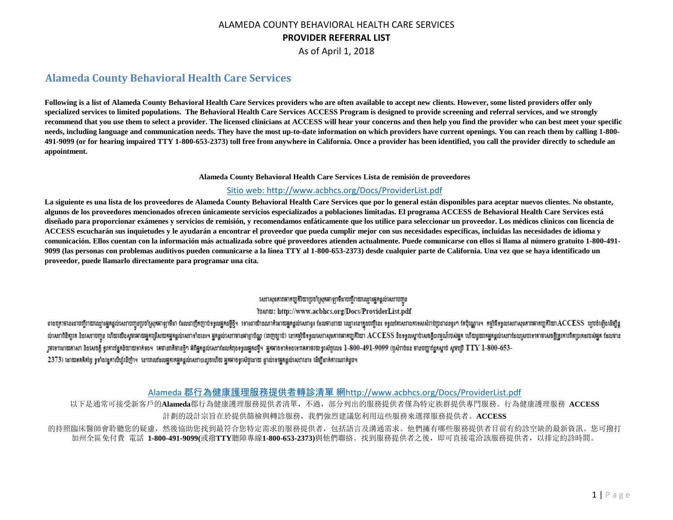As of April 1, 2018

# **Alameda County Behavioral Health Care Services**

**Following is a list of Alameda County Behavioral Health Care Services providers who are often available to accept new clients. However, some listed providers offer only specialized services to limited populations. The Behavioral Health Care Services ACCESS Program is designed to provide screening and referral services, and we strongly recommend that you use them to select a provider. The licensed clinicians at ACCESS will hear your concerns and then help you find the provider who can best meet your specific needs, including language and communication needs. They have the most up-to-date information on which providers have current openings. You can reach them by calling 1-800- 491-9099 (or for hearing impaired TTY 1-800-653-2373) toll free from anywhere in California. Once a provider has been identified, you call the provider directly to schedule an appointment.**

**Alameda County Behavioral Health Care Services Lista de remisión de proveedores**

#### [Sitio web: http://www.acbhcs.org/Docs/ProviderList.pdf](http://www.acbhcs.org/Docs/ProviderList.pdf)

**La siguiente es una lista de los proveedores de Alameda County Behavioral Health Care Services que por lo general están disponibles para aceptar nuevos clientes. No obstante, algunos de los proveedores mencionados ofrecen únicamente servicios especializados a poblaciones limitadas. El programa ACCESS de Behavioral Health Care Services está diseñado para proporcionar exámenes y servicios de remisión, y recomendamos enfáticamente que los utilice para seleccionar un proveedor. Los médicos clínicos con licencia de ACCESS escucharán sus inquietudes y le ayudarán a encontrar el proveedor que pueda cumplir mejor con sus necesidades específicas, incluidas las necesidades de idioma y comunicación. Ellos cuentan con la información más actualizada sobre qué proveedores atienden actualmente. Puede comunicarse con ellos si llama al número gratuito 1-800-491- 9099 (las personas con problemas auditivos pueden comunicarse a la línea TTY al 1-800-653-2373) desde cualquier parte de California. Una vez que se haya identificado un proveedor, puede llamarlo directamente para programar una cita.**

#### សេវាសុខភាពអាកប្បតិរិយាប្រចាំស្រុកអាឡាមីងាបញ្ជីរាយឈ្មោះអ្នកផ្តល់សេវាបញ្ជូន ไขผาพ: http://www.acbhcs.org/Docs/ProviderList.pdf

ទាងគ្រោមខេរណបញ្ជីរាយឈ្មោរអ្នកផ្តល់សេវាបញ្ជួញប៉ាស្រុកអាឡាមីដា ដែលជាញឹកឲ្យមកន្ទើម ទោះណាមិណណាក៏ដោយអ្នកផ្តល់សេវាយ ឈ្មោះនៅក្នុងបញ្ជីនេះ ទទួលតែសរណកទេសសាប់ប្រជាជននូវ។ តែប៉ុណ្ណោះ។ កម្មវិធីទទួលសរាសុខភាពអាកប្បតិយា $\mathrm{ACCESS}$  ប្បច់ឡើង ល់សេវាពិនិត្យរគ និងសេវាបញ្ជូន ហើយយើងសូមអោយផ្អួតស្រ័យកម្មកន្តល់សេវាទាំងនេះ។ ផ្អន្តល់សេវាមានពេញថ្ងៃល (ពេញឲ្យបែបស្រសាសនាពេកយូតិយាង ACCESS នឹងទទួលស្តាប់សេចក្តីបន្ទណ៍របស់អ្នក ហើយឈរកម្មកន្តល់សេវាដែលស្របះ។តាមសេចក្តីត្រូវការពិតប្ រួមទេវដោយតាសា និងសេចក្តី ឥូតារផ្នែកនិយាយទាក់ទង។ គេមានកតីមានថ្មី។ ជាតិអត្តលំសេវាដែលកំពុងទទួលអ្នកជាតិមានទៅកតាមរយៈទូរស័ព្ទលេខ 1-800-491-9099 (បស់រាប់ជន មានបញ្ជាផ្នែកស្តាប់ សូមប្រើ TTY 1-800-653-

2373) ដោយឥតគិតថ្ងៃ ទូទាំងរដ្ឋកាលីហ្ល៍រខីញ៉ាម នេះពេលដែលអ្នកកេអ្នកផ្តល់សេវាបានរួចហើយ អ្នកមាចទូរស័ព្ទអោយ ទ្វាល់ទេវអ្នកផ្តល់សេវានោះ ដើម្បីដាក់ការណាត់ជួប។

#### Alameda 郡行為健康護理服務提供者轉診清單 網<http://www.acbhcs.org/Docs/ProviderList.pdf>

以下是通常可接受新客戶的**Alameda**郡行為健康護理服務提供者清單,不過,部分列出的服務提供者僅為特定族群提供專門服務。行為健康護理服務 **ACCESS** 計劃的設計宗旨在於提供篩檢與轉診服務,我們強烈建議您利用這些服務來選擇服務提供者。**ACCESS** 的持照臨床醫師會聆聽您的疑慮,然後協助您投到最符合您特定需求的服務提供者,包括語言及溝通需求。他們擁有哪些服務提供者目前有約診空缺的最新資訊。您可撥打 加州全區免付費 電話 **1-800-491-9099(**或撥**TTY**聽障專線**1-800-653-2373)**與他們聯絡。找到服務提供者之後,即可直接電洽該服務提供者,以排定約診時間。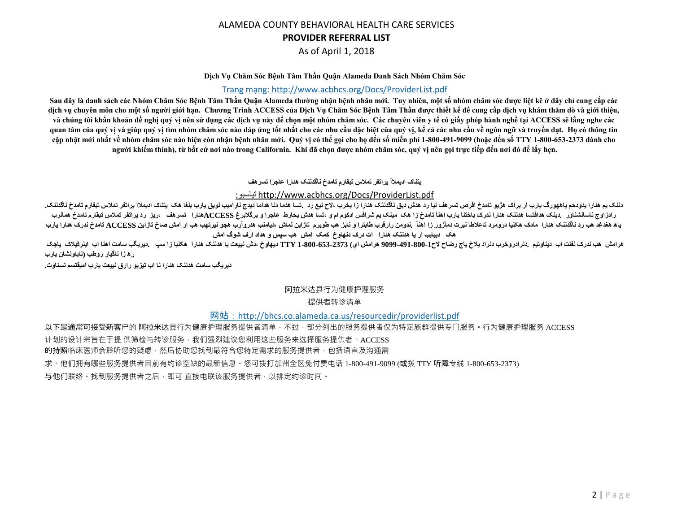As of April 1, 2018

#### **Dịch Vụ Chăm Sóc Bệnh Tâm Thần Quận Alameda Danh Sách Nhóm Chăm Sóc**

#### [Trang mạng: http://www.acbhcs.org/Docs/ProviderList.pdf](http://www.acbhcs.org/Docs/ProviderList.pdf)

Sau đây là danh sách các Nhóm Chăm Sóc Bệnh Tâm Thần Quận Alameda thường nhận bệnh nhân mới. Tuy nhiên, một số nhóm chăm sóc được liệt kê ở đây chỉ cung cấp các **dịch vụ chuyên môn cho một số người giới hạn. Chương Trình ACCESS của Dịch Vụ Chăm Sóc Bệnh Tâm Thần được thiết kế để cung cấp dịch vụ khám thăm dò và giới thiệu, và chúng tôi khẩn khoản đề nghị quý vị nên sử dụng các dịch vụ này để chọn một nhóm chăm sóc. Các chuyên viên y tế có giấy phép hành nghề tại ACCESS sẽ lắng nghe các quan tâm của quý vị và giúp quý vị tìm nhóm chăm sóc nào đáp ứng tốt nhất cho các nhu cầu đặc biệt của quý vị, kể cả các nhu cầu về ngôn ngữ và truyền đạt. Họ có thông tin cập nhật mới nhất về nhóm chăm sóc nào hiện còn nhận bệnh nhân mới. Quý vị có thể gọi cho họ đến số miễn phí 1-800-491-9099 (hoặc đến số TTY 1-800-653-2373 dành cho người khiếm thính), từ bất cứ nơi nào trong California. Khi đã chọn được nhóm chăm sóc, quý vị nên gọi trực tiếp đến nơi đó để lấy hẹn.**

#### **يتناک اديملاآ يراتفر تملاس تبقارم تامدخ ناگدننک هئارا عاجرا تسرهف**

## :تياسبو http://www.acbhcs.org/Docs/ProviderList.pdf

**دننک يم هئارا يدودحم ياههورگ يارب ار يراک هژيو تامدخ افرص تسرهف نيا رد هدش ديق ناگدننک هئارا زا يخرب ،لاح نيع رد .تسا هدمآ دنا هدامآ ديدج ناراميب لوبق يارب بلغا هک يتناک اديملاآ يراتفر تملاس تبقارم تامدخ ناگدننک.** رادزاوج ناسانشناور دينک هافتسا هننک هنارا ندرک باختنا يارب اهنآ تامدخ زا هک مينه شرافس اددهم اميش استفادر عاجرا و يرگلابرغ ACCESSهنارا تسرهف ،ريز رد يراتفر تملاس تبقارم تامدخ همانرب یاه هغدغد هب رد ناگدننک هنارا مادک هکنیا درومرد تاعلاطا نیرت دمآزور زا اهنآ .ندومن رارفرب طوریر نازاین لماش ،دیامنب هرروآرب هجو نیرتهب هب ار امش صاخ تازاین ACCESS تامدخ ندرک هنارا یارب **هک ديبايب ار يا هدننک هئارا ات درک دنهاوخ کمک امش هب سپس و هداد ارف شوگ امش**

هرامش هب ندرک نفلت اب دیناوتیم دنرادروخرب دنراد پلاخ یاج رضاح لاح1-800-491-9099 هرامش اي) 713-803-000-1 TY بيهاوخ ،دش نیيعت یا هننک هنارا هکنیا زا سپ دیریگب سامت اهنآ اب اینرفیلاک پاجر ت **ره زا ناگيار روطب (ناياونشان يارب**

**ديريگب سامت هدننک هئارا نآ اب تيزيو رارق نييعت يارب اميقتسم تسناوت.**

#### 阿拉米达县行为健康护理服务

#### 提供者转诊清单

#### 网站: <http://bhcs.co.alameda.ca.us/resourcedir/providerlist.pdf>

以下是通常可接受新客户的 阿拉米达县行为健康护理服务提供者清单,不过,部分列出的服务提供者仅为特定族群提供专门服务。行为健康护理服务 ACCESS 计划的设计宗旨在于提 供筛检与转诊服务,我们强烈建议您利用这些服务来选择服务提供者。ACCESS 的持照临床医师会聆听您的疑虑,然后协助您找到最符合您特定需求的服务提供者,包括语言及沟通需 求。他们拥有哪些服务提供者目前有约诊空缺的最新信息。您可拨打加州全区免付费电话 1-800-491-9099 (或拨 TTY 听障专线 1-800-653-2373) 与他们联络。找到服务提供者之后,即可 直接电联该服务提供者,以排定约诊时间。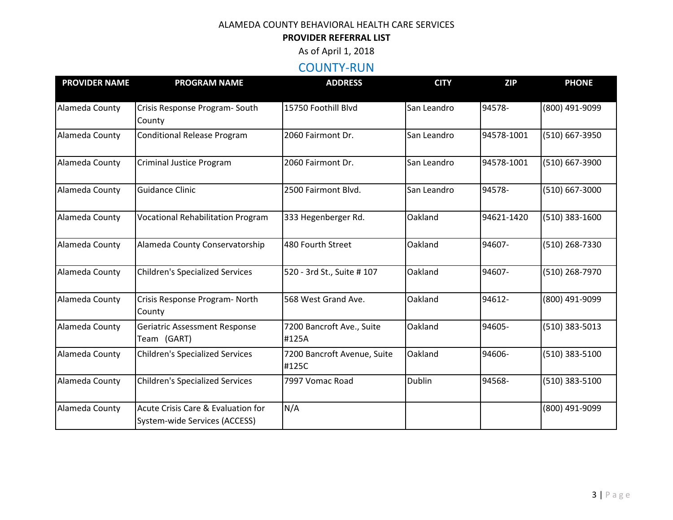# **PROVIDER REFERRAL LIST**

As of April 1, 2018

# COUNTY-RUN

| <b>PROVIDER NAME</b> | <b>PROGRAM NAME</b>                                                 | <b>ADDRESS</b>                       | <b>CITY</b>   | <b>ZIP</b> | <b>PHONE</b>   |
|----------------------|---------------------------------------------------------------------|--------------------------------------|---------------|------------|----------------|
| Alameda County       | Crisis Response Program-South<br>County                             | 15750 Foothill Blvd                  | San Leandro   | 94578-     | (800) 491-9099 |
| Alameda County       | <b>Conditional Release Program</b>                                  | 2060 Fairmont Dr.                    | San Leandro   | 94578-1001 | (510) 667-3950 |
| Alameda County       | <b>Criminal Justice Program</b>                                     | 2060 Fairmont Dr.                    | San Leandro   | 94578-1001 | (510) 667-3900 |
| Alameda County       | <b>Guidance Clinic</b>                                              | 2500 Fairmont Blvd.                  | San Leandro   | 94578-     | (510) 667-3000 |
| Alameda County       | <b>Vocational Rehabilitation Program</b>                            | 333 Hegenberger Rd.                  | Oakland       | 94621-1420 | (510) 383-1600 |
| Alameda County       | Alameda County Conservatorship                                      | 480 Fourth Street                    | Oakland       | 94607-     | (510) 268-7330 |
| Alameda County       | <b>Children's Specialized Services</b>                              | 520 - 3rd St., Suite # 107           | Oakland       | 94607-     | (510) 268-7970 |
| Alameda County       | Crisis Response Program- North<br>County                            | 568 West Grand Ave.                  | Oakland       | 94612-     | (800) 491-9099 |
| Alameda County       | <b>Geriatric Assessment Response</b><br>Team (GART)                 | 7200 Bancroft Ave., Suite<br>#125A   | Oakland       | 94605-     | (510) 383-5013 |
| Alameda County       | <b>Children's Specialized Services</b>                              | 7200 Bancroft Avenue, Suite<br>#125C | Oakland       | 94606-     | (510) 383-5100 |
| Alameda County       | <b>Children's Specialized Services</b>                              | 7997 Vomac Road                      | <b>Dublin</b> | 94568-     | (510) 383-5100 |
| Alameda County       | Acute Crisis Care & Evaluation for<br>System-wide Services (ACCESS) | N/A                                  |               |            | (800) 491-9099 |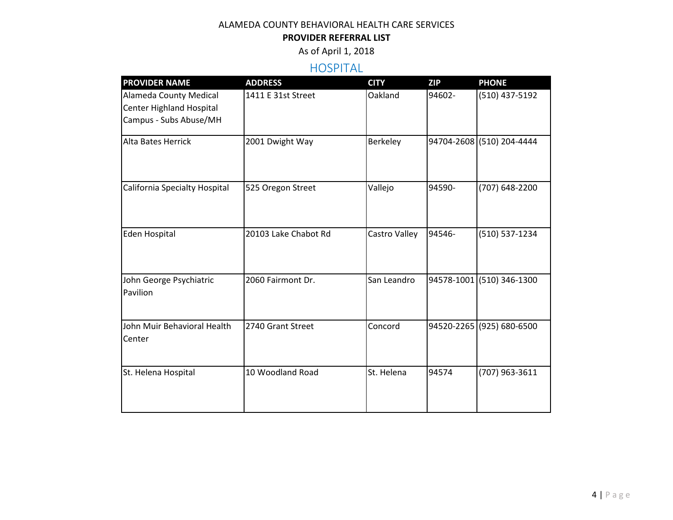# **PROVIDER REFERRAL LIST**

As of April 1, 2018

# HOSPITAL

| <b>PROVIDER NAME</b>                                                                | <b>ADDRESS</b>       | <b>CITY</b>   | <b>ZIP</b> | <b>PHONE</b>              |
|-------------------------------------------------------------------------------------|----------------------|---------------|------------|---------------------------|
| <b>Alameda County Medical</b><br>Center Highland Hospital<br>Campus - Subs Abuse/MH | 1411 E 31st Street   | Oakland       | 94602-     | (510) 437-5192            |
| <b>Alta Bates Herrick</b>                                                           | 2001 Dwight Way      | Berkeley      |            | 94704-2608 (510) 204-4444 |
| California Specialty Hospital                                                       | 525 Oregon Street    | Vallejo       | 94590-     | (707) 648-2200            |
| <b>Eden Hospital</b>                                                                | 20103 Lake Chabot Rd | Castro Valley | 94546-     | (510) 537-1234            |
| John George Psychiatric<br>Pavilion                                                 | 2060 Fairmont Dr.    | San Leandro   |            | 94578-1001 (510) 346-1300 |
| John Muir Behavioral Health<br>Center                                               | 2740 Grant Street    | Concord       |            | 94520-2265 (925) 680-6500 |
| St. Helena Hospital                                                                 | 10 Woodland Road     | St. Helena    | 94574      | (707) 963-3611            |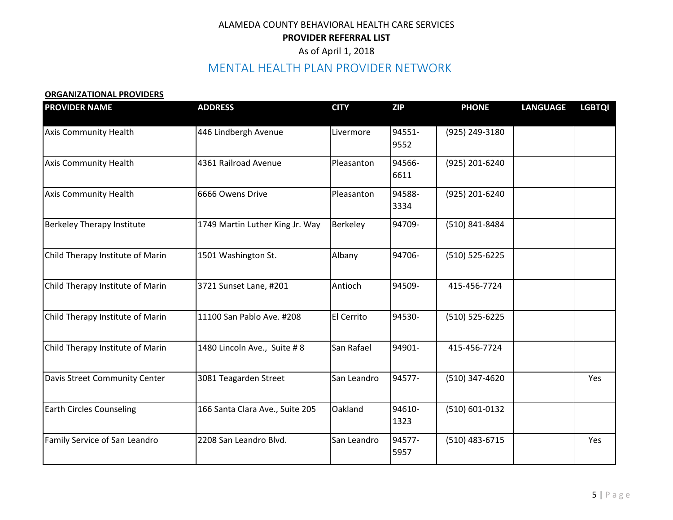# MENTAL HEALTH PLAN PROVIDER NETWORK

#### **ORGANIZATIONAL PROVIDERS**

| <b>PROVIDER NAME</b>              | <b>ADDRESS</b>                  | <b>CITY</b> | <b>ZIP</b>     | <b>PHONE</b>     | <b>LANGUAGE</b> | <b>LGBTQI</b> |
|-----------------------------------|---------------------------------|-------------|----------------|------------------|-----------------|---------------|
| <b>Axis Community Health</b>      | 446 Lindbergh Avenue            | Livermore   | 94551-<br>9552 | (925) 249-3180   |                 |               |
| <b>Axis Community Health</b>      | 4361 Railroad Avenue            | Pleasanton  | 94566-<br>6611 | (925) 201-6240   |                 |               |
| <b>Axis Community Health</b>      | 6666 Owens Drive                | Pleasanton  | 94588-<br>3334 | (925) 201-6240   |                 |               |
| <b>Berkeley Therapy Institute</b> | 1749 Martin Luther King Jr. Way | Berkeley    | 94709-         | (510) 841-8484   |                 |               |
| Child Therapy Institute of Marin  | 1501 Washington St.             | Albany      | 94706-         | (510) 525-6225   |                 |               |
| Child Therapy Institute of Marin  | 3721 Sunset Lane, #201          | Antioch     | 94509-         | 415-456-7724     |                 |               |
| Child Therapy Institute of Marin  | 11100 San Pablo Ave. #208       | El Cerrito  | 94530-         | $(510)$ 525-6225 |                 |               |
| Child Therapy Institute of Marin  | 1480 Lincoln Ave., Suite #8     | San Rafael  | 94901-         | 415-456-7724     |                 |               |
| Davis Street Community Center     | 3081 Teagarden Street           | San Leandro | 94577-         | (510) 347-4620   |                 | Yes           |
| <b>Earth Circles Counseling</b>   | 166 Santa Clara Ave., Suite 205 | Oakland     | 94610-<br>1323 | (510) 601-0132   |                 |               |
| Family Service of San Leandro     | 2208 San Leandro Blvd.          | San Leandro | 94577-<br>5957 | $(510)$ 483-6715 |                 | Yes           |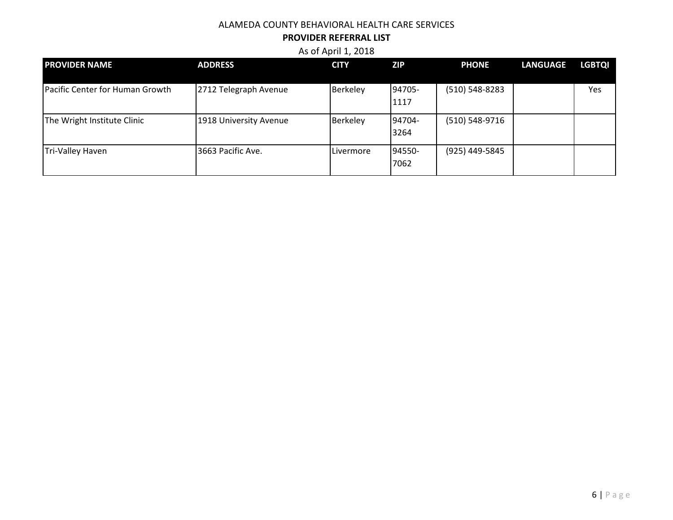### **PROVIDER REFERRAL LIST**

| <b>PROVIDER NAME</b>            | <b>ADDRESS</b>         | <b>CITY</b> | <b>ZIP</b>     | <b>PHONE</b>       | <b>LANGUAGE</b> | <b>LGBTQI</b> |
|---------------------------------|------------------------|-------------|----------------|--------------------|-----------------|---------------|
| Pacific Center for Human Growth | 2712 Telegraph Avenue  | Berkeley    | 94705-<br>1117 | $(510) 548 - 8283$ |                 | Yes           |
| The Wright Institute Clinic     | 1918 University Avenue | Berkeley    | 94704-<br>3264 | (510) 548-9716     |                 |               |
| Tri-Valley Haven                | 3663 Pacific Ave.      | Livermore   | 94550-<br>7062 | (925) 449-5845     |                 |               |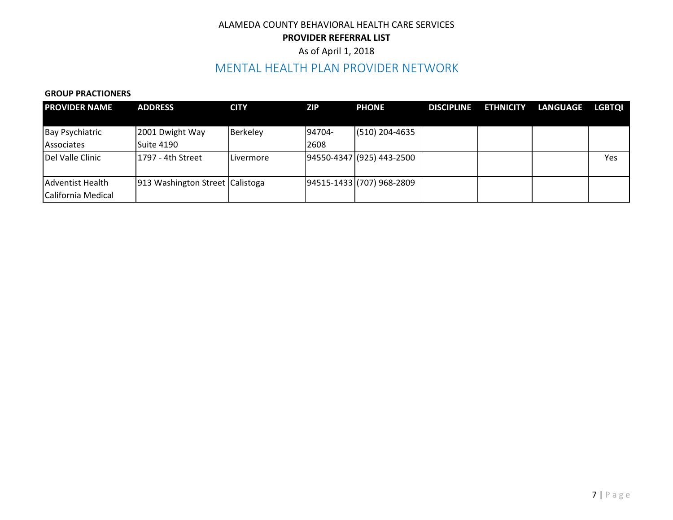# As of April 1, 2018

# MENTAL HEALTH PLAN PROVIDER NETWORK

#### **GROUP PRACTIONERS**

| <b>PROVIDER NAME</b>   | <b>ADDRESS</b>                  | <b>CITY</b> | <b>ZIP</b> | <b>PHONE</b>              | <b>DISCIPLINE</b> | <b>ETHNICITY</b> | <b>LANGUAGE</b> | <b>LGBTOI</b> |
|------------------------|---------------------------------|-------------|------------|---------------------------|-------------------|------------------|-----------------|---------------|
|                        |                                 |             |            |                           |                   |                  |                 |               |
| <b>Bay Psychiatric</b> | 2001 Dwight Way                 | Berkeley    | 94704-     | $(510)$ 204-4635          |                   |                  |                 |               |
| Associates             | Suite 4190                      |             | 2608       |                           |                   |                  |                 |               |
| Del Valle Clinic       | 11797 - 4th Street              | Livermore   |            | 94550-4347 (925) 443-2500 |                   |                  |                 | Yes           |
|                        |                                 |             |            |                           |                   |                  |                 |               |
| Adventist Health       | 913 Washington Street Calistoga |             |            | 94515-1433 (707) 968-2809 |                   |                  |                 |               |
| California Medical     |                                 |             |            |                           |                   |                  |                 |               |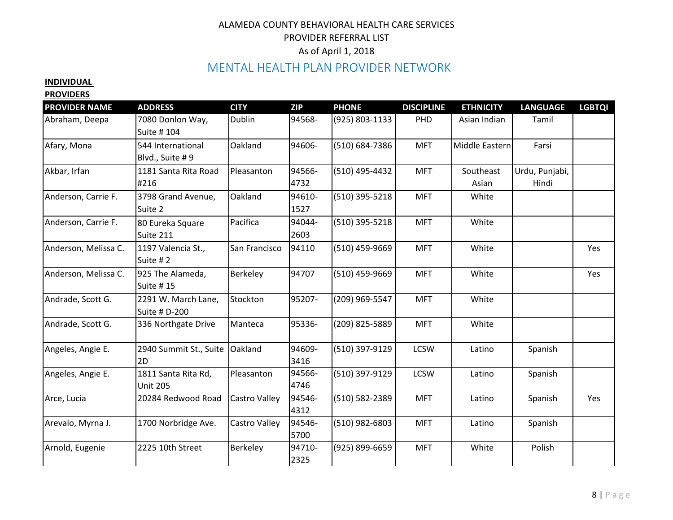# MENTAL HEALTH PLAN PROVIDER NETWORK

# **INDIVIDUAL**

#### **PROVIDERS**

| <b>PROVIDER NAME</b> | <b>ADDRESS</b>                         | <b>CITY</b>   | <b>ZIP</b>     | <b>PHONE</b>   | <b>DISCIPLINE</b> | <b>ETHNICITY</b>   | <b>LANGUAGE</b>         | <b>LGBTQI</b> |
|----------------------|----------------------------------------|---------------|----------------|----------------|-------------------|--------------------|-------------------------|---------------|
| Abraham, Deepa       | 7080 Donlon Way,<br>Suite # 104        | Dublin        | 94568-         | (925) 803-1133 | PHD               | Asian Indian       | Tamil                   |               |
| Afary, Mona          | 544 International<br>Blvd., Suite #9   | Oakland       | 94606-         | (510) 684-7386 | <b>MFT</b>        | Middle Eastern     | Farsi                   |               |
| Akbar, Irfan         | 1181 Santa Rita Road<br>#216           | Pleasanton    | 94566-<br>4732 | (510) 495-4432 | <b>MFT</b>        | Southeast<br>Asian | Urdu, Punjabi,<br>Hindi |               |
| Anderson, Carrie F.  | 3798 Grand Avenue,<br>Suite 2          | Oakland       | 94610-<br>1527 | (510) 395-5218 | <b>MFT</b>        | White              |                         |               |
| Anderson, Carrie F.  | 80 Eureka Square<br>Suite 211          | Pacifica      | 94044-<br>2603 | (510) 395-5218 | <b>MFT</b>        | White              |                         |               |
| Anderson, Melissa C. | 1197 Valencia St.,<br>Suite #2         | San Francisco | 94110          | (510) 459-9669 | <b>MFT</b>        | White              |                         | Yes           |
| Anderson, Melissa C. | 925 The Alameda,<br>Suite #15          | Berkeley      | 94707          | (510) 459-9669 | <b>MFT</b>        | White              |                         | Yes           |
| Andrade, Scott G.    | 2291 W. March Lane,<br>Suite # D-200   | Stockton      | 95207-         | (209) 969-5547 | <b>MFT</b>        | White              |                         |               |
| Andrade, Scott G.    | 336 Northgate Drive                    | Manteca       | 95336-         | (209) 825-5889 | <b>MFT</b>        | White              |                         |               |
| Angeles, Angie E.    | 2940 Summit St., Suite<br>2D           | Oakland       | 94609-<br>3416 | (510) 397-9129 | <b>LCSW</b>       | Latino             | Spanish                 |               |
| Angeles, Angie E.    | 1811 Santa Rita Rd,<br><b>Unit 205</b> | Pleasanton    | 94566-<br>4746 | (510) 397-9129 | <b>LCSW</b>       | Latino             | Spanish                 |               |
| Arce, Lucia          | 20284 Redwood Road                     | Castro Valley | 94546-<br>4312 | (510) 582-2389 | <b>MFT</b>        | Latino             | Spanish                 | Yes           |
| Arevalo, Myrna J.    | 1700 Norbridge Ave.                    | Castro Valley | 94546-<br>5700 | (510) 982-6803 | <b>MFT</b>        | Latino             | Spanish                 |               |
| Arnold, Eugenie      | 2225 10th Street                       | Berkeley      | 94710-<br>2325 | (925) 899-6659 | <b>MFT</b>        | White              | Polish                  |               |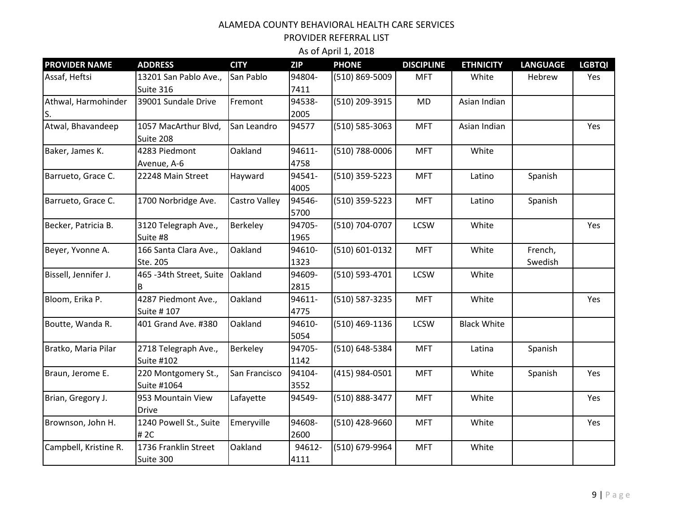| <b>PROVIDER NAME</b>      | <b>ADDRESS</b>                            | <b>CITY</b>   | <b>ZIP</b>     | <b>PHONE</b>   | <b>DISCIPLINE</b> | <b>ETHNICITY</b>   | <b>LANGUAGE</b>    | <b>LGBTQI</b> |
|---------------------------|-------------------------------------------|---------------|----------------|----------------|-------------------|--------------------|--------------------|---------------|
| Assaf, Heftsi             | 13201 San Pablo Ave.,<br>Suite 316        | San Pablo     | 94804-<br>7411 | (510) 869-5009 | <b>MFT</b>        | White              | Hebrew             | Yes           |
| Athwal, Harmohinder<br>S. | 39001 Sundale Drive                       | Fremont       | 94538-<br>2005 | (510) 209-3915 | <b>MD</b>         | Asian Indian       |                    |               |
| Atwal, Bhavandeep         | 1057 MacArthur Blvd,<br>Suite 208         | San Leandro   | 94577          | (510) 585-3063 | <b>MFT</b>        | Asian Indian       |                    | Yes           |
| Baker, James K.           | 4283 Piedmont<br>Avenue, A-6              | Oakland       | 94611-<br>4758 | (510) 788-0006 | <b>MFT</b>        | White              |                    |               |
| Barrueto, Grace C.        | 22248 Main Street                         | Hayward       | 94541-<br>4005 | (510) 359-5223 | <b>MFT</b>        | Latino             | Spanish            |               |
| Barrueto, Grace C.        | 1700 Norbridge Ave.                       | Castro Valley | 94546-<br>5700 | (510) 359-5223 | <b>MFT</b>        | Latino             | Spanish            |               |
| Becker, Patricia B.       | 3120 Telegraph Ave.,<br>Suite #8          | Berkeley      | 94705-<br>1965 | (510) 704-0707 | <b>LCSW</b>       | White              |                    | Yes           |
| Beyer, Yvonne A.          | 166 Santa Clara Ave.,<br>Ste. 205         | Oakland       | 94610-<br>1323 | (510) 601-0132 | <b>MFT</b>        | White              | French,<br>Swedish |               |
| Bissell, Jennifer J.      | 465 - 34th Street, Suite<br>B             | Oakland       | 94609-<br>2815 | (510) 593-4701 | <b>LCSW</b>       | White              |                    |               |
| Bloom, Erika P.           | 4287 Piedmont Ave.,<br>Suite # 107        | Oakland       | 94611-<br>4775 | (510) 587-3235 | <b>MFT</b>        | White              |                    | Yes           |
| Boutte, Wanda R.          | 401 Grand Ave. #380                       | Oakland       | 94610-<br>5054 | (510) 469-1136 | <b>LCSW</b>       | <b>Black White</b> |                    |               |
| Bratko, Maria Pilar       | 2718 Telegraph Ave.,<br><b>Suite #102</b> | Berkeley      | 94705-<br>1142 | (510) 648-5384 | <b>MFT</b>        | Latina             | Spanish            |               |
| Braun, Jerome E.          | 220 Montgomery St.,<br>Suite #1064        | San Francisco | 94104-<br>3552 | (415) 984-0501 | <b>MFT</b>        | White              | Spanish            | Yes           |
| Brian, Gregory J.         | 953 Mountain View<br><b>Drive</b>         | Lafayette     | 94549-         | (510) 888-3477 | <b>MFT</b>        | White              |                    | Yes           |
| Brownson, John H.         | 1240 Powell St., Suite<br># 2C            | Emeryville    | 94608-<br>2600 | (510) 428-9660 | <b>MFT</b>        | White              |                    | Yes           |
| Campbell, Kristine R.     | 1736 Franklin Street<br>Suite 300         | Oakland       | 94612-<br>4111 | (510) 679-9964 | <b>MFT</b>        | White              |                    |               |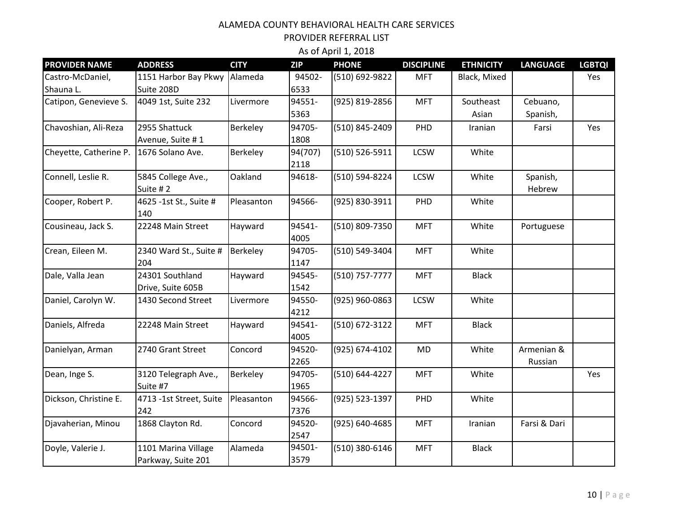PROVIDER REFERRAL LIST

| <b>PROVIDER NAME</b>   | <b>ADDRESS</b>          | <b>CITY</b> | <b>ZIP</b> | <b>PHONE</b>   | <b>DISCIPLINE</b> | <b>ETHNICITY</b> | <b>LANGUAGE</b> | <b>LGBTQI</b> |
|------------------------|-------------------------|-------------|------------|----------------|-------------------|------------------|-----------------|---------------|
| Castro-McDaniel,       | 1151 Harbor Bay Pkwy    | Alameda     | 94502-     | (510) 692-9822 | <b>MFT</b>        | Black, Mixed     |                 | Yes           |
| Shauna L.              | Suite 208D              |             | 6533       |                |                   |                  |                 |               |
| Catipon, Genevieve S.  | 4049 1st, Suite 232     | Livermore   | 94551-     | (925) 819-2856 | <b>MFT</b>        | Southeast        | Cebuano,        |               |
|                        |                         |             | 5363       |                |                   | Asian            | Spanish,        |               |
| Chavoshian, Ali-Reza   | 2955 Shattuck           | Berkeley    | 94705-     | (510) 845-2409 | PHD               | Iranian          | Farsi           | Yes           |
|                        | Avenue, Suite #1        |             | 1808       |                |                   |                  |                 |               |
| Cheyette, Catherine P. | 1676 Solano Ave.        | Berkeley    | 94(707)    | (510) 526-5911 | <b>LCSW</b>       | White            |                 |               |
|                        |                         |             | 2118       |                |                   |                  |                 |               |
| Connell, Leslie R.     | 5845 College Ave.,      | Oakland     | 94618-     | (510) 594-8224 | <b>LCSW</b>       | White            | Spanish,        |               |
|                        | Suite #2                |             |            |                |                   |                  | Hebrew          |               |
| Cooper, Robert P.      | 4625 -1st St., Suite #  | Pleasanton  | 94566-     | (925) 830-3911 | PHD               | White            |                 |               |
|                        | 140                     |             |            |                |                   |                  |                 |               |
| Cousineau, Jack S.     | 22248 Main Street       | Hayward     | 94541-     | (510) 809-7350 | <b>MFT</b>        | White            | Portuguese      |               |
|                        |                         |             | 4005       |                |                   |                  |                 |               |
| Crean, Eileen M.       | 2340 Ward St., Suite #  | Berkeley    | 94705-     | (510) 549-3404 | <b>MFT</b>        | White            |                 |               |
|                        | 204                     |             | 1147       |                |                   |                  |                 |               |
| Dale, Valla Jean       | 24301 Southland         | Hayward     | 94545-     | (510) 757-7777 | <b>MFT</b>        | <b>Black</b>     |                 |               |
|                        | Drive, Suite 605B       |             | 1542       |                |                   |                  |                 |               |
| Daniel, Carolyn W.     | 1430 Second Street      | Livermore   | 94550-     | (925) 960-0863 | <b>LCSW</b>       | White            |                 |               |
|                        |                         |             | 4212       |                |                   |                  |                 |               |
| Daniels, Alfreda       | 22248 Main Street       | Hayward     | 94541-     | (510) 672-3122 | <b>MFT</b>        | <b>Black</b>     |                 |               |
|                        |                         |             | 4005       |                |                   |                  |                 |               |
| Danielyan, Arman       | 2740 Grant Street       | Concord     | 94520-     | (925) 674-4102 | <b>MD</b>         | White            | Armenian &      |               |
|                        |                         |             | 2265       |                |                   |                  | Russian         |               |
| Dean, Inge S.          | 3120 Telegraph Ave.,    | Berkeley    | 94705-     | (510) 644-4227 | <b>MFT</b>        | White            |                 | Yes           |
|                        | Suite #7                |             | 1965       |                |                   |                  |                 |               |
| Dickson, Christine E.  | 4713 -1st Street, Suite | Pleasanton  | 94566-     | (925) 523-1397 | PHD               | White            |                 |               |
|                        | 242                     |             | 7376       |                |                   |                  |                 |               |
| Djavaherian, Minou     | 1868 Clayton Rd.        | Concord     | 94520-     | (925) 640-4685 | <b>MFT</b>        | Iranian          | Farsi & Dari    |               |
|                        |                         |             | 2547       |                |                   |                  |                 |               |
| Doyle, Valerie J.      | 1101 Marina Village     | Alameda     | 94501-     | (510) 380-6146 | <b>MFT</b>        | <b>Black</b>     |                 |               |
|                        | Parkway, Suite 201      |             | 3579       |                |                   |                  |                 |               |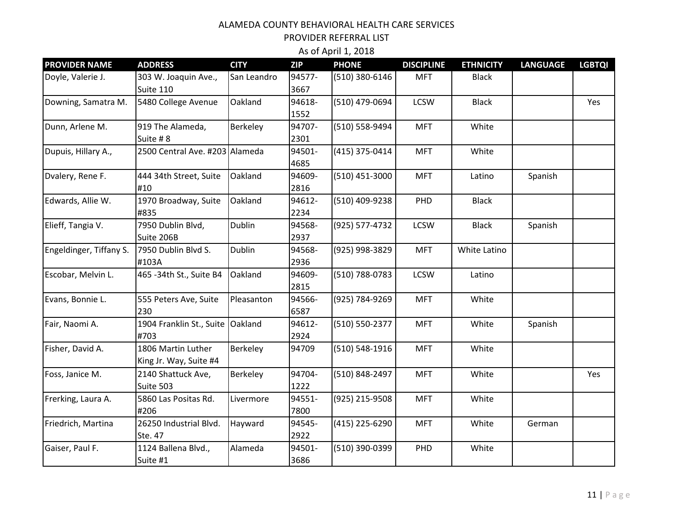| <b>PROVIDER NAME</b>    | <b>ADDRESS</b>                 | <b>CITY</b>   | <b>ZIP</b> | <b>PHONE</b>   | <b>DISCIPLINE</b> | <b>ETHNICITY</b> | <b>LANGUAGE</b> | <b>LGBTQI</b> |
|-------------------------|--------------------------------|---------------|------------|----------------|-------------------|------------------|-----------------|---------------|
| Doyle, Valerie J.       | 303 W. Joaquin Ave.,           | San Leandro   | 94577-     | (510) 380-6146 | <b>MFT</b>        | <b>Black</b>     |                 |               |
|                         | Suite 110                      |               | 3667       |                |                   |                  |                 |               |
| Downing, Samatra M.     | 5480 College Avenue            | Oakland       | 94618-     | (510) 479-0694 | <b>LCSW</b>       | <b>Black</b>     |                 | Yes           |
|                         |                                |               | 1552       |                |                   |                  |                 |               |
| Dunn, Arlene M.         | 919 The Alameda,               | Berkeley      | 94707-     | (510) 558-9494 | <b>MFT</b>        | White            |                 |               |
|                         | Suite #8                       |               | 2301       |                |                   |                  |                 |               |
| Dupuis, Hillary A.,     | 2500 Central Ave. #203 Alameda |               | 94501-     | (415) 375-0414 | <b>MFT</b>        | White            |                 |               |
|                         |                                |               | 4685       |                |                   |                  |                 |               |
| Dvalery, Rene F.        | 444 34th Street, Suite         | Oakland       | 94609-     | (510) 451-3000 | <b>MFT</b>        | Latino           | Spanish         |               |
|                         | #10                            |               | 2816       |                |                   |                  |                 |               |
| Edwards, Allie W.       | 1970 Broadway, Suite           | Oakland       | 94612-     | (510) 409-9238 | PHD               | <b>Black</b>     |                 |               |
|                         | #835                           |               | 2234       |                |                   |                  |                 |               |
| Elieff, Tangia V.       | 7950 Dublin Blvd,              | <b>Dublin</b> | 94568-     | (925) 577-4732 | <b>LCSW</b>       | <b>Black</b>     | Spanish         |               |
|                         | Suite 206B                     |               | 2937       |                |                   |                  |                 |               |
| Engeldinger, Tiffany S. | 7950 Dublin Blvd S.            | <b>Dublin</b> | 94568-     | (925) 998-3829 | <b>MFT</b>        | White Latino     |                 |               |
|                         | #103A                          |               | 2936       |                |                   |                  |                 |               |
| Escobar, Melvin L.      | 465 - 34th St., Suite B4       | Oakland       | 94609-     | (510) 788-0783 | <b>LCSW</b>       | Latino           |                 |               |
|                         |                                |               | 2815       |                |                   |                  |                 |               |
| Evans, Bonnie L.        | 555 Peters Ave, Suite          | Pleasanton    | 94566-     | (925) 784-9269 | <b>MFT</b>        | White            |                 |               |
|                         | 230                            |               | 6587       |                |                   |                  |                 |               |
| Fair, Naomi A.          | 1904 Franklin St., Suite       | Oakland       | 94612-     | (510) 550-2377 | <b>MFT</b>        | White            | Spanish         |               |
|                         | #703                           |               | 2924       |                |                   |                  |                 |               |
| Fisher, David A.        | 1806 Martin Luther             | Berkeley      | 94709      | (510) 548-1916 | <b>MFT</b>        | White            |                 |               |
|                         | King Jr. Way, Suite #4         |               |            |                |                   |                  |                 |               |
| Foss, Janice M.         | 2140 Shattuck Ave,             | Berkeley      | 94704-     | (510) 848-2497 | <b>MFT</b>        | White            |                 | Yes           |
|                         | Suite 503                      |               | 1222       |                |                   |                  |                 |               |
| Frerking, Laura A.      | 5860 Las Positas Rd.           | Livermore     | 94551-     | (925) 215-9508 | <b>MFT</b>        | White            |                 |               |
|                         | #206                           |               | 7800       |                |                   |                  |                 |               |
| Friedrich, Martina      | 26250 Industrial Blvd.         | Hayward       | 94545-     | (415) 225-6290 | <b>MFT</b>        | White            | German          |               |
|                         | Ste. 47                        |               | 2922       |                |                   |                  |                 |               |
| Gaiser, Paul F.         | 1124 Ballena Blvd.,            | Alameda       | 94501-     | (510) 390-0399 | PHD               | White            |                 |               |
|                         | Suite #1                       |               | 3686       |                |                   |                  |                 |               |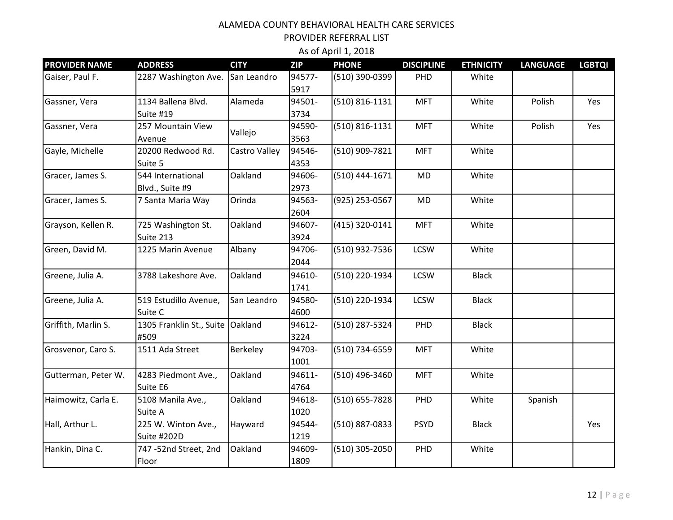| <b>PROVIDER NAME</b> | <b>ADDRESS</b>                     | <b>CITY</b>     | <b>ZIP</b>     | <b>PHONE</b>       | <b>DISCIPLINE</b> | <b>ETHNICITY</b> | <b>LANGUAGE</b> | <b>LGBTQI</b> |
|----------------------|------------------------------------|-----------------|----------------|--------------------|-------------------|------------------|-----------------|---------------|
| Gaiser, Paul F.      | 2287 Washington Ave.               | San Leandro     | 94577-<br>5917 | (510) 390-0399     | PHD               | White            |                 |               |
| Gassner, Vera        | 1134 Ballena Blvd.                 | Alameda         | 94501-         | $(510) 816 - 1131$ | <b>MFT</b>        | White            | Polish          | Yes           |
|                      | Suite #19                          |                 | 3734           |                    |                   |                  |                 |               |
| Gassner, Vera        | 257 Mountain View                  | Vallejo         | 94590-         | $(510) 816 - 1131$ | <b>MFT</b>        | White            | Polish          | Yes           |
|                      | Avenue                             |                 | 3563           |                    |                   |                  |                 |               |
| Gayle, Michelle      | 20200 Redwood Rd.                  | Castro Valley   | 94546-         | (510) 909-7821     | <b>MFT</b>        | White            |                 |               |
|                      | Suite 5                            |                 | 4353           |                    |                   |                  |                 |               |
| Gracer, James S.     | 544 International                  | Oakland         | 94606-         | (510) 444-1671     | <b>MD</b>         | White            |                 |               |
|                      | Blvd., Suite #9                    |                 | 2973           |                    |                   |                  |                 |               |
| Gracer, James S.     | 7 Santa Maria Way                  | Orinda          | 94563-         | (925) 253-0567     | <b>MD</b>         | White            |                 |               |
|                      |                                    |                 | 2604           |                    |                   |                  |                 |               |
| Grayson, Kellen R.   | 725 Washington St.                 | Oakland         | 94607-         | (415) 320-0141     | <b>MFT</b>        | White            |                 |               |
|                      | Suite 213                          |                 | 3924           |                    |                   |                  |                 |               |
| Green, David M.      | 1225 Marin Avenue                  | Albany          | 94706-         | (510) 932-7536     | <b>LCSW</b>       | White            |                 |               |
|                      |                                    |                 | 2044           |                    |                   |                  |                 |               |
| Greene, Julia A.     | 3788 Lakeshore Ave.                | Oakland         | 94610-         | (510) 220-1934     | <b>LCSW</b>       | <b>Black</b>     |                 |               |
|                      |                                    |                 | 1741           |                    |                   |                  |                 |               |
| Greene, Julia A.     | 519 Estudillo Avenue,              | San Leandro     | 94580-         | (510) 220-1934     | <b>LCSW</b>       | <b>Black</b>     |                 |               |
|                      | Suite C                            |                 | 4600           |                    |                   |                  |                 |               |
| Griffith, Marlin S.  | 1305 Franklin St., Suite   Oakland |                 | 94612-         | (510) 287-5324     | PHD               | <b>Black</b>     |                 |               |
|                      | #509                               |                 | 3224           |                    |                   |                  |                 |               |
| Grosvenor, Caro S.   | 1511 Ada Street                    | <b>Berkeley</b> | 94703-         | (510) 734-6559     | <b>MFT</b>        | White            |                 |               |
|                      |                                    |                 | 1001           |                    |                   |                  |                 |               |
| Gutterman, Peter W.  | 4283 Piedmont Ave.,                | Oakland         | 94611-         | (510) 496-3460     | <b>MFT</b>        | White            |                 |               |
|                      | Suite E6                           |                 | 4764           |                    |                   |                  |                 |               |
| Haimowitz, Carla E.  | 5108 Manila Ave.,                  | Oakland         | 94618-         | (510) 655-7828     | PHD               | White            | Spanish         |               |
|                      | Suite A                            |                 | 1020           |                    |                   |                  |                 |               |
| Hall, Arthur L.      | 225 W. Winton Ave.,                | Hayward         | 94544-         | (510) 887-0833     | <b>PSYD</b>       | <b>Black</b>     |                 | Yes           |
|                      | Suite #202D                        |                 | 1219           |                    |                   |                  |                 |               |
| Hankin, Dina C.      | 747 -52nd Street, 2nd              | Oakland         | 94609-         | (510) 305-2050     | PHD               | White            |                 |               |
|                      | Floor                              |                 | 1809           |                    |                   |                  |                 |               |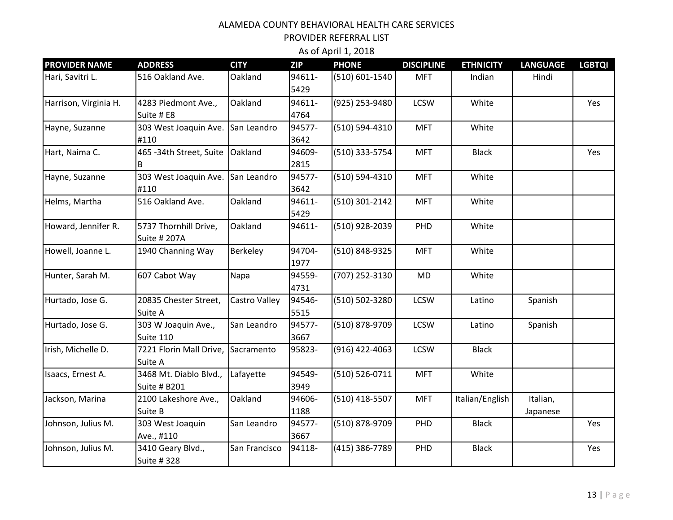| <b>PROVIDER NAME</b>  | <b>ADDRESS</b>                                | <b>CITY</b>   | <b>ZIP</b>     | <b>PHONE</b>   | <b>DISCIPLINE</b> | <b>ETHNICITY</b> | <b>LANGUAGE</b>      | <b>LGBTQI</b> |
|-----------------------|-----------------------------------------------|---------------|----------------|----------------|-------------------|------------------|----------------------|---------------|
| Hari, Savitri L.      | 516 Oakland Ave.                              | Oakland       | 94611-<br>5429 | (510) 601-1540 | <b>MFT</b>        | Indian           | Hindi                |               |
| Harrison, Virginia H. | 4283 Piedmont Ave.,<br>Suite # E8             | Oakland       | 94611-<br>4764 | (925) 253-9480 | <b>LCSW</b>       | White            |                      | Yes           |
| Hayne, Suzanne        | 303 West Joaquin Ave.<br>#110                 | San Leandro   | 94577-<br>3642 | (510) 594-4310 | <b>MFT</b>        | White            |                      |               |
| Hart, Naima C.        | 465 - 34th Street, Suite                      | Oakland       | 94609-<br>2815 | (510) 333-5754 | <b>MFT</b>        | <b>Black</b>     |                      | Yes           |
| Hayne, Suzanne        | 303 West Joaquin Ave.<br>#110                 | San Leandro   | 94577-<br>3642 | (510) 594-4310 | <b>MFT</b>        | White            |                      |               |
| Helms, Martha         | 516 Oakland Ave.                              | Oakland       | 94611-<br>5429 | (510) 301-2142 | <b>MFT</b>        | White            |                      |               |
| Howard, Jennifer R.   | 5737 Thornhill Drive,<br>Suite # 207A         | Oakland       | 94611-         | (510) 928-2039 | PHD               | White            |                      |               |
| Howell, Joanne L.     | 1940 Channing Way                             | Berkeley      | 94704-<br>1977 | (510) 848-9325 | <b>MFT</b>        | White            |                      |               |
| Hunter, Sarah M.      | 607 Cabot Way                                 | Napa          | 94559-<br>4731 | (707) 252-3130 | <b>MD</b>         | White            |                      |               |
| Hurtado, Jose G.      | 20835 Chester Street,<br>Suite A              | Castro Valley | 94546-<br>5515 | (510) 502-3280 | <b>LCSW</b>       | Latino           | Spanish              |               |
| Hurtado, Jose G.      | 303 W Joaquin Ave.,<br>Suite 110              | San Leandro   | 94577-<br>3667 | (510) 878-9709 | <b>LCSW</b>       | Latino           | Spanish              |               |
| Irish, Michelle D.    | 7221 Florin Mall Drive,<br>Suite A            | Sacramento    | 95823-         | (916) 422-4063 | <b>LCSW</b>       | <b>Black</b>     |                      |               |
| Isaacs, Ernest A.     | 3468 Mt. Diablo Blvd.,<br><b>Suite # B201</b> | Lafayette     | 94549-<br>3949 | (510) 526-0711 | <b>MFT</b>        | White            |                      |               |
| Jackson, Marina       | 2100 Lakeshore Ave.,<br>Suite B               | Oakland       | 94606-<br>1188 | (510) 418-5507 | <b>MFT</b>        | Italian/English  | Italian,<br>Japanese |               |
| Johnson, Julius M.    | 303 West Joaquin<br>Ave., #110                | San Leandro   | 94577-<br>3667 | (510) 878-9709 | PHD               | <b>Black</b>     |                      | Yes           |
| Johnson, Julius M.    | 3410 Geary Blvd.,<br>Suite # 328              | San Francisco | 94118-         | (415) 386-7789 | PHD               | <b>Black</b>     |                      | Yes           |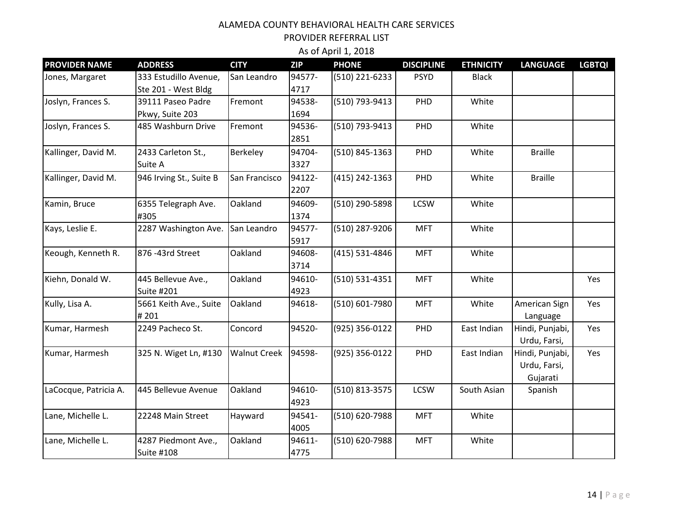| <b>PROVIDER NAME</b>  | <b>ADDRESS</b>                               | <b>CITY</b>         | <b>ZIP</b>     | <b>PHONE</b>   | <b>DISCIPLINE</b> | <b>ETHNICITY</b> | <b>LANGUAGE</b>                             | <b>LGBTQI</b> |
|-----------------------|----------------------------------------------|---------------------|----------------|----------------|-------------------|------------------|---------------------------------------------|---------------|
| Jones, Margaret       | 333 Estudillo Avenue,<br>Ste 201 - West Bldg | San Leandro         | 94577-<br>4717 | (510) 221-6233 | <b>PSYD</b>       | <b>Black</b>     |                                             |               |
| Joslyn, Frances S.    | 39111 Paseo Padre<br>Pkwy, Suite 203         | Fremont             | 94538-<br>1694 | (510) 793-9413 | PHD               | White            |                                             |               |
| Joslyn, Frances S.    | 485 Washburn Drive                           | Fremont             | 94536-<br>2851 | (510) 793-9413 | PHD               | White            |                                             |               |
| Kallinger, David M.   | 2433 Carleton St.,<br>Suite A                | Berkeley            | 94704-<br>3327 | (510) 845-1363 | PHD               | White            | <b>Braille</b>                              |               |
| Kallinger, David M.   | 946 Irving St., Suite B                      | San Francisco       | 94122-<br>2207 | (415) 242-1363 | PHD               | White            | <b>Braille</b>                              |               |
| Kamin, Bruce          | 6355 Telegraph Ave.<br>#305                  | Oakland             | 94609-<br>1374 | (510) 290-5898 | <b>LCSW</b>       | White            |                                             |               |
| Kays, Leslie E.       | 2287 Washington Ave.                         | San Leandro         | 94577-<br>5917 | (510) 287-9206 | <b>MFT</b>        | White            |                                             |               |
| Keough, Kenneth R.    | 876 -43rd Street                             | Oakland             | 94608-<br>3714 | (415) 531-4846 | <b>MFT</b>        | White            |                                             |               |
| Kiehn, Donald W.      | 445 Bellevue Ave.,<br>Suite #201             | Oakland             | 94610-<br>4923 | (510) 531-4351 | <b>MFT</b>        | White            |                                             | Yes           |
| Kully, Lisa A.        | 5661 Keith Ave., Suite<br>#201               | Oakland             | 94618-         | (510) 601-7980 | <b>MFT</b>        | White            | American Sign<br>Language                   | Yes           |
| Kumar, Harmesh        | 2249 Pacheco St.                             | Concord             | 94520-         | (925) 356-0122 | PHD               | East Indian      | Hindi, Punjabi,<br>Urdu, Farsi,             | Yes           |
| Kumar, Harmesh        | 325 N. Wiget Ln, #130                        | <b>Walnut Creek</b> | 94598-         | (925) 356-0122 | PHD               | East Indian      | Hindi, Punjabi,<br>Urdu, Farsi,<br>Gujarati | Yes           |
| LaCocque, Patricia A. | 445 Bellevue Avenue                          | Oakland             | 94610-<br>4923 | (510) 813-3575 | <b>LCSW</b>       | South Asian      | Spanish                                     |               |
| Lane, Michelle L.     | 22248 Main Street                            | Hayward             | 94541-<br>4005 | (510) 620-7988 | <b>MFT</b>        | White            |                                             |               |
| Lane, Michelle L.     | 4287 Piedmont Ave.,<br><b>Suite #108</b>     | Oakland             | 94611-<br>4775 | (510) 620-7988 | <b>MFT</b>        | White            |                                             |               |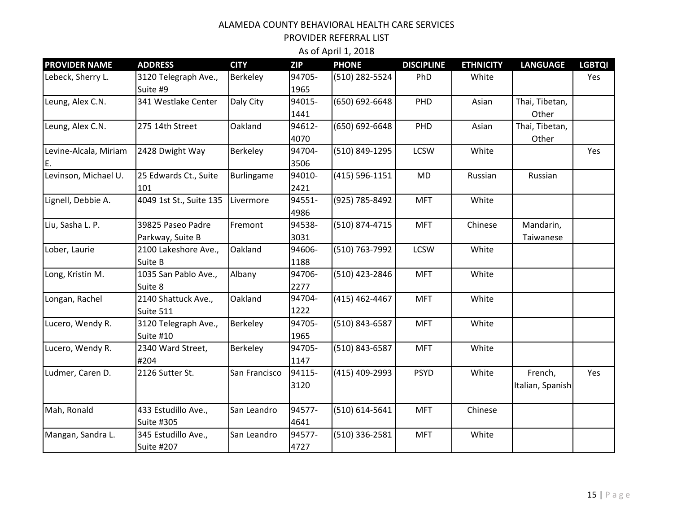PROVIDER REFERRAL LIST

| <b>PROVIDER NAME</b>        | <b>ADDRESS</b>                           | <b>CITY</b>   | <b>ZIP</b>     | <b>PHONE</b>   | <b>DISCIPLINE</b> | <b>ETHNICITY</b> | <b>LANGUAGE</b>             | <b>LGBTQI</b> |
|-----------------------------|------------------------------------------|---------------|----------------|----------------|-------------------|------------------|-----------------------------|---------------|
| Lebeck, Sherry L.           | 3120 Telegraph Ave.,<br>Suite #9         | Berkeley      | 94705-<br>1965 | (510) 282-5524 | PhD               | White            |                             | Yes           |
| Leung, Alex C.N.            | 341 Westlake Center                      | Daly City     | 94015-<br>1441 | (650) 692-6648 | PHD               | Asian            | Thai, Tibetan,<br>Other     |               |
| Leung, Alex C.N.            | 275 14th Street                          | Oakland       | 94612-<br>4070 | (650) 692-6648 | PHD               | Asian            | Thai, Tibetan,<br>Other     |               |
| Levine-Alcala, Miriam<br>E. | 2428 Dwight Way                          | Berkeley      | 94704-<br>3506 | (510) 849-1295 | <b>LCSW</b>       | White            |                             | Yes           |
| Levinson, Michael U.        | 25 Edwards Ct., Suite<br>101             | Burlingame    | 94010-<br>2421 | (415) 596-1151 | <b>MD</b>         | Russian          | Russian                     |               |
| Lignell, Debbie A.          | 4049 1st St., Suite 135                  | Livermore     | 94551-<br>4986 | (925) 785-8492 | <b>MFT</b>        | White            |                             |               |
| Liu, Sasha L. P.            | 39825 Paseo Padre<br>Parkway, Suite B    | Fremont       | 94538-<br>3031 | (510) 874-4715 | <b>MFT</b>        | Chinese          | Mandarin,<br>Taiwanese      |               |
| Lober, Laurie               | 2100 Lakeshore Ave.,<br>Suite B          | Oakland       | 94606-<br>1188 | (510) 763-7992 | <b>LCSW</b>       | White            |                             |               |
| Long, Kristin M.            | 1035 San Pablo Ave.,<br>Suite 8          | Albany        | 94706-<br>2277 | (510) 423-2846 | <b>MFT</b>        | White            |                             |               |
| Longan, Rachel              | 2140 Shattuck Ave.,<br>Suite 511         | Oakland       | 94704-<br>1222 | (415) 462-4467 | <b>MFT</b>        | White            |                             |               |
| Lucero, Wendy R.            | 3120 Telegraph Ave.,<br>Suite #10        | Berkeley      | 94705-<br>1965 | (510) 843-6587 | <b>MFT</b>        | White            |                             |               |
| Lucero, Wendy R.            | 2340 Ward Street,<br>#204                | Berkeley      | 94705-<br>1147 | (510) 843-6587 | <b>MFT</b>        | White            |                             |               |
| Ludmer, Caren D.            | 2126 Sutter St.                          | San Francisco | 94115-<br>3120 | (415) 409-2993 | <b>PSYD</b>       | White            | French,<br>Italian, Spanish | Yes           |
| Mah, Ronald                 | 433 Estudillo Ave.,<br><b>Suite #305</b> | San Leandro   | 94577-<br>4641 | (510) 614-5641 | <b>MFT</b>        | Chinese          |                             |               |
| Mangan, Sandra L.           | 345 Estudillo Ave.,<br><b>Suite #207</b> | San Leandro   | 94577-<br>4727 | (510) 336-2581 | <b>MFT</b>        | White            |                             |               |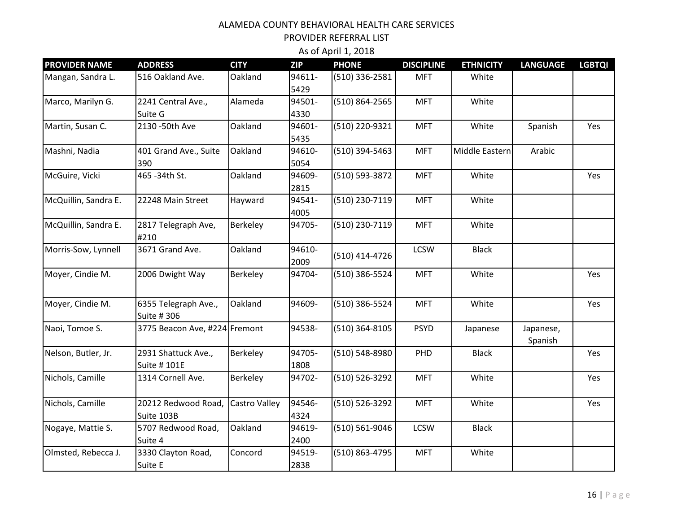PROVIDER REFERRAL LIST

| <b>PROVIDER NAME</b> | <b>ADDRESS</b>                      | <b>CITY</b>     | <b>ZIP</b>     | <b>PHONE</b>   | <b>DISCIPLINE</b> | <b>ETHNICITY</b> | <b>LANGUAGE</b> | <b>LGBTQI</b> |
|----------------------|-------------------------------------|-----------------|----------------|----------------|-------------------|------------------|-----------------|---------------|
| Mangan, Sandra L.    | 516 Oakland Ave.                    | Oakland         | 94611-<br>5429 | (510) 336-2581 | <b>MFT</b>        | White            |                 |               |
| Marco, Marilyn G.    | 2241 Central Ave.,                  | Alameda         | 94501-         | (510) 864-2565 | <b>MFT</b>        | White            |                 |               |
|                      | Suite G                             |                 | 4330           |                |                   |                  |                 |               |
| Martin, Susan C.     | 2130 - 50th Ave                     | Oakland         | 94601-         | (510) 220-9321 | <b>MFT</b>        | White            | Spanish         | Yes           |
|                      |                                     |                 | 5435           |                |                   |                  |                 |               |
| Mashni, Nadia        | 401 Grand Ave., Suite               | Oakland         | 94610-         | (510) 394-5463 | <b>MFT</b>        | Middle Eastern   | Arabic          |               |
|                      | 390                                 |                 | 5054           |                |                   |                  |                 |               |
| McGuire, Vicki       | 465 - 34th St.                      | Oakland         | 94609-         | (510) 593-3872 | <b>MFT</b>        | White            |                 | Yes           |
|                      |                                     |                 | 2815           |                |                   |                  |                 |               |
| McQuillin, Sandra E. | 22248 Main Street                   | Hayward         | 94541-         | (510) 230-7119 | <b>MFT</b>        | White            |                 |               |
|                      |                                     |                 | 4005           |                |                   |                  |                 |               |
| McQuillin, Sandra E. | 2817 Telegraph Ave,<br>#210         | <b>Berkeley</b> | 94705-         | (510) 230-7119 | <b>MFT</b>        | White            |                 |               |
| Morris-Sow, Lynnell  | 3671 Grand Ave.                     | Oakland         | 94610-<br>2009 | (510) 414-4726 | <b>LCSW</b>       | <b>Black</b>     |                 |               |
| Moyer, Cindie M.     | 2006 Dwight Way                     | Berkeley        | 94704-         | (510) 386-5524 | <b>MFT</b>        | White            |                 | Yes           |
| Moyer, Cindie M.     | 6355 Telegraph Ave.,<br>Suite # 306 | Oakland         | 94609-         | (510) 386-5524 | <b>MFT</b>        | White            |                 | Yes           |
| Naoi, Tomoe S.       | 3775 Beacon Ave, #224 Fremont       |                 | 94538-         | (510) 364-8105 | <b>PSYD</b>       | Japanese         | Japanese,       |               |
|                      |                                     |                 |                |                |                   |                  | Spanish         |               |
| Nelson, Butler, Jr.  | 2931 Shattuck Ave.,<br>Suite # 101E | Berkeley        | 94705-<br>1808 | (510) 548-8980 | PHD               | <b>Black</b>     |                 | Yes           |
| Nichols, Camille     | 1314 Cornell Ave.                   | Berkeley        | 94702-         | (510) 526-3292 | <b>MFT</b>        | White            |                 | Yes           |
| Nichols, Camille     | 20212 Redwood Road,                 | Castro Valley   | 94546-         | (510) 526-3292 | <b>MFT</b>        | White            |                 | Yes           |
|                      | Suite 103B                          |                 | 4324           |                |                   |                  |                 |               |
| Nogaye, Mattie S.    | 5707 Redwood Road,                  | Oakland         | 94619-         | (510) 561-9046 | <b>LCSW</b>       | <b>Black</b>     |                 |               |
|                      | Suite 4                             |                 | 2400           |                |                   |                  |                 |               |
| Olmsted, Rebecca J.  | 3330 Clayton Road,                  | Concord         | 94519-         | (510) 863-4795 | <b>MFT</b>        | White            |                 |               |
|                      | Suite E                             |                 | 2838           |                |                   |                  |                 |               |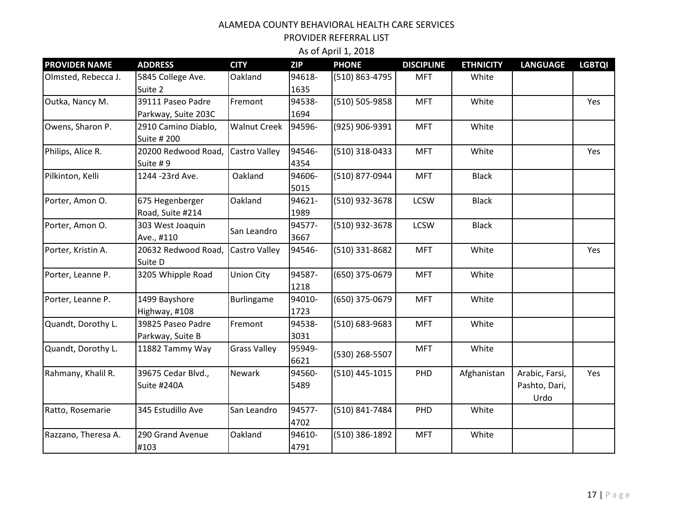| <b>PROVIDER NAME</b> | <b>ADDRESS</b>                           | <b>CITY</b>         | <b>ZIP</b>     | <b>PHONE</b>   | <b>DISCIPLINE</b> | <b>ETHNICITY</b> | <b>LANGUAGE</b>                         | <b>LGBTQI</b> |
|----------------------|------------------------------------------|---------------------|----------------|----------------|-------------------|------------------|-----------------------------------------|---------------|
| Olmsted, Rebecca J.  | 5845 College Ave.<br>Suite 2             | Oakland             | 94618-<br>1635 | (510) 863-4795 | <b>MFT</b>        | White            |                                         |               |
| Outka, Nancy M.      | 39111 Paseo Padre<br>Parkway, Suite 203C | Fremont             | 94538-<br>1694 | (510) 505-9858 | <b>MFT</b>        | White            |                                         | Yes           |
| Owens, Sharon P.     | 2910 Camino Diablo,<br>Suite # 200       | <b>Walnut Creek</b> | 94596-         | (925) 906-9391 | <b>MFT</b>        | White            |                                         |               |
| Philips, Alice R.    | 20200 Redwood Road,<br>Suite #9          | Castro Valley       | 94546-<br>4354 | (510) 318-0433 | <b>MFT</b>        | White            |                                         | Yes           |
| Pilkinton, Kelli     | 1244 - 23rd Ave.                         | Oakland             | 94606-<br>5015 | (510) 877-0944 | <b>MFT</b>        | <b>Black</b>     |                                         |               |
| Porter, Amon O.      | 675 Hegenberger<br>Road, Suite #214      | Oakland             | 94621-<br>1989 | (510) 932-3678 | <b>LCSW</b>       | <b>Black</b>     |                                         |               |
| Porter, Amon O.      | 303 West Joaquin<br>Ave., #110           | San Leandro         | 94577-<br>3667 | (510) 932-3678 | <b>LCSW</b>       | <b>Black</b>     |                                         |               |
| Porter, Kristin A.   | 20632 Redwood Road,<br>Suite D           | Castro Valley       | 94546-         | (510) 331-8682 | <b>MFT</b>        | White            |                                         | Yes           |
| Porter, Leanne P.    | 3205 Whipple Road                        | <b>Union City</b>   | 94587-<br>1218 | (650) 375-0679 | <b>MFT</b>        | White            |                                         |               |
| Porter, Leanne P.    | 1499 Bayshore<br>Highway, #108           | <b>Burlingame</b>   | 94010-<br>1723 | (650) 375-0679 | <b>MFT</b>        | White            |                                         |               |
| Quandt, Dorothy L.   | 39825 Paseo Padre<br>Parkway, Suite B    | Fremont             | 94538-<br>3031 | (510) 683-9683 | <b>MFT</b>        | White            |                                         |               |
| Quandt, Dorothy L.   | 11882 Tammy Way                          | <b>Grass Valley</b> | 95949-<br>6621 | (530) 268-5507 | <b>MFT</b>        | White            |                                         |               |
| Rahmany, Khalil R.   | 39675 Cedar Blvd.,<br>Suite #240A        | Newark              | 94560-<br>5489 | (510) 445-1015 | PHD               | Afghanistan      | Arabic, Farsi,<br>Pashto, Dari,<br>Urdo | Yes           |
| Ratto, Rosemarie     | 345 Estudillo Ave                        | San Leandro         | 94577-<br>4702 | (510) 841-7484 | PHD               | White            |                                         |               |
| Razzano, Theresa A.  | 290 Grand Avenue<br>#103                 | Oakland             | 94610-<br>4791 | (510) 386-1892 | <b>MFT</b>        | White            |                                         |               |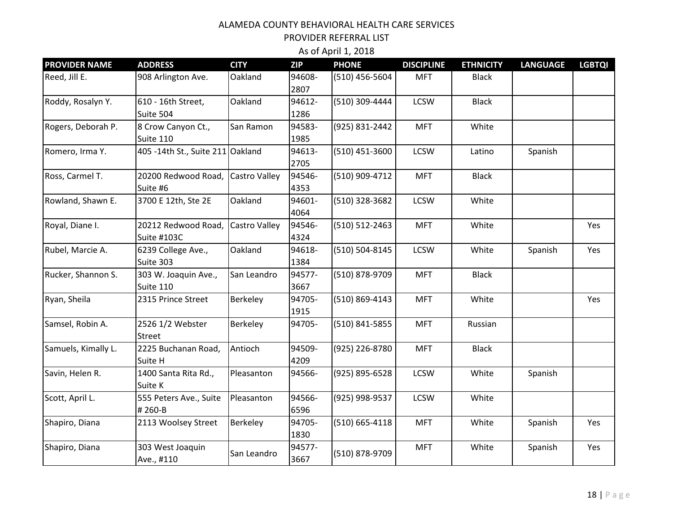PROVIDER REFERRAL LIST

| <b>PROVIDER NAME</b> | <b>ADDRESS</b>                   | <b>CITY</b>          | <b>ZIP</b>     | <b>PHONE</b>   | <b>DISCIPLINE</b> | <b>ETHNICITY</b> | <b>LANGUAGE</b> | <b>LGBTQI</b> |
|----------------------|----------------------------------|----------------------|----------------|----------------|-------------------|------------------|-----------------|---------------|
| Reed, Jill E.        | 908 Arlington Ave.               | Oakland              | 94608-<br>2807 | (510) 456-5604 | <b>MFT</b>        | <b>Black</b>     |                 |               |
| Roddy, Rosalyn Y.    | 610 - 16th Street,               | Oakland              | 94612-         | (510) 309-4444 | LCSW              | <b>Black</b>     |                 |               |
|                      | Suite 504                        |                      | 1286           |                |                   |                  |                 |               |
| Rogers, Deborah P.   | 8 Crow Canyon Ct.,               | San Ramon            | 94583-         | (925) 831-2442 | <b>MFT</b>        | White            |                 |               |
|                      | Suite 110                        |                      | 1985           |                |                   |                  |                 |               |
| Romero, Irma Y.      | 405 -14th St., Suite 211 Oakland |                      | 94613-         | (510) 451-3600 | LCSW              | Latino           | Spanish         |               |
|                      |                                  |                      | 2705           |                |                   |                  |                 |               |
| Ross, Carmel T.      | 20200 Redwood Road,              | <b>Castro Valley</b> | 94546-         | (510) 909-4712 | <b>MFT</b>        | <b>Black</b>     |                 |               |
|                      | Suite #6                         |                      | 4353           |                |                   |                  |                 |               |
| Rowland, Shawn E.    | 3700 E 12th, Ste 2E              | Oakland              | 94601-         | (510) 328-3682 | LCSW              | White            |                 |               |
|                      |                                  |                      | 4064           |                |                   |                  |                 |               |
| Royal, Diane I.      | 20212 Redwood Road,              | Castro Valley        | 94546-         | (510) 512-2463 | <b>MFT</b>        | White            |                 | Yes           |
|                      | Suite #103C                      |                      | 4324           |                |                   |                  |                 |               |
| Rubel, Marcie A.     | 6239 College Ave.,               | Oakland              | 94618-         | (510) 504-8145 | LCSW              | White            | Spanish         | Yes           |
|                      | Suite 303                        |                      | 1384           |                |                   |                  |                 |               |
| Rucker, Shannon S.   | 303 W. Joaquin Ave.,             | San Leandro          | 94577-         | (510) 878-9709 | <b>MFT</b>        | <b>Black</b>     |                 |               |
|                      | Suite 110                        |                      | 3667           |                |                   |                  |                 |               |
| Ryan, Sheila         | 2315 Prince Street               | Berkeley             | 94705-         | (510) 869-4143 | <b>MFT</b>        | White            |                 | Yes           |
|                      |                                  |                      | 1915           |                |                   |                  |                 |               |
| Samsel, Robin A.     | 2526 1/2 Webster                 | Berkeley             | 94705-         | (510) 841-5855 | <b>MFT</b>        | Russian          |                 |               |
|                      | <b>Street</b>                    |                      |                |                |                   |                  |                 |               |
| Samuels, Kimally L.  | 2225 Buchanan Road,              | Antioch              | 94509-         | (925) 226-8780 | <b>MFT</b>        | <b>Black</b>     |                 |               |
|                      | Suite H                          |                      | 4209           |                |                   |                  |                 |               |
| Savin, Helen R.      | 1400 Santa Rita Rd.,             | Pleasanton           | 94566-         | (925) 895-6528 | LCSW              | White            | Spanish         |               |
|                      | Suite K                          |                      |                |                |                   |                  |                 |               |
| Scott, April L.      | 555 Peters Ave., Suite           | Pleasanton           | 94566-         | (925) 998-9537 | <b>LCSW</b>       | White            |                 |               |
|                      | #260-B                           |                      | 6596           |                |                   |                  |                 |               |
| Shapiro, Diana       | 2113 Woolsey Street              | Berkeley             | 94705-         | (510) 665-4118 | <b>MFT</b>        | White            | Spanish         | Yes           |
|                      |                                  |                      | 1830           |                |                   |                  |                 |               |
| Shapiro, Diana       | 303 West Joaquin                 | San Leandro          | 94577-         | (510) 878-9709 | <b>MFT</b>        | White            | Spanish         | Yes           |
|                      | Ave., #110                       |                      | 3667           |                |                   |                  |                 |               |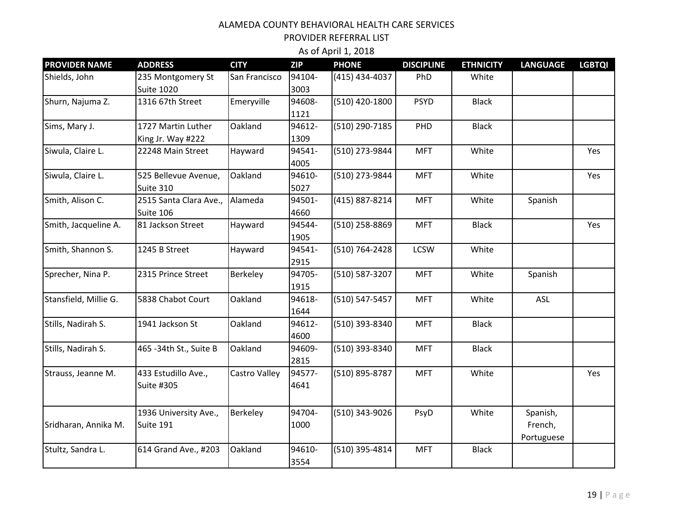| <b>PROVIDER NAME</b>  | <b>ADDRESS</b>                           | <b>CITY</b>   | <b>ZIP</b>     | <b>PHONE</b>   | <b>DISCIPLINE</b> | <b>ETHNICITY</b> | <b>LANGUAGE</b>                   | <b>LGBTQI</b> |
|-----------------------|------------------------------------------|---------------|----------------|----------------|-------------------|------------------|-----------------------------------|---------------|
| Shields, John         | 235 Montgomery St<br><b>Suite 1020</b>   | San Francisco | 94104-<br>3003 | (415) 434-4037 | PhD               | White            |                                   |               |
| Shurn, Najuma Z.      | 1316 67th Street                         | Emeryville    | 94608-<br>1121 | (510) 420-1800 | <b>PSYD</b>       | <b>Black</b>     |                                   |               |
| Sims, Mary J.         | 1727 Martin Luther<br>King Jr. Way #222  | Oakland       | 94612-<br>1309 | (510) 290-7185 | PHD               | <b>Black</b>     |                                   |               |
| Siwula, Claire L.     | 22248 Main Street                        | Hayward       | 94541-<br>4005 | (510) 273-9844 | <b>MFT</b>        | White            |                                   | Yes           |
| Siwula, Claire L.     | 525 Bellevue Avenue,<br>Suite 310        | Oakland       | 94610-<br>5027 | (510) 273-9844 | <b>MFT</b>        | White            |                                   | Yes           |
| Smith, Alison C.      | 2515 Santa Clara Ave.,<br>Suite 106      | Alameda       | 94501-<br>4660 | (415) 887-8214 | <b>MFT</b>        | White            | Spanish                           |               |
| Smith, Jacqueline A.  | 81 Jackson Street                        | Hayward       | 94544-<br>1905 | (510) 258-8869 | <b>MFT</b>        | <b>Black</b>     |                                   | Yes           |
| Smith, Shannon S.     | 1245 B Street                            | Hayward       | 94541-<br>2915 | (510) 764-2428 | <b>LCSW</b>       | White            |                                   |               |
| Sprecher, Nina P.     | 2315 Prince Street                       | Berkeley      | 94705-<br>1915 | (510) 587-3207 | <b>MFT</b>        | White            | Spanish                           |               |
| Stansfield, Millie G. | 5838 Chabot Court                        | Oakland       | 94618-<br>1644 | (510) 547-5457 | <b>MFT</b>        | White            | ASL                               |               |
| Stills, Nadirah S.    | 1941 Jackson St                          | Oakland       | 94612-<br>4600 | (510) 393-8340 | <b>MFT</b>        | <b>Black</b>     |                                   |               |
| Stills, Nadirah S.    | 465 - 34th St., Suite B                  | Oakland       | 94609-<br>2815 | (510) 393-8340 | <b>MFT</b>        | <b>Black</b>     |                                   |               |
| Strauss, Jeanne M.    | 433 Estudillo Ave.,<br><b>Suite #305</b> | Castro Valley | 94577-<br>4641 | (510) 895-8787 | <b>MFT</b>        | White            |                                   | Yes           |
| Sridharan, Annika M.  | 1936 University Ave.,<br>Suite 191       | Berkeley      | 94704-<br>1000 | (510) 343-9026 | PsyD              | White            | Spanish,<br>French,<br>Portuguese |               |
| Stultz, Sandra L.     | 614 Grand Ave., #203                     | Oakland       | 94610-<br>3554 | (510) 395-4814 | <b>MFT</b>        | <b>Black</b>     |                                   |               |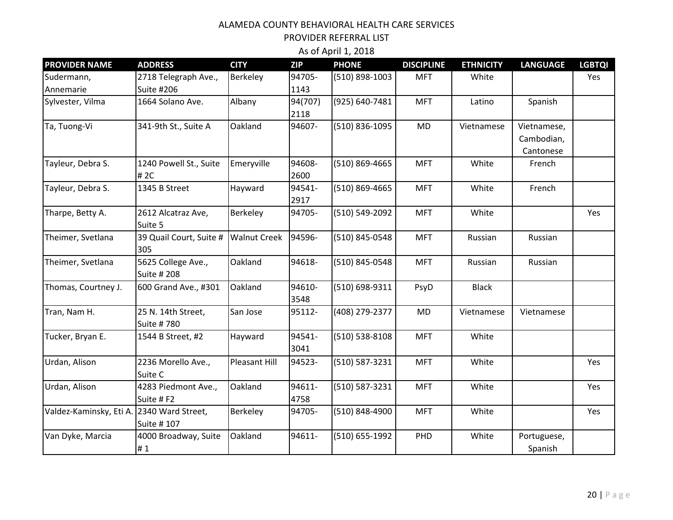PROVIDER REFERRAL LIST

| <b>PROVIDER NAME</b>                      | <b>ADDRESS</b>                            | <b>CITY</b>          | <b>ZIP</b>      | <b>PHONE</b>   | <b>DISCIPLINE</b> | <b>ETHNICITY</b> | <b>LANGUAGE</b>                        | <b>LGBTQI</b> |
|-------------------------------------------|-------------------------------------------|----------------------|-----------------|----------------|-------------------|------------------|----------------------------------------|---------------|
| Sudermann,<br>Annemarie                   | 2718 Telegraph Ave.,<br><b>Suite #206</b> | <b>Berkeley</b>      | 94705-<br>1143  | (510) 898-1003 | <b>MFT</b>        | White            |                                        | Yes           |
| Sylvester, Vilma                          | 1664 Solano Ave.                          | Albany               | 94(707)<br>2118 | (925) 640-7481 | <b>MFT</b>        | Latino           | Spanish                                |               |
| Ta, Tuong-Vi                              | 341-9th St., Suite A                      | Oakland              | 94607-          | (510) 836-1095 | <b>MD</b>         | Vietnamese       | Vietnamese,<br>Cambodian,<br>Cantonese |               |
| Tayleur, Debra S.                         | 1240 Powell St., Suite<br># 2C            | Emeryville           | 94608-<br>2600  | (510) 869-4665 | <b>MFT</b>        | White            | French                                 |               |
| Tayleur, Debra S.                         | 1345 B Street                             | Hayward              | 94541-<br>2917  | (510) 869-4665 | <b>MFT</b>        | White            | French                                 |               |
| Tharpe, Betty A.                          | 2612 Alcatraz Ave,<br>Suite 5             | Berkeley             | 94705-          | (510) 549-2092 | <b>MFT</b>        | White            |                                        | Yes           |
| Theimer, Svetlana                         | 39 Quail Court, Suite #<br>305            | <b>Walnut Creek</b>  | 94596-          | (510) 845-0548 | <b>MFT</b>        | Russian          | Russian                                |               |
| Theimer, Svetlana                         | 5625 College Ave.,<br>Suite # 208         | Oakland              | 94618-          | (510) 845-0548 | <b>MFT</b>        | Russian          | Russian                                |               |
| Thomas, Courtney J.                       | 600 Grand Ave., #301                      | Oakland              | 94610-<br>3548  | (510) 698-9311 | PsyD              | <b>Black</b>     |                                        |               |
| Tran, Nam H.                              | 25 N. 14th Street,<br>Suite #780          | San Jose             | 95112-          | (408) 279-2377 | <b>MD</b>         | Vietnamese       | Vietnamese                             |               |
| Tucker, Bryan E.                          | 1544 B Street, #2                         | Hayward              | 94541-<br>3041  | (510) 538-8108 | <b>MFT</b>        | White            |                                        |               |
| Urdan, Alison                             | 2236 Morello Ave.,<br>Suite C             | <b>Pleasant Hill</b> | 94523-          | (510) 587-3231 | <b>MFT</b>        | White            |                                        | Yes           |
| Urdan, Alison                             | 4283 Piedmont Ave.,<br>Suite #F2          | Oakland              | 94611-<br>4758  | (510) 587-3231 | <b>MFT</b>        | White            |                                        | Yes           |
| Valdez-Kaminsky, Eti A. 2340 Ward Street, | Suite # 107                               | Berkeley             | 94705-          | (510) 848-4900 | <b>MFT</b>        | White            |                                        | Yes           |
| Van Dyke, Marcia                          | 4000 Broadway, Suite<br>#1                | Oakland              | 94611-          | (510) 655-1992 | PHD               | White            | Portuguese,<br>Spanish                 |               |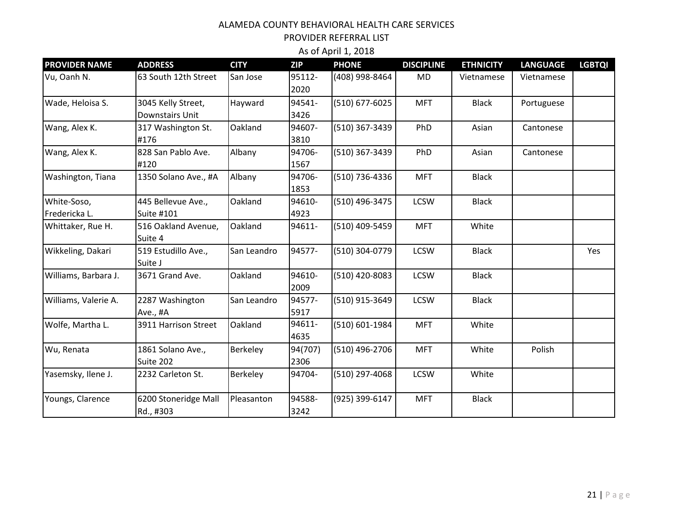PROVIDER REFERRAL LIST

| <b>PROVIDER NAME</b>         | <b>ADDRESS</b>                        | <b>CITY</b> | <b>ZIP</b>      | <b>PHONE</b>   | <b>DISCIPLINE</b> | <b>ETHNICITY</b> | <b>LANGUAGE</b> | <b>LGBTQI</b> |
|------------------------------|---------------------------------------|-------------|-----------------|----------------|-------------------|------------------|-----------------|---------------|
| Vu, Oanh N.                  | 63 South 12th Street                  | San Jose    | 95112-<br>2020  | (408) 998-8464 | <b>MD</b>         | Vietnamese       | Vietnamese      |               |
| Wade, Heloisa S.             | 3045 Kelly Street,<br>Downstairs Unit | Hayward     | 94541-<br>3426  | (510) 677-6025 | <b>MFT</b>        | <b>Black</b>     | Portuguese      |               |
| Wang, Alex K.                | 317 Washington St.<br>#176            | Oakland     | 94607-<br>3810  | (510) 367-3439 | PhD               | Asian            | Cantonese       |               |
| Wang, Alex K.                | 828 San Pablo Ave.<br>#120            | Albany      | 94706-<br>1567  | (510) 367-3439 | PhD               | Asian            | Cantonese       |               |
| Washington, Tiana            | 1350 Solano Ave., #A                  | Albany      | 94706-<br>1853  | (510) 736-4336 | <b>MFT</b>        | <b>Black</b>     |                 |               |
| White-Soso,<br>Fredericka L. | 445 Bellevue Ave.,<br>Suite #101      | Oakland     | 94610-<br>4923  | (510) 496-3475 | <b>LCSW</b>       | <b>Black</b>     |                 |               |
| Whittaker, Rue H.            | 516 Oakland Avenue,<br>Suite 4        | Oakland     | 94611-          | (510) 409-5459 | <b>MFT</b>        | White            |                 |               |
| Wikkeling, Dakari            | 519 Estudillo Ave.,<br>Suite J        | San Leandro | 94577-          | (510) 304-0779 | <b>LCSW</b>       | <b>Black</b>     |                 | Yes           |
| Williams, Barbara J.         | 3671 Grand Ave.                       | Oakland     | 94610-<br>2009  | (510) 420-8083 | <b>LCSW</b>       | <b>Black</b>     |                 |               |
| Williams, Valerie A.         | 2287 Washington<br>Ave., #A           | San Leandro | 94577-<br>5917  | (510) 915-3649 | <b>LCSW</b>       | <b>Black</b>     |                 |               |
| Wolfe, Martha L.             | 3911 Harrison Street                  | Oakland     | 94611-<br>4635  | (510) 601-1984 | <b>MFT</b>        | White            |                 |               |
| Wu, Renata                   | 1861 Solano Ave.,<br>Suite 202        | Berkeley    | 94(707)<br>2306 | (510) 496-2706 | <b>MFT</b>        | White            | Polish          |               |
| Yasemsky, Ilene J.           | 2232 Carleton St.                     | Berkeley    | 94704-          | (510) 297-4068 | <b>LCSW</b>       | White            |                 |               |
| Youngs, Clarence             | 6200 Stoneridge Mall<br>Rd., #303     | Pleasanton  | 94588-<br>3242  | (925) 399-6147 | <b>MFT</b>        | <b>Black</b>     |                 |               |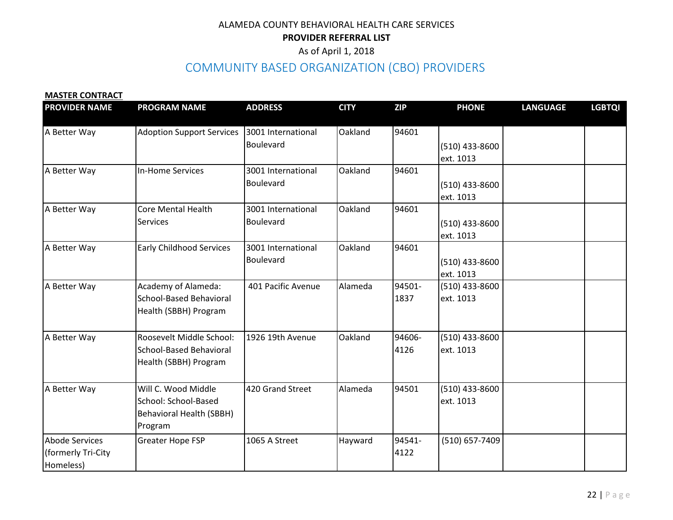As of April 1, 2018

# COMMUNITY BASED ORGANIZATION (CBO) PROVIDERS

#### **MASTER CONTRACT**

| <b>PROVIDER NAME</b>                                     | <b>PROGRAM NAME</b>                                                                       | <b>ADDRESS</b>                  | <b>CITY</b> | <b>ZIP</b>     | <b>PHONE</b>                  | <b>LANGUAGE</b> | <b>LGBTQI</b> |
|----------------------------------------------------------|-------------------------------------------------------------------------------------------|---------------------------------|-------------|----------------|-------------------------------|-----------------|---------------|
| A Better Way                                             | <b>Adoption Support Services</b>                                                          | 3001 International<br>Boulevard | Oakland     | 94601          | $(510)$ 433-8600<br>ext. 1013 |                 |               |
| A Better Way                                             | <b>In-Home Services</b>                                                                   | 3001 International<br>Boulevard | Oakland     | 94601          | $(510)$ 433-8600<br>ext. 1013 |                 |               |
| A Better Way                                             | <b>Core Mental Health</b><br><b>Services</b>                                              | 3001 International<br>Boulevard | Oakland     | 94601          | $(510)$ 433-8600<br>ext. 1013 |                 |               |
| A Better Way                                             | <b>Early Childhood Services</b>                                                           | 3001 International<br>Boulevard | Oakland     | 94601          | $(510)$ 433-8600<br>ext. 1013 |                 |               |
| A Better Way                                             | Academy of Alameda:<br>School-Based Behavioral<br>Health (SBBH) Program                   | 401 Pacific Avenue              | Alameda     | 94501-<br>1837 | (510) 433-8600<br>ext. 1013   |                 |               |
| A Better Way                                             | Roosevelt Middle School:<br><b>School-Based Behavioral</b><br>Health (SBBH) Program       | 1926 19th Avenue                | Oakland     | 94606-<br>4126 | (510) 433-8600<br>ext. 1013   |                 |               |
| A Better Way                                             | Will C. Wood Middle<br>School: School-Based<br><b>Behavioral Health (SBBH)</b><br>Program | 420 Grand Street                | Alameda     | 94501          | (510) 433-8600<br>ext. 1013   |                 |               |
| <b>Abode Services</b><br>(formerly Tri-City<br>Homeless) | <b>Greater Hope FSP</b>                                                                   | 1065 A Street                   | Hayward     | 94541-<br>4122 | (510) 657-7409                |                 |               |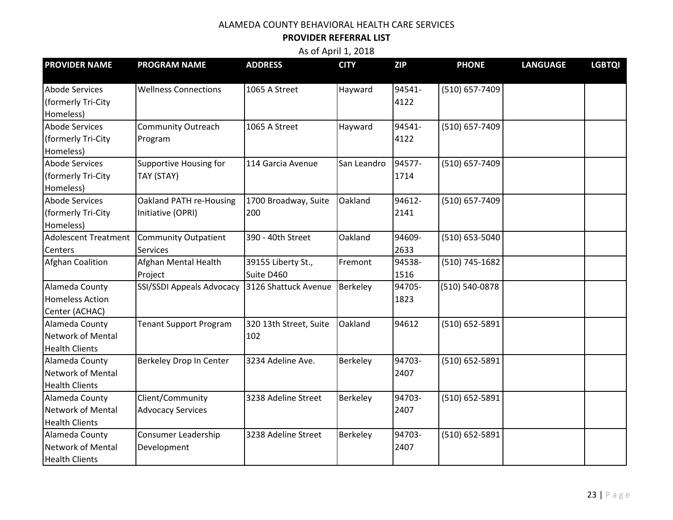### **PROVIDER REFERRAL LIST**

| <b>PROVIDER NAME</b>        | <b>PROGRAM NAME</b>           | <b>ADDRESS</b>         | <b>CITY</b>     | <b>ZIP</b> | <b>PHONE</b>   | <b>LANGUAGE</b> | <b>LGBTQI</b> |
|-----------------------------|-------------------------------|------------------------|-----------------|------------|----------------|-----------------|---------------|
|                             |                               |                        |                 |            |                |                 |               |
| <b>Abode Services</b>       | <b>Wellness Connections</b>   | 1065 A Street          | Hayward         | 94541-     | (510) 657-7409 |                 |               |
| (formerly Tri-City          |                               |                        |                 | 4122       |                |                 |               |
| Homeless)                   |                               |                        |                 |            |                |                 |               |
| <b>Abode Services</b>       | <b>Community Outreach</b>     | 1065 A Street          | Hayward         | 94541-     | (510) 657-7409 |                 |               |
| (formerly Tri-City          | Program                       |                        |                 | 4122       |                |                 |               |
| Homeless)                   |                               |                        |                 |            |                |                 |               |
| <b>Abode Services</b>       | <b>Supportive Housing for</b> | 114 Garcia Avenue      | San Leandro     | 94577-     | (510) 657-7409 |                 |               |
| (formerly Tri-City          | TAY (STAY)                    |                        |                 | 1714       |                |                 |               |
| Homeless)                   |                               |                        |                 |            |                |                 |               |
| <b>Abode Services</b>       | Oakland PATH re-Housing       | 1700 Broadway, Suite   | Oakland         | 94612-     | (510) 657-7409 |                 |               |
| (formerly Tri-City          | Initiative (OPRI)             | 200                    |                 | 2141       |                |                 |               |
| Homeless)                   |                               |                        |                 |            |                |                 |               |
| <b>Adolescent Treatment</b> | <b>Community Outpatient</b>   | 390 - 40th Street      | Oakland         | 94609-     | (510) 653-5040 |                 |               |
| Centers                     | <b>Services</b>               |                        |                 | 2633       |                |                 |               |
| <b>Afghan Coalition</b>     | Afghan Mental Health          | 39155 Liberty St.,     | Fremont         | 94538-     | (510) 745-1682 |                 |               |
|                             | Project                       | Suite D460             |                 | 1516       |                |                 |               |
| Alameda County              | SSI/SSDI Appeals Advocacy     | 3126 Shattuck Avenue   | <b>Berkeley</b> | 94705-     | (510) 540-0878 |                 |               |
| <b>Homeless Action</b>      |                               |                        |                 | 1823       |                |                 |               |
| Center (ACHAC)              |                               |                        |                 |            |                |                 |               |
| Alameda County              | <b>Tenant Support Program</b> | 320 13th Street, Suite | Oakland         | 94612      | (510) 652-5891 |                 |               |
| <b>Network of Mental</b>    |                               | 102                    |                 |            |                |                 |               |
| <b>Health Clients</b>       |                               |                        |                 |            |                |                 |               |
| Alameda County              | Berkeley Drop In Center       | 3234 Adeline Ave.      | <b>Berkeley</b> | 94703-     | (510) 652-5891 |                 |               |
| Network of Mental           |                               |                        |                 | 2407       |                |                 |               |
| <b>Health Clients</b>       |                               |                        |                 |            |                |                 |               |
| Alameda County              | Client/Community              | 3238 Adeline Street    | Berkeley        | 94703-     | (510) 652-5891 |                 |               |
| Network of Mental           | <b>Advocacy Services</b>      |                        |                 | 2407       |                |                 |               |
| <b>Health Clients</b>       |                               |                        |                 |            |                |                 |               |
| Alameda County              | <b>Consumer Leadership</b>    | 3238 Adeline Street    | Berkeley        | 94703-     | (510) 652-5891 |                 |               |
| Network of Mental           | Development                   |                        |                 | 2407       |                |                 |               |
| <b>Health Clients</b>       |                               |                        |                 |            |                |                 |               |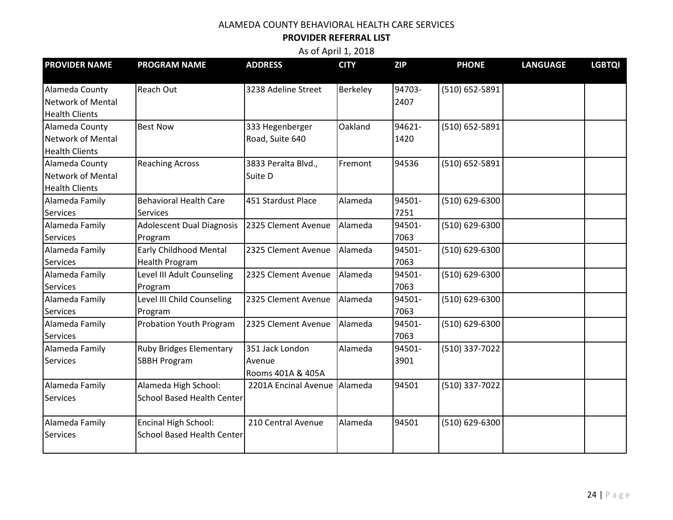## **PROVIDER REFERRAL LIST**

| <b>PROVIDER NAME</b>  | <b>PROGRAM NAME</b>               | <b>ADDRESS</b>       | <b>CITY</b> | <b>ZIP</b> | <b>PHONE</b>   | <b>LANGUAGE</b> | <b>LGBTQI</b> |
|-----------------------|-----------------------------------|----------------------|-------------|------------|----------------|-----------------|---------------|
| Alameda County        | <b>Reach Out</b>                  | 3238 Adeline Street  | Berkeley    | 94703-     | (510) 652-5891 |                 |               |
| Network of Mental     |                                   |                      |             | 2407       |                |                 |               |
| <b>Health Clients</b> |                                   |                      |             |            |                |                 |               |
| Alameda County        | <b>Best Now</b>                   | 333 Hegenberger      | Oakland     | 94621-     | (510) 652-5891 |                 |               |
| Network of Mental     |                                   | Road, Suite 640      |             | 1420       |                |                 |               |
| <b>Health Clients</b> |                                   |                      |             |            |                |                 |               |
| Alameda County        | <b>Reaching Across</b>            | 3833 Peralta Blvd.,  | Fremont     | 94536      | (510) 652-5891 |                 |               |
| Network of Mental     |                                   | Suite D              |             |            |                |                 |               |
| <b>Health Clients</b> |                                   |                      |             |            |                |                 |               |
| Alameda Family        | <b>Behavioral Health Care</b>     | 451 Stardust Place   | Alameda     | 94501-     | (510) 629-6300 |                 |               |
| Services              | <b>Services</b>                   |                      |             | 7251       |                |                 |               |
| Alameda Family        | <b>Adolescent Dual Diagnosis</b>  | 2325 Clement Avenue  | Alameda     | 94501-     | (510) 629-6300 |                 |               |
| <b>Services</b>       | Program                           |                      |             | 7063       |                |                 |               |
| Alameda Family        | <b>Early Childhood Mental</b>     | 2325 Clement Avenue  | Alameda     | 94501-     | (510) 629-6300 |                 |               |
| <b>Services</b>       | <b>Health Program</b>             |                      |             | 7063       |                |                 |               |
| Alameda Family        | Level III Adult Counseling        | 2325 Clement Avenue  | Alameda     | 94501-     | (510) 629-6300 |                 |               |
| <b>Services</b>       | Program                           |                      |             | 7063       |                |                 |               |
| Alameda Family        | Level III Child Counseling        | 2325 Clement Avenue  | Alameda     | 94501-     | (510) 629-6300 |                 |               |
| <b>Services</b>       | Program                           |                      |             | 7063       |                |                 |               |
| Alameda Family        | <b>Probation Youth Program</b>    | 2325 Clement Avenue  | Alameda     | 94501-     | (510) 629-6300 |                 |               |
| <b>Services</b>       |                                   |                      |             | 7063       |                |                 |               |
| Alameda Family        | <b>Ruby Bridges Elementary</b>    | 351 Jack London      | Alameda     | 94501-     | (510) 337-7022 |                 |               |
| <b>Services</b>       | <b>SBBH Program</b>               | Avenue               |             | 3901       |                |                 |               |
|                       |                                   | Rooms 401A & 405A    |             |            |                |                 |               |
| Alameda Family        | Alameda High School:              | 2201A Encinal Avenue | Alameda     | 94501      | (510) 337-7022 |                 |               |
| <b>Services</b>       | <b>School Based Health Center</b> |                      |             |            |                |                 |               |
| Alameda Family        | Encinal High School:              | 210 Central Avenue   | Alameda     | 94501      | (510) 629-6300 |                 |               |
| <b>Services</b>       | <b>School Based Health Center</b> |                      |             |            |                |                 |               |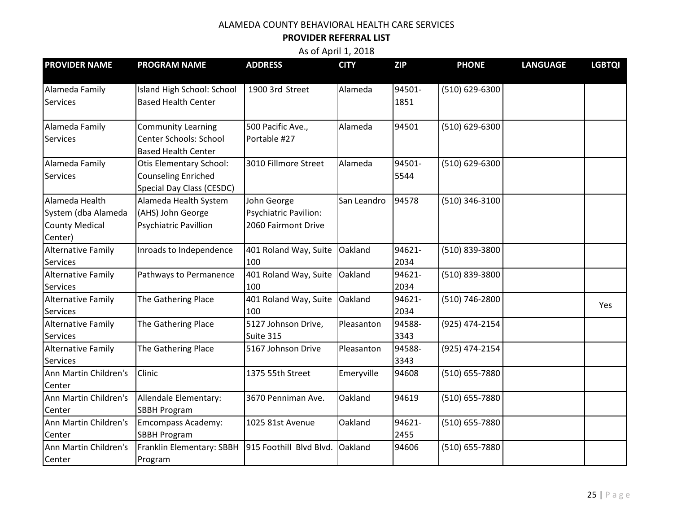## **PROVIDER REFERRAL LIST**

| <b>PROVIDER NAME</b>      | <b>PROGRAM NAME</b>          | <b>ADDRESS</b>          | <b>CITY</b> | <b>ZIP</b> | <b>PHONE</b>   | <b>LANGUAGE</b> | <b>LGBTQI</b> |
|---------------------------|------------------------------|-------------------------|-------------|------------|----------------|-----------------|---------------|
|                           |                              |                         |             |            |                |                 |               |
| Alameda Family            | Island High School: School   | 1900 3rd Street         | Alameda     | 94501-     | (510) 629-6300 |                 |               |
| <b>Services</b>           | <b>Based Health Center</b>   |                         |             | 1851       |                |                 |               |
| Alameda Family            | <b>Community Learning</b>    | 500 Pacific Ave.,       | Alameda     | 94501      | (510) 629-6300 |                 |               |
| Services                  | Center Schools: School       | Portable #27            |             |            |                |                 |               |
|                           | <b>Based Health Center</b>   |                         |             |            |                |                 |               |
| Alameda Family            | Otis Elementary School:      | 3010 Fillmore Street    | Alameda     | 94501-     | (510) 629-6300 |                 |               |
| <b>Services</b>           | <b>Counseling Enriched</b>   |                         |             | 5544       |                |                 |               |
|                           | Special Day Class (CESDC)    |                         |             |            |                |                 |               |
| Alameda Health            | Alameda Health System        | John George             | San Leandro | 94578      | (510) 346-3100 |                 |               |
| System (dba Alameda       | (AHS) John George            | Psychiatric Pavilion:   |             |            |                |                 |               |
| <b>County Medical</b>     | <b>Psychiatric Pavillion</b> | 2060 Fairmont Drive     |             |            |                |                 |               |
| Center)                   |                              |                         |             |            |                |                 |               |
| <b>Alternative Family</b> | Inroads to Independence      | 401 Roland Way, Suite   | Oakland     | 94621-     | (510) 839-3800 |                 |               |
| <b>Services</b>           |                              | 100                     |             | 2034       |                |                 |               |
| <b>Alternative Family</b> | Pathways to Permanence       | 401 Roland Way, Suite   | Oakland     | 94621-     | (510) 839-3800 |                 |               |
| <b>Services</b>           |                              | 100                     |             | 2034       |                |                 |               |
| <b>Alternative Family</b> | The Gathering Place          | 401 Roland Way, Suite   | Oakland     | 94621-     | (510) 746-2800 |                 | Yes           |
| <b>Services</b>           |                              | 100                     |             | 2034       |                |                 |               |
| <b>Alternative Family</b> | The Gathering Place          | 5127 Johnson Drive,     | Pleasanton  | 94588-     | (925) 474-2154 |                 |               |
| <b>Services</b>           |                              | Suite 315               |             | 3343       |                |                 |               |
| <b>Alternative Family</b> | The Gathering Place          | 5167 Johnson Drive      | Pleasanton  | 94588-     | (925) 474-2154 |                 |               |
| <b>Services</b>           |                              |                         |             | 3343       |                |                 |               |
| Ann Martin Children's     | Clinic                       | 1375 55th Street        | Emeryville  | 94608      | (510) 655-7880 |                 |               |
| Center                    |                              |                         |             |            |                |                 |               |
| Ann Martin Children's     | Allendale Elementary:        | 3670 Penniman Ave.      | Oakland     | 94619      | (510) 655-7880 |                 |               |
| Center                    | <b>SBBH Program</b>          |                         |             |            |                |                 |               |
| Ann Martin Children's     | <b>Emcompass Academy:</b>    | 1025 81st Avenue        | Oakland     | 94621-     | (510) 655-7880 |                 |               |
| Center                    | <b>SBBH Program</b>          |                         |             | 2455       |                |                 |               |
| Ann Martin Children's     | Franklin Elementary: SBBH    | 915 Foothill Blvd Blvd. | Oakland     | 94606      | (510) 655-7880 |                 |               |
| Center                    | Program                      |                         |             |            |                |                 |               |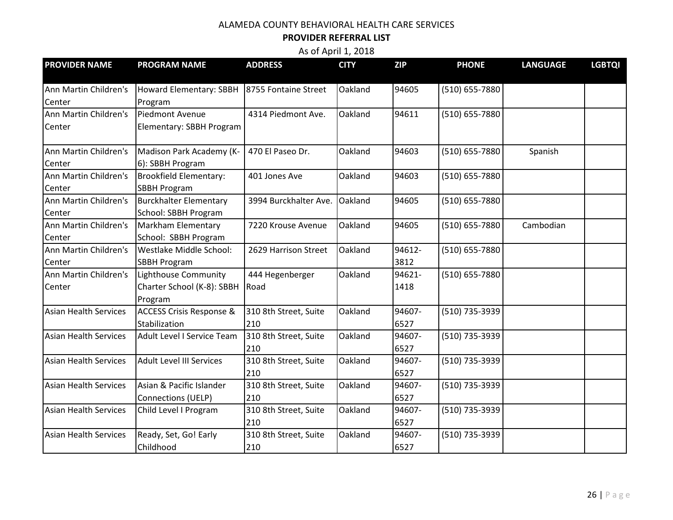# **PROVIDER REFERRAL LIST**

| <b>PROVIDER NAME</b>         | <b>PROGRAM NAME</b>                 | <b>ADDRESS</b>        | <b>CITY</b> | <b>ZIP</b> | <b>PHONE</b>   | <b>LANGUAGE</b> | <b>LGBTQI</b> |
|------------------------------|-------------------------------------|-----------------------|-------------|------------|----------------|-----------------|---------------|
|                              |                                     |                       |             |            |                |                 |               |
| Ann Martin Children's        | Howard Elementary: SBBH             | 8755 Fontaine Street  | Oakland     | 94605      | (510) 655-7880 |                 |               |
| Center                       | Program                             |                       |             |            |                |                 |               |
| Ann Martin Children's        | Piedmont Avenue                     | 4314 Piedmont Ave.    | Oakland     | 94611      | (510) 655-7880 |                 |               |
| Center                       | Elementary: SBBH Program            |                       |             |            |                |                 |               |
| Ann Martin Children's        | Madison Park Academy (K-            | 470 El Paseo Dr.      | Oakland     | 94603      | (510) 655-7880 | Spanish         |               |
| Center                       | 6): SBBH Program                    |                       |             |            |                |                 |               |
| Ann Martin Children's        | <b>Brookfield Elementary:</b>       | 401 Jones Ave         | Oakland     | 94603      | (510) 655-7880 |                 |               |
| Center                       | <b>SBBH Program</b>                 |                       |             |            |                |                 |               |
| Ann Martin Children's        | <b>Burckhalter Elementary</b>       | 3994 Burckhalter Ave. | Oakland     | 94605      | (510) 655-7880 |                 |               |
| Center                       | School: SBBH Program                |                       |             |            |                |                 |               |
| Ann Martin Children's        | Markham Elementary                  | 7220 Krouse Avenue    | Oakland     | 94605      | (510) 655-7880 | Cambodian       |               |
| Center                       | School: SBBH Program                |                       |             |            |                |                 |               |
| Ann Martin Children's        | Westlake Middle School:             | 2629 Harrison Street  | Oakland     | 94612-     | (510) 655-7880 |                 |               |
| Center                       | <b>SBBH Program</b>                 |                       |             | 3812       |                |                 |               |
| Ann Martin Children's        | Lighthouse Community                | 444 Hegenberger       | Oakland     | 94621-     | (510) 655-7880 |                 |               |
| Center                       | Charter School (K-8): SBBH          | Road                  |             | 1418       |                |                 |               |
|                              | Program                             |                       |             |            |                |                 |               |
| <b>Asian Health Services</b> | <b>ACCESS Crisis Response &amp;</b> | 310 8th Street, Suite | Oakland     | 94607-     | (510) 735-3939 |                 |               |
|                              | Stabilization                       | 210                   |             | 6527       |                |                 |               |
| <b>Asian Health Services</b> | Adult Level I Service Team          | 310 8th Street, Suite | Oakland     | 94607-     | (510) 735-3939 |                 |               |
|                              |                                     | 210                   |             | 6527       |                |                 |               |
| <b>Asian Health Services</b> | <b>Adult Level III Services</b>     | 310 8th Street, Suite | Oakland     | 94607-     | (510) 735-3939 |                 |               |
|                              |                                     | 210                   |             | 6527       |                |                 |               |
| <b>Asian Health Services</b> | Asian & Pacific Islander            | 310 8th Street, Suite | Oakland     | 94607-     | (510) 735-3939 |                 |               |
|                              | Connections (UELP)                  | 210                   |             | 6527       |                |                 |               |
| <b>Asian Health Services</b> | Child Level I Program               | 310 8th Street, Suite | Oakland     | 94607-     | (510) 735-3939 |                 |               |
|                              |                                     | 210                   |             | 6527       |                |                 |               |
| <b>Asian Health Services</b> | Ready, Set, Go! Early               | 310 8th Street, Suite | Oakland     | 94607-     | (510) 735-3939 |                 |               |
|                              | Childhood                           | 210                   |             | 6527       |                |                 |               |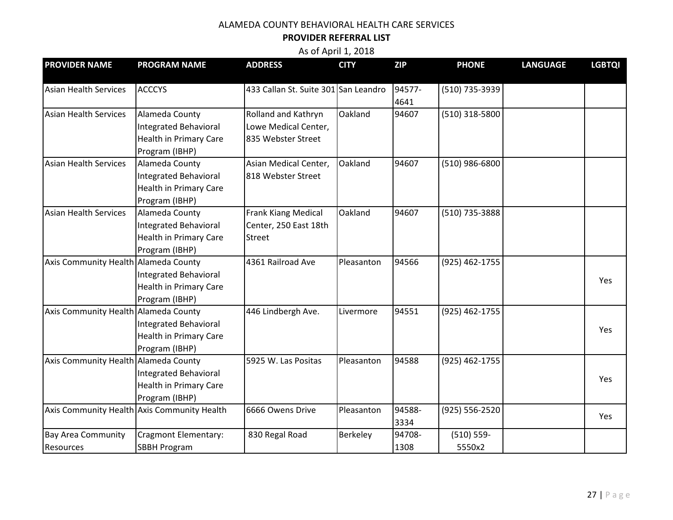### **PROVIDER REFERRAL LIST**

| <b>PROVIDER NAME</b>                   | <b>PROGRAM NAME</b>                                                                               | <b>ADDRESS</b>                                                    | <b>CITY</b> | <b>ZIP</b>     | <b>PHONE</b>            | <b>LANGUAGE</b> | <b>LGBTQI</b> |
|----------------------------------------|---------------------------------------------------------------------------------------------------|-------------------------------------------------------------------|-------------|----------------|-------------------------|-----------------|---------------|
| <b>Asian Health Services</b>           | <b>ACCCYS</b>                                                                                     | 433 Callan St. Suite 301 San Leandro                              |             | 94577-<br>4641 | (510) 735-3939          |                 |               |
| <b>Asian Health Services</b>           | Alameda County<br>Integrated Behavioral<br><b>Health in Primary Care</b><br>Program (IBHP)        | Rolland and Kathryn<br>Lowe Medical Center,<br>835 Webster Street | Oakland     | 94607          | (510) 318-5800          |                 |               |
| <b>Asian Health Services</b>           | Alameda County<br><b>Integrated Behavioral</b><br><b>Health in Primary Care</b><br>Program (IBHP) | Asian Medical Center,<br>818 Webster Street                       | Oakland     | 94607          | (510) 986-6800          |                 |               |
| <b>Asian Health Services</b>           | Alameda County<br>Integrated Behavioral<br><b>Health in Primary Care</b><br>Program (IBHP)        | Frank Kiang Medical<br>Center, 250 East 18th<br>Street            | Oakland     | 94607          | (510) 735-3888          |                 |               |
| Axis Community Health Alameda County   | <b>Integrated Behavioral</b><br>Health in Primary Care<br>Program (IBHP)                          | 4361 Railroad Ave                                                 | Pleasanton  | 94566          | (925) 462-1755          |                 | Yes           |
| Axis Community Health Alameda County   | <b>Integrated Behavioral</b><br><b>Health in Primary Care</b><br>Program (IBHP)                   | 446 Lindbergh Ave.                                                | Livermore   | 94551          | (925) 462-1755          |                 | Yes           |
| Axis Community Health Alameda County   | <b>Integrated Behavioral</b><br><b>Health in Primary Care</b><br>Program (IBHP)                   | 5925 W. Las Positas                                               | Pleasanton  | 94588          | (925) 462-1755          |                 | Yes           |
|                                        | Axis Community Health Axis Community Health                                                       | 6666 Owens Drive                                                  | Pleasanton  | 94588-<br>3334 | (925) 556-2520          |                 | Yes           |
| <b>Bay Area Community</b><br>Resources | Cragmont Elementary:<br><b>SBBH Program</b>                                                       | 830 Regal Road                                                    | Berkeley    | 94708-<br>1308 | $(510) 559 -$<br>5550x2 |                 |               |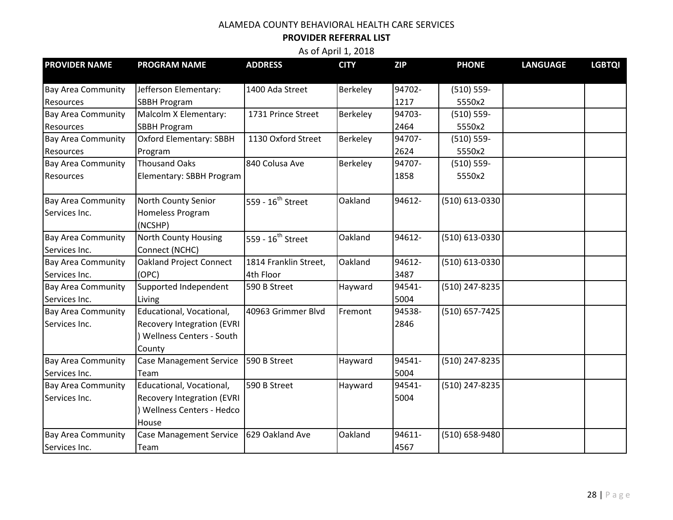# **PROVIDER REFERRAL LIST**

| <b>PROVIDER NAME</b>      | <b>PROGRAM NAME</b>               | <b>ADDRESS</b>                | <b>CITY</b> | <b>ZIP</b> | <b>PHONE</b>   | <b>LANGUAGE</b> | <b>LGBTQI</b> |
|---------------------------|-----------------------------------|-------------------------------|-------------|------------|----------------|-----------------|---------------|
|                           |                                   |                               |             |            |                |                 |               |
| <b>Bay Area Community</b> | Jefferson Elementary:             | 1400 Ada Street               | Berkeley    | 94702-     | $(510) 559 -$  |                 |               |
| Resources                 | <b>SBBH Program</b>               |                               |             | 1217       | 5550x2         |                 |               |
| <b>Bay Area Community</b> | Malcolm X Elementary:             | 1731 Prince Street            | Berkeley    | 94703-     | $(510) 559 -$  |                 |               |
| Resources                 | <b>SBBH Program</b>               |                               |             | 2464       | 5550x2         |                 |               |
| <b>Bay Area Community</b> | <b>Oxford Elementary: SBBH</b>    | 1130 Oxford Street            | Berkeley    | 94707-     | $(510) 559 -$  |                 |               |
| Resources                 | Program                           |                               |             | 2624       | 5550x2         |                 |               |
| <b>Bay Area Community</b> | <b>Thousand Oaks</b>              | 840 Colusa Ave                | Berkeley    | 94707-     | $(510) 559 -$  |                 |               |
| Resources                 | Elementary: SBBH Program          |                               |             | 1858       | 5550x2         |                 |               |
| <b>Bay Area Community</b> | North County Senior               | 559 - 16 <sup>th</sup> Street | Oakland     | 94612-     | (510) 613-0330 |                 |               |
| Services Inc.             | Homeless Program                  |                               |             |            |                |                 |               |
|                           | (NCSHP)                           |                               |             |            |                |                 |               |
| <b>Bay Area Community</b> | <b>North County Housing</b>       | 559 - 16 <sup>th</sup> Street | Oakland     | 94612-     | (510) 613-0330 |                 |               |
| Services Inc.             | Connect (NCHC)                    |                               |             |            |                |                 |               |
| <b>Bay Area Community</b> | Oakland Project Connect           | 1814 Franklin Street,         | Oakland     | 94612-     | (510) 613-0330 |                 |               |
| Services Inc.             | (OPC)                             | 4th Floor                     |             | 3487       |                |                 |               |
| <b>Bay Area Community</b> | Supported Independent             | 590 B Street                  | Hayward     | 94541-     | (510) 247-8235 |                 |               |
| Services Inc.             | Living                            |                               |             | 5004       |                |                 |               |
| <b>Bay Area Community</b> | Educational, Vocational,          | 40963 Grimmer Blvd            | Fremont     | 94538-     | (510) 657-7425 |                 |               |
| Services Inc.             | <b>Recovery Integration (EVRI</b> |                               |             | 2846       |                |                 |               |
|                           | ) Wellness Centers - South        |                               |             |            |                |                 |               |
|                           | County                            |                               |             |            |                |                 |               |
| <b>Bay Area Community</b> | <b>Case Management Service</b>    | 590 B Street                  | Hayward     | 94541-     | (510) 247-8235 |                 |               |
| Services Inc.             | Team                              |                               |             | 5004       |                |                 |               |
| <b>Bay Area Community</b> | Educational, Vocational,          | 590 B Street                  | Hayward     | 94541-     | (510) 247-8235 |                 |               |
| Services Inc.             | <b>Recovery Integration (EVRI</b> |                               |             | 5004       |                |                 |               |
|                           | ) Wellness Centers - Hedco        |                               |             |            |                |                 |               |
|                           | House                             |                               |             |            |                |                 |               |
| <b>Bay Area Community</b> | <b>Case Management Service</b>    | 629 Oakland Ave               | Oakland     | 94611-     | (510) 658-9480 |                 |               |
| Services Inc.             | Team                              |                               |             | 4567       |                |                 |               |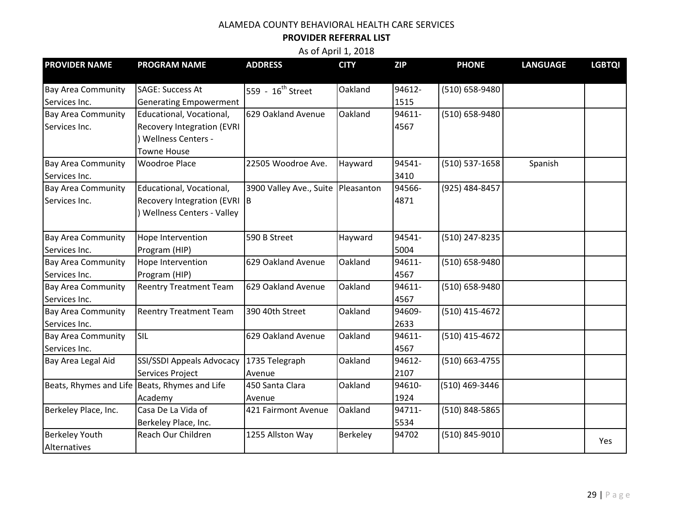# **PROVIDER REFERRAL LIST**

| <b>PROVIDER NAME</b>      | <b>PROGRAM NAME</b>                           | <b>ADDRESS</b>                     | <b>CITY</b> | <b>ZIP</b> | <b>PHONE</b>       | <b>LANGUAGE</b> | <b>LGBTQI</b> |
|---------------------------|-----------------------------------------------|------------------------------------|-------------|------------|--------------------|-----------------|---------------|
|                           |                                               |                                    |             |            |                    |                 |               |
| <b>Bay Area Community</b> | <b>SAGE: Success At</b>                       | 559 - 16 <sup>th</sup> Street      | Oakland     | 94612-     | (510) 658-9480     |                 |               |
| Services Inc.             | <b>Generating Empowerment</b>                 |                                    |             | 1515       |                    |                 |               |
| <b>Bay Area Community</b> | Educational, Vocational,                      | 629 Oakland Avenue                 | Oakland     | 94611-     | (510) 658-9480     |                 |               |
| Services Inc.             | <b>Recovery Integration (EVRI</b>             |                                    |             | 4567       |                    |                 |               |
|                           | <b>Wellness Centers -</b>                     |                                    |             |            |                    |                 |               |
|                           | <b>Towne House</b>                            |                                    |             |            |                    |                 |               |
| <b>Bay Area Community</b> | <b>Woodroe Place</b>                          | 22505 Woodroe Ave.                 | Hayward     | 94541-     | $(510) 537 - 1658$ | Spanish         |               |
| Services Inc.             |                                               |                                    |             | 3410       |                    |                 |               |
| <b>Bay Area Community</b> | Educational, Vocational,                      | 3900 Valley Ave., Suite Pleasanton |             | 94566-     | (925) 484-8457     |                 |               |
| Services Inc.             | Recovery Integration (EVRI B                  |                                    |             | 4871       |                    |                 |               |
|                           | <b>Wellness Centers - Valley</b>              |                                    |             |            |                    |                 |               |
|                           |                                               |                                    |             |            |                    |                 |               |
| <b>Bay Area Community</b> | Hope Intervention                             | 590 B Street                       | Hayward     | 94541-     | (510) 247-8235     |                 |               |
| Services Inc.             | Program (HIP)                                 |                                    |             | 5004       |                    |                 |               |
| <b>Bay Area Community</b> | Hope Intervention                             | 629 Oakland Avenue                 | Oakland     | 94611-     | $(510) 658 - 9480$ |                 |               |
| Services Inc.             | Program (HIP)                                 |                                    |             | 4567       |                    |                 |               |
| <b>Bay Area Community</b> | <b>Reentry Treatment Team</b>                 | 629 Oakland Avenue                 | Oakland     | 94611-     | (510) 658-9480     |                 |               |
| Services Inc.             |                                               |                                    |             | 4567       |                    |                 |               |
| <b>Bay Area Community</b> | <b>Reentry Treatment Team</b>                 | 390 40th Street                    | Oakland     | 94609-     | (510) 415-4672     |                 |               |
| Services Inc.             |                                               |                                    |             | 2633       |                    |                 |               |
| <b>Bay Area Community</b> | SIL                                           | 629 Oakland Avenue                 | Oakland     | 94611-     | (510) 415-4672     |                 |               |
| Services Inc.             |                                               |                                    |             | 4567       |                    |                 |               |
| Bay Area Legal Aid        | SSI/SSDI Appeals Advocacy                     | 1735 Telegraph                     | Oakland     | 94612-     | $(510) 663 - 4755$ |                 |               |
|                           | Services Project                              | Avenue                             |             | 2107       |                    |                 |               |
|                           | Beats, Rhymes and Life Beats, Rhymes and Life | 450 Santa Clara                    | Oakland     | 94610-     | (510) 469-3446     |                 |               |
|                           | Academy                                       | Avenue                             |             | 1924       |                    |                 |               |
| Berkeley Place, Inc.      | Casa De La Vida of                            | 421 Fairmont Avenue                | Oakland     | 94711-     | (510) 848-5865     |                 |               |
|                           | Berkeley Place, Inc.                          |                                    |             | 5534       |                    |                 |               |
| <b>Berkeley Youth</b>     | Reach Our Children                            | 1255 Allston Way                   | Berkeley    | 94702      | (510) 845-9010     |                 | Yes           |
| Alternatives              |                                               |                                    |             |            |                    |                 |               |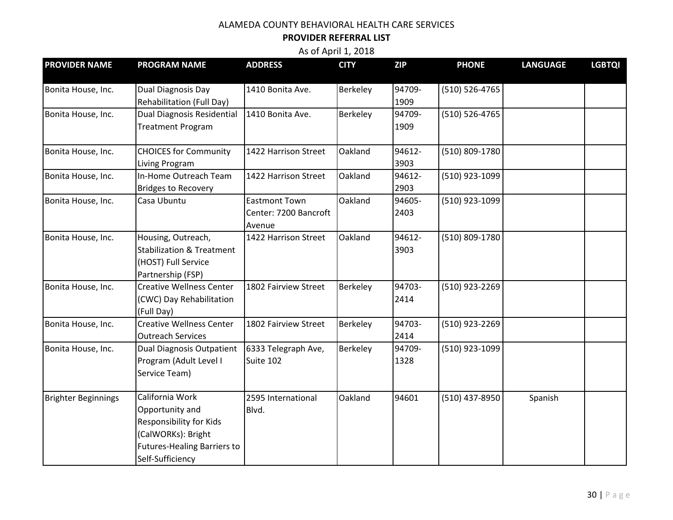## **PROVIDER REFERRAL LIST**

| <b>PROVIDER NAME</b>       | <b>PROGRAM NAME</b>                  | <b>ADDRESS</b>        | <b>CITY</b> | <b>ZIP</b> | <b>PHONE</b>   | <b>LANGUAGE</b> | <b>LGBTQI</b> |
|----------------------------|--------------------------------------|-----------------------|-------------|------------|----------------|-----------------|---------------|
| Bonita House, Inc.         | Dual Diagnosis Day                   | 1410 Bonita Ave.      | Berkeley    | 94709-     | (510) 526-4765 |                 |               |
|                            | <b>Rehabilitation (Full Day)</b>     |                       |             | 1909       |                |                 |               |
| Bonita House, Inc.         | <b>Dual Diagnosis Residential</b>    | 1410 Bonita Ave.      | Berkeley    | 94709-     | (510) 526-4765 |                 |               |
|                            | <b>Treatment Program</b>             |                       |             | 1909       |                |                 |               |
|                            |                                      |                       |             |            |                |                 |               |
| Bonita House, Inc.         | <b>CHOICES for Community</b>         | 1422 Harrison Street  | Oakland     | 94612-     | (510) 809-1780 |                 |               |
|                            | <b>Living Program</b>                |                       |             | 3903       |                |                 |               |
| Bonita House, Inc.         | In-Home Outreach Team                | 1422 Harrison Street  | Oakland     | 94612-     | (510) 923-1099 |                 |               |
|                            | <b>Bridges to Recovery</b>           |                       |             | 2903       |                |                 |               |
| Bonita House, Inc.         | Casa Ubuntu                          | <b>Eastmont Town</b>  | Oakland     | 94605-     | (510) 923-1099 |                 |               |
|                            |                                      | Center: 7200 Bancroft |             | 2403       |                |                 |               |
|                            |                                      | Avenue                |             |            |                |                 |               |
| Bonita House, Inc.         | Housing, Outreach,                   | 1422 Harrison Street  | Oakland     | 94612-     | (510) 809-1780 |                 |               |
|                            | <b>Stabilization &amp; Treatment</b> |                       |             | 3903       |                |                 |               |
|                            | (HOST) Full Service                  |                       |             |            |                |                 |               |
|                            | Partnership (FSP)                    |                       |             |            |                |                 |               |
| Bonita House, Inc.         | <b>Creative Wellness Center</b>      | 1802 Fairview Street  | Berkeley    | 94703-     | (510) 923-2269 |                 |               |
|                            | (CWC) Day Rehabilitation             |                       |             | 2414       |                |                 |               |
|                            | (Full Day)                           |                       |             |            |                |                 |               |
| Bonita House, Inc.         | <b>Creative Wellness Center</b>      | 1802 Fairview Street  | Berkeley    | 94703-     | (510) 923-2269 |                 |               |
|                            | <b>Outreach Services</b>             |                       |             | 2414       |                |                 |               |
| Bonita House, Inc.         | <b>Dual Diagnosis Outpatient</b>     | 6333 Telegraph Ave,   | Berkeley    | 94709-     | (510) 923-1099 |                 |               |
|                            | Program (Adult Level I               | Suite 102             |             | 1328       |                |                 |               |
|                            | Service Team)                        |                       |             |            |                |                 |               |
| <b>Brighter Beginnings</b> | California Work                      | 2595 International    | Oakland     | 94601      | (510) 437-8950 | Spanish         |               |
|                            | Opportunity and                      | Blvd.                 |             |            |                |                 |               |
|                            | Responsibility for Kids              |                       |             |            |                |                 |               |
|                            | (CalWORKs): Bright                   |                       |             |            |                |                 |               |
|                            | <b>Futures-Healing Barriers to</b>   |                       |             |            |                |                 |               |
|                            | Self-Sufficiency                     |                       |             |            |                |                 |               |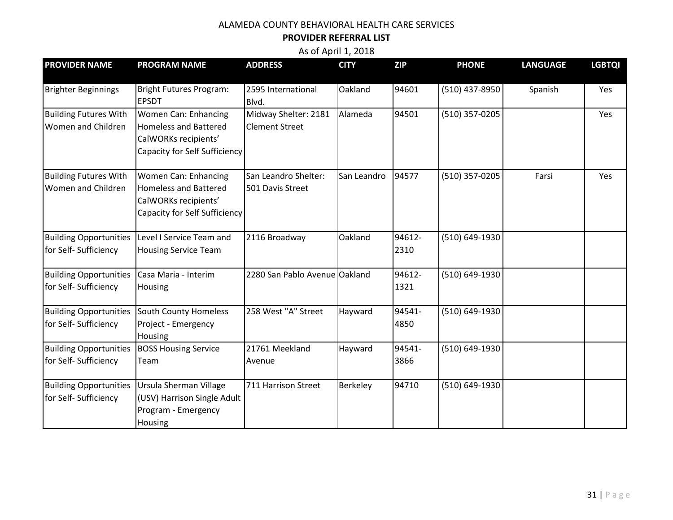# **PROVIDER REFERRAL LIST**

| <b>PROVIDER NAME</b>                                   | <b>PROGRAM NAME</b>                                                                                                  | <b>ADDRESS</b>                                | <b>CITY</b> | <b>ZIP</b>     | <b>PHONE</b>   | <b>LANGUAGE</b> | <b>LGBTQI</b> |
|--------------------------------------------------------|----------------------------------------------------------------------------------------------------------------------|-----------------------------------------------|-------------|----------------|----------------|-----------------|---------------|
| <b>Brighter Beginnings</b>                             | <b>Bright Futures Program:</b><br><b>EPSDT</b>                                                                       | 2595 International<br>Blvd.                   | Oakland     | 94601          | (510) 437-8950 | Spanish         | Yes           |
| <b>Building Futures With</b><br>Women and Children     | Women Can: Enhancing<br><b>Homeless and Battered</b><br>CalWORKs recipients'<br><b>Capacity for Self Sufficiency</b> | Midway Shelter: 2181<br><b>Clement Street</b> | Alameda     | 94501          | (510) 357-0205 |                 | Yes           |
| <b>Building Futures With</b><br>Women and Children     | Women Can: Enhancing<br><b>Homeless and Battered</b><br>CalWORKs recipients'<br><b>Capacity for Self Sufficiency</b> | San Leandro Shelter:<br>501 Davis Street      | San Leandro | 94577          | (510) 357-0205 | Farsi           | Yes           |
| <b>Building Opportunities</b><br>for Self- Sufficiency | Level I Service Team and<br><b>Housing Service Team</b>                                                              | 2116 Broadway                                 | Oakland     | 94612-<br>2310 | (510) 649-1930 |                 |               |
| <b>Building Opportunities</b><br>for Self- Sufficiency | Casa Maria - Interim<br>Housing                                                                                      | 2280 San Pablo Avenue Oakland                 |             | 94612-<br>1321 | (510) 649-1930 |                 |               |
| <b>Building Opportunities</b><br>for Self- Sufficiency | South County Homeless<br>Project - Emergency<br>Housing                                                              | 258 West "A" Street                           | Hayward     | 94541-<br>4850 | (510) 649-1930 |                 |               |
| <b>Building Opportunities</b><br>for Self- Sufficiency | <b>BOSS Housing Service</b><br>Team                                                                                  | 21761 Meekland<br>Avenue                      | Hayward     | 94541-<br>3866 | (510) 649-1930 |                 |               |
| <b>Building Opportunities</b><br>for Self- Sufficiency | Ursula Sherman Village<br>(USV) Harrison Single Adult<br>Program - Emergency<br>Housing                              | 711 Harrison Street                           | Berkeley    | 94710          | (510) 649-1930 |                 |               |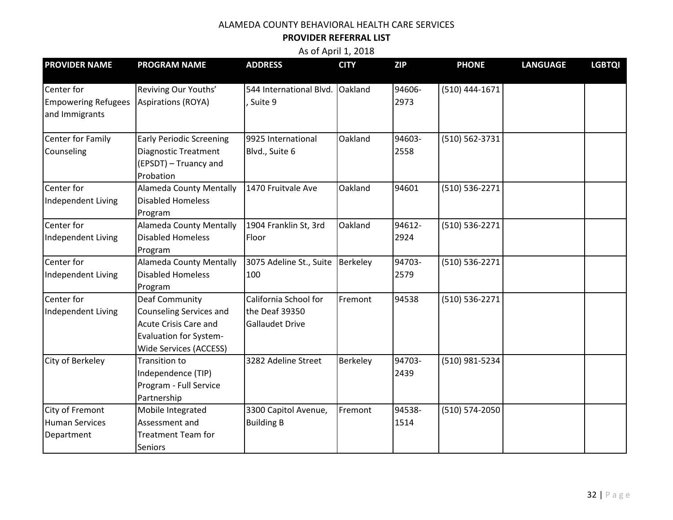## **PROVIDER REFERRAL LIST**

| <b>PROVIDER NAME</b>                                       | <b>PROGRAM NAME</b>                                                                                                                         | <b>ADDRESS</b>                                                    | <b>CITY</b> | <b>ZIP</b>     | <b>PHONE</b>     | <b>LANGUAGE</b> | <b>LGBTQI</b> |
|------------------------------------------------------------|---------------------------------------------------------------------------------------------------------------------------------------------|-------------------------------------------------------------------|-------------|----------------|------------------|-----------------|---------------|
| Center for<br><b>Empowering Refugees</b><br>and Immigrants | Reviving Our Youths'<br><b>Aspirations (ROYA)</b>                                                                                           | 544 International Blvd. Oakland<br>Suite 9                        |             | 94606-<br>2973 | $(510)$ 444-1671 |                 |               |
| <b>Center for Family</b><br>Counseling                     | <b>Early Periodic Screening</b><br><b>Diagnostic Treatment</b><br>(EPSDT) - Truancy and<br>Probation                                        | 9925 International<br>Blvd., Suite 6                              | Oakland     | 94603-<br>2558 | (510) 562-3731   |                 |               |
| Center for<br>Independent Living                           | <b>Alameda County Mentally</b><br><b>Disabled Homeless</b><br>Program                                                                       | 1470 Fruitvale Ave                                                | Oakland     | 94601          | (510) 536-2271   |                 |               |
| Center for<br>Independent Living                           | <b>Alameda County Mentally</b><br><b>Disabled Homeless</b><br>Program                                                                       | 1904 Franklin St, 3rd<br>Floor                                    | Oakland     | 94612-<br>2924 | (510) 536-2271   |                 |               |
| Center for<br>Independent Living                           | <b>Alameda County Mentally</b><br><b>Disabled Homeless</b><br>Program                                                                       | 3075 Adeline St., Suite<br>100                                    | Berkeley    | 94703-<br>2579 | (510) 536-2271   |                 |               |
| Center for<br>Independent Living                           | <b>Deaf Community</b><br><b>Counseling Services and</b><br>Acute Crisis Care and<br><b>Evaluation for System-</b><br>Wide Services (ACCESS) | California School for<br>the Deaf 39350<br><b>Gallaudet Drive</b> | Fremont     | 94538          | (510) 536-2271   |                 |               |
| City of Berkeley                                           | <b>Transition to</b><br>Independence (TIP)<br>Program - Full Service<br>Partnership                                                         | 3282 Adeline Street                                               | Berkeley    | 94703-<br>2439 | (510) 981-5234   |                 |               |
| City of Fremont<br><b>Human Services</b><br>Department     | Mobile Integrated<br>Assessment and<br><b>Treatment Team for</b><br><b>Seniors</b>                                                          | 3300 Capitol Avenue,<br><b>Building B</b>                         | Fremont     | 94538-<br>1514 | (510) 574-2050   |                 |               |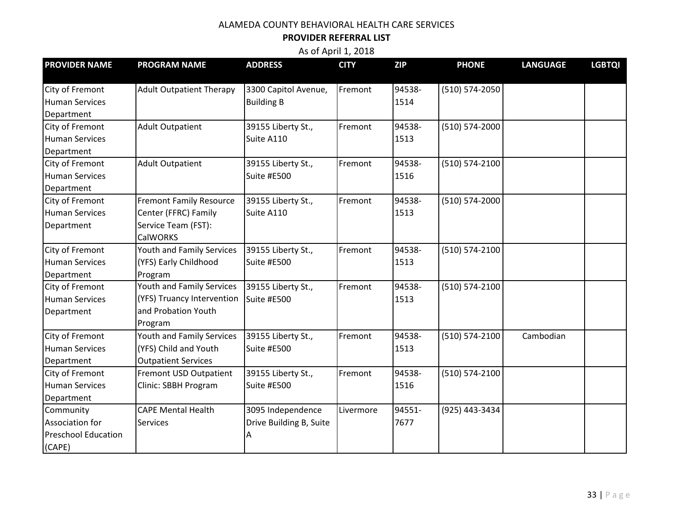### **PROVIDER REFERRAL LIST**

| <b>PROVIDER NAME</b>       | <b>PROGRAM NAME</b>             | <b>ADDRESS</b>          | <b>CITY</b> | <b>ZIP</b> | <b>PHONE</b>       | <b>LANGUAGE</b> | <b>LGBTQI</b> |
|----------------------------|---------------------------------|-------------------------|-------------|------------|--------------------|-----------------|---------------|
| City of Fremont            | <b>Adult Outpatient Therapy</b> | 3300 Capitol Avenue,    | Fremont     | 94538-     | (510) 574-2050     |                 |               |
| <b>Human Services</b>      |                                 | <b>Building B</b>       |             | 1514       |                    |                 |               |
|                            |                                 |                         |             |            |                    |                 |               |
| Department                 |                                 |                         |             |            |                    |                 |               |
| City of Fremont            | <b>Adult Outpatient</b>         | 39155 Liberty St.,      | Fremont     | 94538-     | (510) 574-2000     |                 |               |
| <b>Human Services</b>      |                                 | Suite A110              |             | 1513       |                    |                 |               |
| Department                 |                                 |                         |             |            |                    |                 |               |
| City of Fremont            | <b>Adult Outpatient</b>         | 39155 Liberty St.,      | Fremont     | 94538-     | (510) 574-2100     |                 |               |
| <b>Human Services</b>      |                                 | Suite #E500             |             | 1516       |                    |                 |               |
| Department                 |                                 |                         |             |            |                    |                 |               |
| City of Fremont            | <b>Fremont Family Resource</b>  | 39155 Liberty St.,      | Fremont     | 94538-     | (510) 574-2000     |                 |               |
| <b>Human Services</b>      | Center (FFRC) Family            | Suite A110              |             | 1513       |                    |                 |               |
| Department                 | Service Team (FST):             |                         |             |            |                    |                 |               |
|                            | <b>CalWORKS</b>                 |                         |             |            |                    |                 |               |
| City of Fremont            | Youth and Family Services       | 39155 Liberty St.,      | Fremont     | 94538-     | (510) 574-2100     |                 |               |
| <b>Human Services</b>      | (YFS) Early Childhood           | Suite #E500             |             | 1513       |                    |                 |               |
| Department                 | Program                         |                         |             |            |                    |                 |               |
| City of Fremont            | Youth and Family Services       | 39155 Liberty St.,      | Fremont     | 94538-     | (510) 574-2100     |                 |               |
| <b>Human Services</b>      | (YFS) Truancy Intervention      | Suite #E500             |             | 1513       |                    |                 |               |
| Department                 | and Probation Youth             |                         |             |            |                    |                 |               |
|                            | Program                         |                         |             |            |                    |                 |               |
| City of Fremont            | Youth and Family Services       | 39155 Liberty St.,      | Fremont     | 94538-     | (510) 574-2100     | Cambodian       |               |
| <b>Human Services</b>      | (YFS) Child and Youth           | Suite #E500             |             | 1513       |                    |                 |               |
| Department                 | <b>Outpatient Services</b>      |                         |             |            |                    |                 |               |
| City of Fremont            | Fremont USD Outpatient          | 39155 Liberty St.,      | Fremont     | 94538-     | $(510) 574 - 2100$ |                 |               |
| <b>Human Services</b>      | Clinic: SBBH Program            | Suite #E500             |             | 1516       |                    |                 |               |
| Department                 |                                 |                         |             |            |                    |                 |               |
| Community                  | <b>CAPE Mental Health</b>       | 3095 Independence       | Livermore   | 94551-     | (925) 443-3434     |                 |               |
| Association for            | <b>Services</b>                 | Drive Building B, Suite |             | 7677       |                    |                 |               |
| <b>Preschool Education</b> |                                 | Α                       |             |            |                    |                 |               |
| (CAPE)                     |                                 |                         |             |            |                    |                 |               |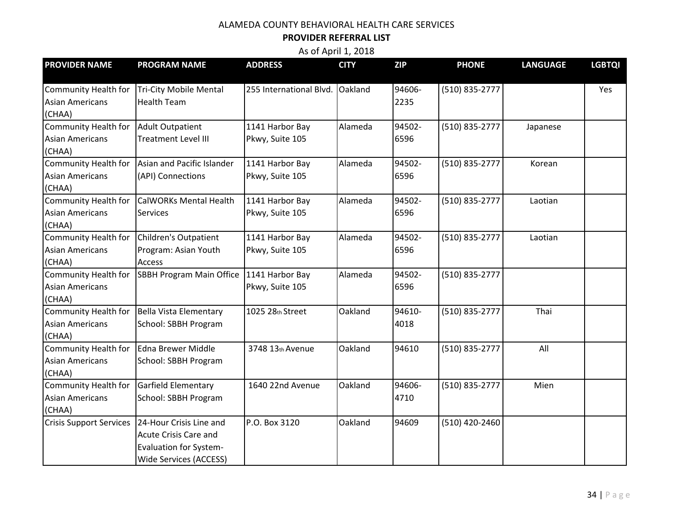## **PROVIDER REFERRAL LIST**

| <b>PROVIDER NAME</b>                  | <b>PROGRAM NAME</b>                             | <b>ADDRESS</b>          | <b>CITY</b> | <b>ZIP</b> | <b>PHONE</b>   | <b>LANGUAGE</b> | <b>LGBTQI</b> |
|---------------------------------------|-------------------------------------------------|-------------------------|-------------|------------|----------------|-----------------|---------------|
|                                       |                                                 |                         |             |            |                |                 |               |
| Community Health for                  | Tri-City Mobile Mental                          | 255 International Blvd. | Oakland     | 94606-     | (510) 835-2777 |                 | Yes           |
| <b>Asian Americans</b>                | <b>Health Team</b>                              |                         |             | 2235       |                |                 |               |
| (CHAA)                                |                                                 |                         |             |            |                |                 |               |
| Community Health for Adult Outpatient |                                                 | 1141 Harbor Bay         | Alameda     | 94502-     | (510) 835-2777 | Japanese        |               |
| <b>Asian Americans</b>                | <b>Treatment Level III</b>                      | Pkwy, Suite 105         |             | 6596       |                |                 |               |
| (CHAA)                                |                                                 |                         |             |            |                |                 |               |
| Community Health for                  | Asian and Pacific Islander                      | 1141 Harbor Bay         | Alameda     | 94502-     | (510) 835-2777 | Korean          |               |
| <b>Asian Americans</b>                | (API) Connections                               | Pkwy, Suite 105         |             | 6596       |                |                 |               |
| (CHAA)                                |                                                 |                         |             |            |                |                 |               |
| <b>Community Health for</b>           | <b>CalWORKs Mental Health</b>                   | 1141 Harbor Bay         | Alameda     | 94502-     | (510) 835-2777 | Laotian         |               |
| <b>Asian Americans</b>                | <b>Services</b>                                 | Pkwy, Suite 105         |             | 6596       |                |                 |               |
| (CHAA)                                |                                                 |                         |             |            |                |                 |               |
| Community Health for                  | Children's Outpatient                           | 1141 Harbor Bay         | Alameda     | 94502-     | (510) 835-2777 | Laotian         |               |
| <b>Asian Americans</b>                | Program: Asian Youth                            | Pkwy, Suite 105         |             | 6596       |                |                 |               |
| (CHAA)                                | <b>Access</b>                                   |                         |             |            |                |                 |               |
| Community Health for                  | SBBH Program Main Office                        | 1141 Harbor Bay         | Alameda     | 94502-     | (510) 835-2777 |                 |               |
| <b>Asian Americans</b>                |                                                 | Pkwy, Suite 105         |             | 6596       |                |                 |               |
| (CHAA)                                |                                                 |                         |             |            |                |                 |               |
|                                       | Community Health for   Bella Vista Elementary   | 1025 28th Street        | Oakland     | 94610-     | (510) 835-2777 | Thai            |               |
| <b>Asian Americans</b>                | School: SBBH Program                            |                         |             | 4018       |                |                 |               |
| (CHAA)                                |                                                 |                         |             |            |                |                 |               |
| Community Health for                  | Edna Brewer Middle                              | 3748 13th Avenue        | Oakland     | 94610      | (510) 835-2777 | All             |               |
| <b>Asian Americans</b>                | School: SBBH Program                            |                         |             |            |                |                 |               |
| (CHAA)                                |                                                 |                         |             |            |                |                 |               |
| Community Health for                  | Garfield Elementary                             | 1640 22nd Avenue        | Oakland     | 94606-     | (510) 835-2777 | Mien            |               |
| <b>Asian Americans</b>                | School: SBBH Program                            |                         |             | 4710       |                |                 |               |
| (CHAA)                                |                                                 |                         |             |            |                |                 |               |
|                                       | Crisis Support Services 24-Hour Crisis Line and | P.O. Box 3120           | Oakland     | 94609      | (510) 420-2460 |                 |               |
|                                       | <b>Acute Crisis Care and</b>                    |                         |             |            |                |                 |               |
|                                       | <b>Evaluation for System-</b>                   |                         |             |            |                |                 |               |
|                                       | <b>Wide Services (ACCESS)</b>                   |                         |             |            |                |                 |               |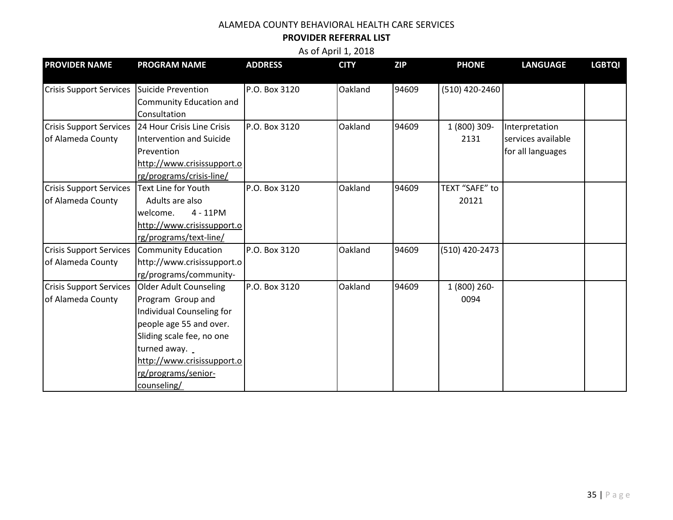# **PROVIDER REFERRAL LIST**

| <b>PROVIDER NAME</b>                       | <b>PROGRAM NAME</b>        | <b>ADDRESS</b> | <b>CITY</b> | <b>ZIP</b> | <b>PHONE</b>   | <b>LANGUAGE</b>    | <b>LGBTQI</b> |
|--------------------------------------------|----------------------------|----------------|-------------|------------|----------------|--------------------|---------------|
|                                            |                            | P.O. Box 3120  | Oakland     | 94609      | (510) 420-2460 |                    |               |
| Crisis Support Services Suicide Prevention |                            |                |             |            |                |                    |               |
|                                            | Community Education and    |                |             |            |                |                    |               |
|                                            | Consultation               |                |             |            |                |                    |               |
| <b>Crisis Support Services</b>             | 24 Hour Crisis Line Crisis | P.O. Box 3120  | Oakland     | 94609      | 1 (800) 309-   | Interpretation     |               |
| of Alameda County                          | Intervention and Suicide   |                |             |            | 2131           | services available |               |
|                                            | Prevention                 |                |             |            |                | for all languages  |               |
|                                            | http://www.crisissupport.o |                |             |            |                |                    |               |
|                                            | rg/programs/crisis-line/   |                |             |            |                |                    |               |
| <b>Crisis Support Services</b>             | <b>Text Line for Youth</b> | P.O. Box 3120  | Oakland     | 94609      | TEXT "SAFE" to |                    |               |
| of Alameda County                          | Adults are also            |                |             |            | 20121          |                    |               |
|                                            | $4 - 11$ PM<br>welcome.    |                |             |            |                |                    |               |
|                                            | http://www.crisissupport.o |                |             |            |                |                    |               |
|                                            | rg/programs/text-line/     |                |             |            |                |                    |               |
| <b>Crisis Support Services</b>             | Community Education        | P.O. Box 3120  | Oakland     | 94609      | (510) 420-2473 |                    |               |
| of Alameda County                          | http://www.crisissupport.o |                |             |            |                |                    |               |
|                                            | rg/programs/community-     |                |             |            |                |                    |               |
| <b>Crisis Support Services</b>             | Older Adult Counseling     | P.O. Box 3120  | Oakland     | 94609      | 1 (800) 260-   |                    |               |
| of Alameda County                          | Program Group and          |                |             |            | 0094           |                    |               |
|                                            | Individual Counseling for  |                |             |            |                |                    |               |
|                                            | people age 55 and over.    |                |             |            |                |                    |               |
|                                            | Sliding scale fee, no one  |                |             |            |                |                    |               |
|                                            | turned away.               |                |             |            |                |                    |               |
|                                            | http://www.crisissupport.o |                |             |            |                |                    |               |
|                                            | rg/programs/senior-        |                |             |            |                |                    |               |
|                                            | counseling/                |                |             |            |                |                    |               |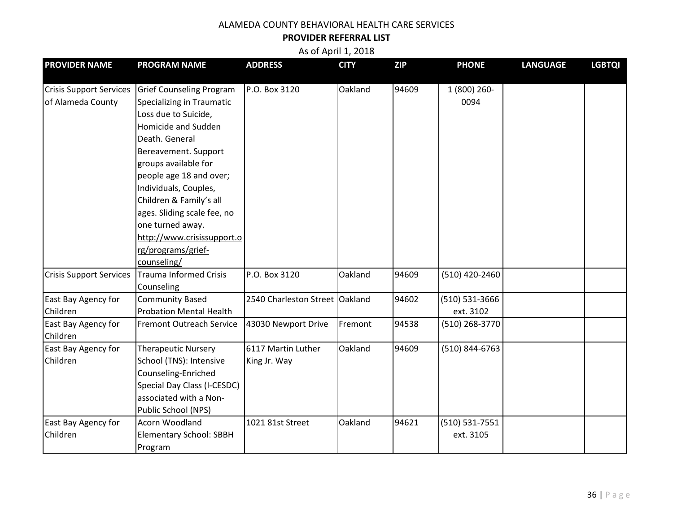#### **PROVIDER REFERRAL LIST**

| <b>PROVIDER NAME</b>           | <b>PROGRAM NAME</b>             | <b>ADDRESS</b>                 | <b>CITY</b> | <b>ZIP</b> | <b>PHONE</b>   | <b>LANGUAGE</b> | <b>LGBTQI</b> |
|--------------------------------|---------------------------------|--------------------------------|-------------|------------|----------------|-----------------|---------------|
|                                |                                 |                                |             |            |                |                 |               |
| <b>Crisis Support Services</b> | <b>Grief Counseling Program</b> | P.O. Box 3120                  | Oakland     | 94609      | 1 (800) 260-   |                 |               |
| of Alameda County              | Specializing in Traumatic       |                                |             |            | 0094           |                 |               |
|                                | Loss due to Suicide,            |                                |             |            |                |                 |               |
|                                | Homicide and Sudden             |                                |             |            |                |                 |               |
|                                | Death. General                  |                                |             |            |                |                 |               |
|                                | Bereavement. Support            |                                |             |            |                |                 |               |
|                                | groups available for            |                                |             |            |                |                 |               |
|                                | people age 18 and over;         |                                |             |            |                |                 |               |
|                                | Individuals, Couples,           |                                |             |            |                |                 |               |
|                                | Children & Family's all         |                                |             |            |                |                 |               |
|                                | ages. Sliding scale fee, no     |                                |             |            |                |                 |               |
|                                | one turned away.                |                                |             |            |                |                 |               |
|                                | http://www.crisissupport.o      |                                |             |            |                |                 |               |
|                                | rg/programs/grief-              |                                |             |            |                |                 |               |
|                                | counseling/                     |                                |             |            |                |                 |               |
| <b>Crisis Support Services</b> | <b>Trauma Informed Crisis</b>   | P.O. Box 3120                  | Oakland     | 94609      | (510) 420-2460 |                 |               |
|                                | Counseling                      |                                |             |            |                |                 |               |
| East Bay Agency for            | <b>Community Based</b>          | 2540 Charleston Street Oakland |             | 94602      | (510) 531-3666 |                 |               |
| Children                       | <b>Probation Mental Health</b>  |                                |             |            | ext. 3102      |                 |               |
| East Bay Agency for            | <b>Fremont Outreach Service</b> | 43030 Newport Drive            | Fremont     | 94538      | (510) 268-3770 |                 |               |
| Children                       |                                 |                                |             |            |                |                 |               |
| East Bay Agency for            | <b>Therapeutic Nursery</b>      | 6117 Martin Luther             | Oakland     | 94609      | (510) 844-6763 |                 |               |
| Children                       | School (TNS): Intensive         | King Jr. Way                   |             |            |                |                 |               |
|                                | Counseling-Enriched             |                                |             |            |                |                 |               |
|                                | Special Day Class (I-CESDC)     |                                |             |            |                |                 |               |
|                                | associated with a Non-          |                                |             |            |                |                 |               |
|                                | Public School (NPS)             |                                |             |            |                |                 |               |
| East Bay Agency for            | <b>Acorn Woodland</b>           | 1021 81st Street               | Oakland     | 94621      | (510) 531-7551 |                 |               |
| Children                       | <b>Elementary School: SBBH</b>  |                                |             |            | ext. 3105      |                 |               |
|                                | Program                         |                                |             |            |                |                 |               |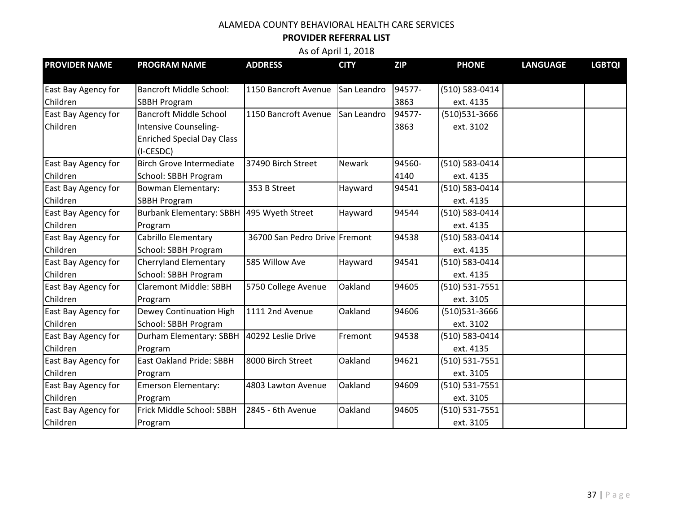#### **PROVIDER REFERRAL LIST**

| <b>PROVIDER NAME</b>            | <b>PROGRAM NAME</b>                                  | <b>ADDRESS</b>                | <b>CITY</b> | <b>ZIP</b>     | <b>PHONE</b>                | <b>LANGUAGE</b> | <b>LGBTQI</b> |
|---------------------------------|------------------------------------------------------|-------------------------------|-------------|----------------|-----------------------------|-----------------|---------------|
|                                 | <b>Bancroft Middle School:</b>                       |                               |             |                |                             |                 |               |
| East Bay Agency for<br>Children |                                                      | 1150 Bancroft Avenue          | San Leandro | 94577-<br>3863 | (510) 583-0414<br>ext. 4135 |                 |               |
|                                 | <b>SBBH Program</b><br><b>Bancroft Middle School</b> | 1150 Bancroft Avenue          | San Leandro | 94577-         | (510)531-3666               |                 |               |
| East Bay Agency for<br>Children |                                                      |                               |             | 3863           |                             |                 |               |
|                                 | Intensive Counseling-                                |                               |             |                | ext. 3102                   |                 |               |
|                                 | <b>Enriched Special Day Class</b>                    |                               |             |                |                             |                 |               |
|                                 | (I-CESDC)<br><b>Birch Grove Intermediate</b>         |                               | Newark      | 94560-         |                             |                 |               |
| East Bay Agency for             |                                                      | 37490 Birch Street            |             |                | (510) 583-0414              |                 |               |
| Children                        | School: SBBH Program                                 |                               |             | 4140           | ext. 4135                   |                 |               |
| East Bay Agency for             | <b>Bowman Elementary:</b>                            | 353 B Street                  | Hayward     | 94541          | (510) 583-0414              |                 |               |
| Children                        | <b>SBBH Program</b>                                  |                               |             |                | ext. 4135                   |                 |               |
| East Bay Agency for             | Burbank Elementary: SBBH 495 Wyeth Street            |                               | Hayward     | 94544          | (510) 583-0414              |                 |               |
| Children                        | Program                                              |                               |             |                | ext. 4135                   |                 |               |
| East Bay Agency for             | Cabrillo Elementary                                  | 36700 San Pedro Drive Fremont |             | 94538          | (510) 583-0414              |                 |               |
| Children                        | School: SBBH Program                                 |                               |             |                | ext. 4135                   |                 |               |
| East Bay Agency for             | <b>Cherryland Elementary</b>                         | 585 Willow Ave                | Hayward     | 94541          | (510) 583-0414              |                 |               |
| Children                        | School: SBBH Program                                 |                               |             |                | ext. 4135                   |                 |               |
| East Bay Agency for             | <b>Claremont Middle: SBBH</b>                        | 5750 College Avenue           | Oakland     | 94605          | (510) 531-7551              |                 |               |
| Children                        | Program                                              |                               |             |                | ext. 3105                   |                 |               |
| East Bay Agency for             | Dewey Continuation High                              | 1111 2nd Avenue               | Oakland     | 94606          | (510)531-3666               |                 |               |
| Children                        | School: SBBH Program                                 |                               |             |                | ext. 3102                   |                 |               |
| East Bay Agency for             | Durham Elementary: SBBH                              | 40292 Leslie Drive            | Fremont     | 94538          | (510) 583-0414              |                 |               |
| Children                        | Program                                              |                               |             |                | ext. 4135                   |                 |               |
| East Bay Agency for             | <b>East Oakland Pride: SBBH</b>                      | 8000 Birch Street             | Oakland     | 94621          | (510) 531-7551              |                 |               |
| Children                        | Program                                              |                               |             |                | ext. 3105                   |                 |               |
| East Bay Agency for             | <b>Emerson Elementary:</b>                           | 4803 Lawton Avenue            | Oakland     | 94609          | (510) 531-7551              |                 |               |
| Children                        | Program                                              |                               |             |                | ext. 3105                   |                 |               |
| East Bay Agency for             | Frick Middle School: SBBH                            | 2845 - 6th Avenue             | Oakland     | 94605          | (510) 531-7551              |                 |               |
| Children                        | Program                                              |                               |             |                | ext. 3105                   |                 |               |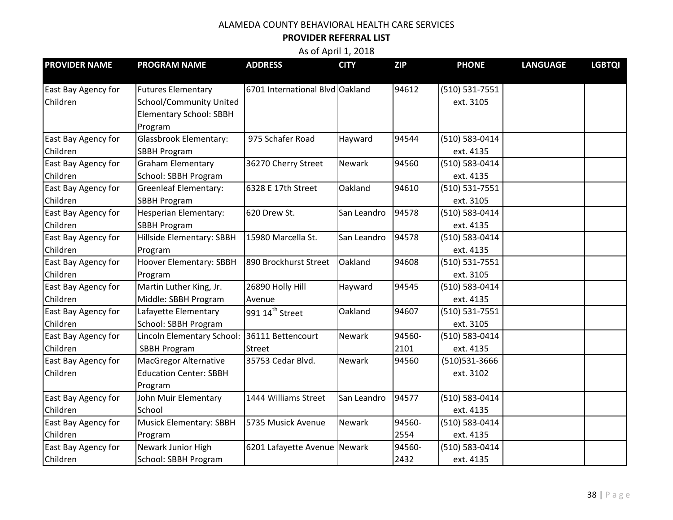#### **PROVIDER REFERRAL LIST**

| <b>PROVIDER NAME</b> | <b>PROGRAM NAME</b>            | <b>ADDRESS</b>                  | <b>CITY</b>   | <b>ZIP</b> | <b>PHONE</b>   | <b>LANGUAGE</b> | <b>LGBTQI</b> |
|----------------------|--------------------------------|---------------------------------|---------------|------------|----------------|-----------------|---------------|
|                      |                                |                                 |               |            |                |                 |               |
| East Bay Agency for  | <b>Futures Elementary</b>      | 6701 International Blvd Oakland |               | 94612      | (510) 531-7551 |                 |               |
| Children             | School/Community United        |                                 |               |            | ext. 3105      |                 |               |
|                      | <b>Elementary School: SBBH</b> |                                 |               |            |                |                 |               |
|                      | Program                        |                                 |               |            |                |                 |               |
| East Bay Agency for  | <b>Glassbrook Elementary:</b>  | 975 Schafer Road                | Hayward       | 94544      | (510) 583-0414 |                 |               |
| Children             | <b>SBBH Program</b>            |                                 |               |            | ext. 4135      |                 |               |
| East Bay Agency for  | <b>Graham Elementary</b>       | 36270 Cherry Street             | <b>Newark</b> | 94560      | (510) 583-0414 |                 |               |
| Children             | School: SBBH Program           |                                 |               |            | ext. 4135      |                 |               |
| East Bay Agency for  | <b>Greenleaf Elementary:</b>   | 6328 E 17th Street              | Oakland       | 94610      | (510) 531-7551 |                 |               |
| Children             | <b>SBBH Program</b>            |                                 |               |            | ext. 3105      |                 |               |
| East Bay Agency for  | Hesperian Elementary:          | 620 Drew St.                    | San Leandro   | 94578      | (510) 583-0414 |                 |               |
| Children             | <b>SBBH Program</b>            |                                 |               |            | ext. 4135      |                 |               |
| East Bay Agency for  | Hillside Elementary: SBBH      | 15980 Marcella St.              | San Leandro   | 94578      | (510) 583-0414 |                 |               |
| Children             | Program                        |                                 |               |            | ext. 4135      |                 |               |
| East Bay Agency for  | Hoover Elementary: SBBH        | 890 Brockhurst Street           | Oakland       | 94608      | (510) 531-7551 |                 |               |
| Children             | Program                        |                                 |               |            | ext. 3105      |                 |               |
| East Bay Agency for  | Martin Luther King, Jr.        | 26890 Holly Hill                | Hayward       | 94545      | (510) 583-0414 |                 |               |
| Children             | Middle: SBBH Program           | Avenue                          |               |            | ext. 4135      |                 |               |
| East Bay Agency for  | Lafayette Elementary           | 991 14 <sup>th</sup> Street     | Oakland       | 94607      | (510) 531-7551 |                 |               |
| Children             | School: SBBH Program           |                                 |               |            | ext. 3105      |                 |               |
| East Bay Agency for  | Lincoln Elementary School:     | 36111 Bettencourt               | Newark        | 94560-     | (510) 583-0414 |                 |               |
| Children             | <b>SBBH Program</b>            | <b>Street</b>                   |               | 2101       | ext. 4135      |                 |               |
| East Bay Agency for  | <b>MacGregor Alternative</b>   | 35753 Cedar Blvd.               | Newark        | 94560      | (510) 531-3666 |                 |               |
| Children             | <b>Education Center: SBBH</b>  |                                 |               |            | ext. 3102      |                 |               |
|                      | Program                        |                                 |               |            |                |                 |               |
| East Bay Agency for  | John Muir Elementary           | 1444 Williams Street            | San Leandro   | 94577      | (510) 583-0414 |                 |               |
| Children             | School                         |                                 |               |            | ext. 4135      |                 |               |
| East Bay Agency for  | <b>Musick Elementary: SBBH</b> | 5735 Musick Avenue              | Newark        | 94560-     | (510) 583-0414 |                 |               |
| Children             | Program                        |                                 |               | 2554       | ext. 4135      |                 |               |
| East Bay Agency for  | Newark Junior High             | 6201 Lafayette Avenue Newark    |               | 94560-     | (510) 583-0414 |                 |               |
| Children             | School: SBBH Program           |                                 |               | 2432       | ext. 4135      |                 |               |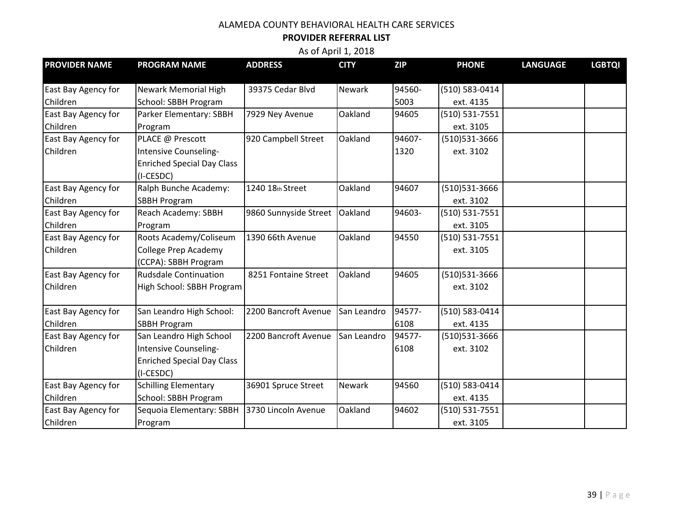#### **PROVIDER REFERRAL LIST**

| <b>PROVIDER NAME</b> | <b>PROGRAM NAME</b>               | <b>ADDRESS</b>        | <b>CITY</b>   | <b>ZIP</b> | <b>PHONE</b>       | <b>LANGUAGE</b> | <b>LGBTQI</b> |
|----------------------|-----------------------------------|-----------------------|---------------|------------|--------------------|-----------------|---------------|
| East Bay Agency for  | <b>Newark Memorial High</b>       | 39375 Cedar Blvd      | <b>Newark</b> | 94560-     | (510) 583-0414     |                 |               |
| Children             | School: SBBH Program              |                       |               | 5003       | ext. 4135          |                 |               |
| East Bay Agency for  | Parker Elementary: SBBH           | 7929 Ney Avenue       | Oakland       | 94605      | (510) 531-7551     |                 |               |
| Children             | Program                           |                       |               |            | ext. 3105          |                 |               |
| East Bay Agency for  | PLACE @ Prescott                  | 920 Campbell Street   | Oakland       | 94607-     | (510)531-3666      |                 |               |
| Children             | Intensive Counseling-             |                       |               | 1320       | ext. 3102          |                 |               |
|                      | <b>Enriched Special Day Class</b> |                       |               |            |                    |                 |               |
|                      | (I-CESDC)                         |                       |               |            |                    |                 |               |
| East Bay Agency for  | Ralph Bunche Academy:             | 1240 18th Street      | Oakland       | 94607      | (510)531-3666      |                 |               |
| Children             | <b>SBBH Program</b>               |                       |               |            | ext. 3102          |                 |               |
| East Bay Agency for  | Reach Academy: SBBH               | 9860 Sunnyside Street | Oakland       | 94603-     | (510) 531-7551     |                 |               |
| Children             | Program                           |                       |               |            | ext. 3105          |                 |               |
| East Bay Agency for  | Roots Academy/Coliseum            | 1390 66th Avenue      | Oakland       | 94550      | $(510) 531 - 7551$ |                 |               |
| Children             | College Prep Academy              |                       |               |            | ext. 3105          |                 |               |
|                      | (CCPA): SBBH Program              |                       |               |            |                    |                 |               |
| East Bay Agency for  | <b>Rudsdale Continuation</b>      | 8251 Fontaine Street  | Oakland       | 94605      | (510)531-3666      |                 |               |
| Children             | High School: SBBH Program         |                       |               |            | ext. 3102          |                 |               |
| East Bay Agency for  | San Leandro High School:          | 2200 Bancroft Avenue  | San Leandro   | 94577-     | (510) 583-0414     |                 |               |
| Children             | <b>SBBH Program</b>               |                       |               | 6108       | ext. 4135          |                 |               |
| East Bay Agency for  | San Leandro High School           | 2200 Bancroft Avenue  | San Leandro   | 94577-     | (510)531-3666      |                 |               |
| Children             | Intensive Counseling-             |                       |               | 6108       | ext. 3102          |                 |               |
|                      | <b>Enriched Special Day Class</b> |                       |               |            |                    |                 |               |
|                      | (I-CESDC)                         |                       |               |            |                    |                 |               |
| East Bay Agency for  | <b>Schilling Elementary</b>       | 36901 Spruce Street   | Newark        | 94560      | (510) 583-0414     |                 |               |
| Children             | School: SBBH Program              |                       |               |            | ext. 4135          |                 |               |
| East Bay Agency for  | Sequoia Elementary: SBBH          | 3730 Lincoln Avenue   | Oakland       | 94602      | (510) 531-7551     |                 |               |
| Children             | Program                           |                       |               |            | ext. 3105          |                 |               |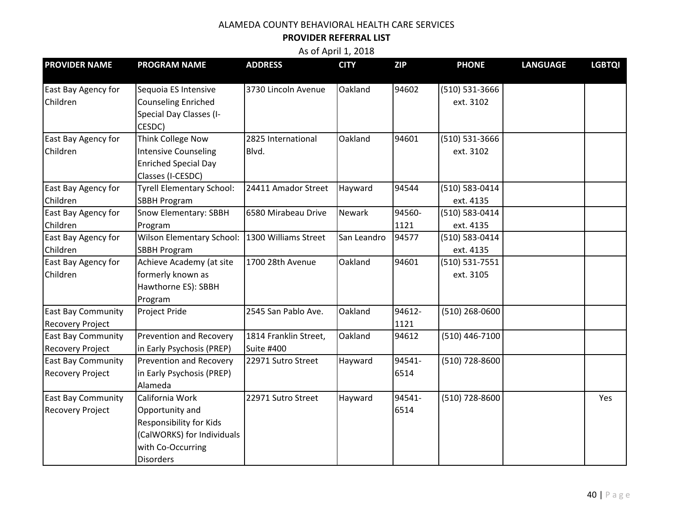#### **PROVIDER REFERRAL LIST**

| <b>PROVIDER NAME</b>                                 | <b>PROGRAM NAME</b>                                                                                                                         | <b>ADDRESS</b>                      | <b>CITY</b> | <b>ZIP</b>     | <b>PHONE</b>                | <b>LANGUAGE</b> | <b>LGBTQI</b> |
|------------------------------------------------------|---------------------------------------------------------------------------------------------------------------------------------------------|-------------------------------------|-------------|----------------|-----------------------------|-----------------|---------------|
| East Bay Agency for<br>Children                      | Sequoia ES Intensive<br><b>Counseling Enriched</b><br>Special Day Classes (I-<br>CESDC)                                                     | 3730 Lincoln Avenue                 | Oakland     | 94602          | (510) 531-3666<br>ext. 3102 |                 |               |
| East Bay Agency for<br>Children                      | Think College Now<br><b>Intensive Counseling</b><br><b>Enriched Special Day</b><br>Classes (I-CESDC)                                        | 2825 International<br>Blvd.         | Oakland     | 94601          | (510) 531-3666<br>ext. 3102 |                 |               |
| East Bay Agency for<br>Children                      | <b>Tyrell Elementary School:</b><br><b>SBBH Program</b>                                                                                     | 24411 Amador Street                 | Hayward     | 94544          | (510) 583-0414<br>ext. 4135 |                 |               |
| East Bay Agency for<br>Children                      | Snow Elementary: SBBH<br>Program                                                                                                            | 6580 Mirabeau Drive                 | Newark      | 94560-<br>1121 | (510) 583-0414<br>ext. 4135 |                 |               |
| East Bay Agency for<br>Children                      | <b>Wilson Elementary School:</b><br><b>SBBH Program</b>                                                                                     | 1300 Williams Street                | San Leandro | 94577          | (510) 583-0414<br>ext. 4135 |                 |               |
| East Bay Agency for<br>Children                      | Achieve Academy (at site<br>formerly known as<br>Hawthorne ES): SBBH<br>Program                                                             | 1700 28th Avenue                    | Oakland     | 94601          | (510) 531-7551<br>ext. 3105 |                 |               |
| <b>East Bay Community</b><br><b>Recovery Project</b> | Project Pride                                                                                                                               | 2545 San Pablo Ave.                 | Oakland     | 94612-<br>1121 | (510) 268-0600              |                 |               |
| <b>East Bay Community</b><br><b>Recovery Project</b> | Prevention and Recovery<br>in Early Psychosis (PREP)                                                                                        | 1814 Franklin Street,<br>Suite #400 | Oakland     | 94612          | (510) 446-7100              |                 |               |
| <b>East Bay Community</b><br><b>Recovery Project</b> | Prevention and Recovery<br>in Early Psychosis (PREP)<br>Alameda                                                                             | 22971 Sutro Street                  | Hayward     | 94541-<br>6514 | (510) 728-8600              |                 |               |
| <b>East Bay Community</b><br><b>Recovery Project</b> | California Work<br>Opportunity and<br><b>Responsibility for Kids</b><br>(CalWORKS) for Individuals<br>with Co-Occurring<br><b>Disorders</b> | 22971 Sutro Street                  | Hayward     | 94541-<br>6514 | (510) 728-8600              |                 | Yes           |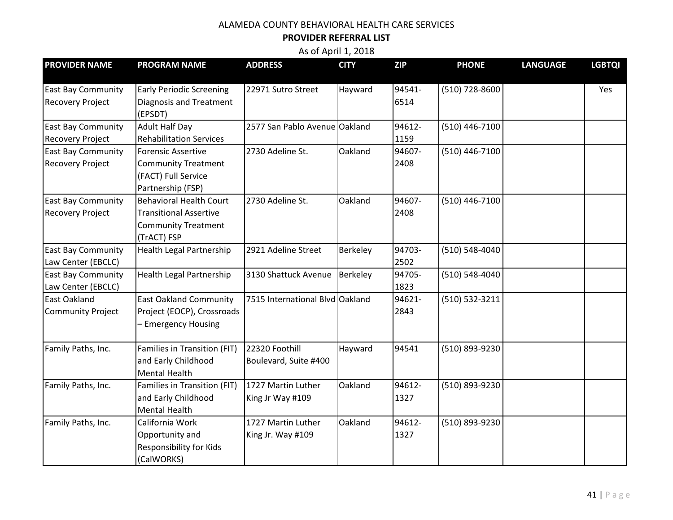#### **PROVIDER REFERRAL LIST**

| <b>PROVIDER NAME</b>      | <b>PROGRAM NAME</b>                       | <b>ADDRESS</b>                  | <b>CITY</b> | <b>ZIP</b> | <b>PHONE</b>   | <b>LANGUAGE</b> | <b>LGBTQI</b> |
|---------------------------|-------------------------------------------|---------------------------------|-------------|------------|----------------|-----------------|---------------|
| <b>East Bay Community</b> | <b>Early Periodic Screening</b>           | 22971 Sutro Street              | Hayward     | 94541-     | (510) 728-8600 |                 | Yes           |
| <b>Recovery Project</b>   | <b>Diagnosis and Treatment</b><br>(EPSDT) |                                 |             | 6514       |                |                 |               |
| <b>East Bay Community</b> | <b>Adult Half Day</b>                     | 2577 San Pablo Avenue Oakland   |             | 94612-     | (510) 446-7100 |                 |               |
| <b>Recovery Project</b>   | <b>Rehabilitation Services</b>            |                                 |             | 1159       |                |                 |               |
| <b>East Bay Community</b> | <b>Forensic Assertive</b>                 | 2730 Adeline St.                | Oakland     | 94607-     | (510) 446-7100 |                 |               |
| <b>Recovery Project</b>   | <b>Community Treatment</b>                |                                 |             | 2408       |                |                 |               |
|                           | (FACT) Full Service                       |                                 |             |            |                |                 |               |
|                           | Partnership (FSP)                         |                                 |             |            |                |                 |               |
| <b>East Bay Community</b> | <b>Behavioral Health Court</b>            | 2730 Adeline St.                | Oakland     | 94607-     | (510) 446-7100 |                 |               |
| <b>Recovery Project</b>   | <b>Transitional Assertive</b>             |                                 |             | 2408       |                |                 |               |
|                           | <b>Community Treatment</b>                |                                 |             |            |                |                 |               |
|                           | (TrACT) FSP                               |                                 |             |            |                |                 |               |
| <b>East Bay Community</b> | <b>Health Legal Partnership</b>           | 2921 Adeline Street             | Berkeley    | 94703-     | (510) 548-4040 |                 |               |
| Law Center (EBCLC)        |                                           |                                 |             | 2502       |                |                 |               |
| <b>East Bay Community</b> | Health Legal Partnership                  | 3130 Shattuck Avenue            | Berkeley    | 94705-     | (510) 548-4040 |                 |               |
| Law Center (EBCLC)        |                                           |                                 |             | 1823       |                |                 |               |
| <b>East Oakland</b>       | <b>East Oakland Community</b>             | 7515 International Blvd Oakland |             | 94621-     | (510) 532-3211 |                 |               |
| Community Project         | Project (EOCP), Crossroads                |                                 |             | 2843       |                |                 |               |
|                           | <b>Emergency Housing</b>                  |                                 |             |            |                |                 |               |
| Family Paths, Inc.        | Families in Transition (FIT)              | 22320 Foothill                  | Hayward     | 94541      | (510) 893-9230 |                 |               |
|                           | and Early Childhood                       | Boulevard, Suite #400           |             |            |                |                 |               |
|                           | <b>Mental Health</b>                      |                                 |             |            |                |                 |               |
| Family Paths, Inc.        | Families in Transition (FIT)              | 1727 Martin Luther              | Oakland     | 94612-     | (510) 893-9230 |                 |               |
|                           | and Early Childhood                       | King Jr Way #109                |             | 1327       |                |                 |               |
|                           | <b>Mental Health</b>                      |                                 |             |            |                |                 |               |
| Family Paths, Inc.        | California Work                           | 1727 Martin Luther              | Oakland     | 94612-     | (510) 893-9230 |                 |               |
|                           | Opportunity and                           | King Jr. Way #109               |             | 1327       |                |                 |               |
|                           | Responsibility for Kids                   |                                 |             |            |                |                 |               |
|                           | (CalWORKS)                                |                                 |             |            |                |                 |               |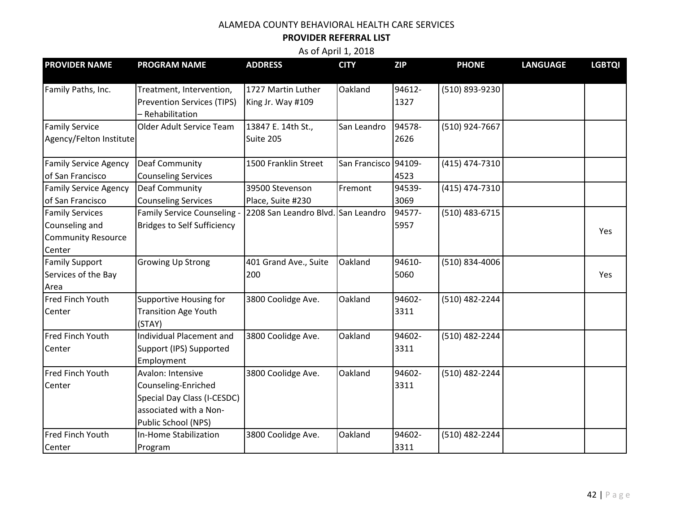#### **PROVIDER REFERRAL LIST**

| <b>PROVIDER NAME</b>                                                            | <b>PROGRAM NAME</b>                                                                                                      | <b>ADDRESS</b>                          | <b>CITY</b>          | <b>ZIP</b>     | <b>PHONE</b>   | <b>LANGUAGE</b> | <b>LGBTQI</b> |
|---------------------------------------------------------------------------------|--------------------------------------------------------------------------------------------------------------------------|-----------------------------------------|----------------------|----------------|----------------|-----------------|---------------|
| Family Paths, Inc.                                                              | Treatment, Intervention,<br><b>Prevention Services (TIPS)</b><br>- Rehabilitation                                        | 1727 Martin Luther<br>King Jr. Way #109 | Oakland              | 94612-<br>1327 | (510) 893-9230 |                 |               |
| <b>Family Service</b><br>Agency/Felton Institute                                | Older Adult Service Team                                                                                                 | 13847 E. 14th St.,<br>Suite 205         | San Leandro          | 94578-<br>2626 | (510) 924-7667 |                 |               |
| <b>Family Service Agency</b><br>of San Francisco                                | <b>Deaf Community</b><br><b>Counseling Services</b>                                                                      | 1500 Franklin Street                    | San Francisco 94109- | 4523           | (415) 474-7310 |                 |               |
| <b>Family Service Agency</b><br>of San Francisco                                | <b>Deaf Community</b><br><b>Counseling Services</b>                                                                      | 39500 Stevenson<br>Place, Suite #230    | Fremont              | 94539-<br>3069 | (415) 474-7310 |                 |               |
| <b>Family Services</b><br>Counseling and<br><b>Community Resource</b><br>Center | Family Service Counseling -<br><b>Bridges to Self Sufficiency</b>                                                        | 2208 San Leandro Blvd. San Leandro      |                      | 94577-<br>5957 | (510) 483-6715 |                 | Yes           |
| <b>Family Support</b><br>Services of the Bay<br>Area                            | <b>Growing Up Strong</b>                                                                                                 | 401 Grand Ave., Suite<br>200            | Oakland              | 94610-<br>5060 | (510) 834-4006 |                 | Yes           |
| Fred Finch Youth<br>Center                                                      | Supportive Housing for<br><b>Transition Age Youth</b><br>(STAY)                                                          | 3800 Coolidge Ave.                      | Oakland              | 94602-<br>3311 | (510) 482-2244 |                 |               |
| Fred Finch Youth<br>Center                                                      | Individual Placement and<br>Support (IPS) Supported<br>Employment                                                        | 3800 Coolidge Ave.                      | Oakland              | 94602-<br>3311 | (510) 482-2244 |                 |               |
| <b>Fred Finch Youth</b><br>Center                                               | Avalon: Intensive<br>Counseling-Enriched<br>Special Day Class (I-CESDC)<br>associated with a Non-<br>Public School (NPS) | 3800 Coolidge Ave.                      | Oakland              | 94602-<br>3311 | (510) 482-2244 |                 |               |
| Fred Finch Youth<br>Center                                                      | In-Home Stabilization<br>Program                                                                                         | 3800 Coolidge Ave.                      | Oakland              | 94602-<br>3311 | (510) 482-2244 |                 |               |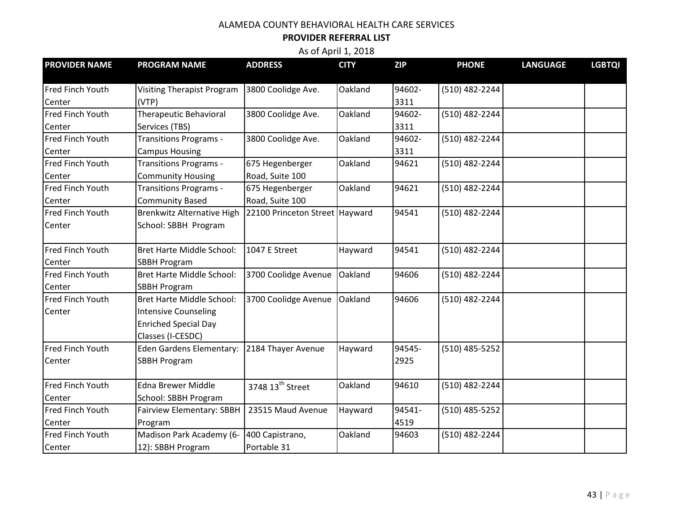#### **PROVIDER REFERRAL LIST**

| <b>PROVIDER NAME</b>    | <b>PROGRAM NAME</b>               | <b>ADDRESS</b>                 | <b>CITY</b> | <b>ZIP</b> | <b>PHONE</b>   | <b>LANGUAGE</b> | <b>LGBTQI</b> |
|-------------------------|-----------------------------------|--------------------------------|-------------|------------|----------------|-----------------|---------------|
|                         |                                   |                                |             |            |                |                 |               |
| <b>Fred Finch Youth</b> | <b>Visiting Therapist Program</b> | 3800 Coolidge Ave.             | Oakland     | 94602-     | (510) 482-2244 |                 |               |
| Center                  | (VTP)                             |                                |             | 3311       |                |                 |               |
| Fred Finch Youth        | Therapeutic Behavioral            | 3800 Coolidge Ave.             | Oakland     | 94602-     | (510) 482-2244 |                 |               |
| Center                  | Services (TBS)                    |                                |             | 3311       |                |                 |               |
| Fred Finch Youth        | <b>Transitions Programs -</b>     | 3800 Coolidge Ave.             | Oakland     | 94602-     | (510) 482-2244 |                 |               |
| Center                  | <b>Campus Housing</b>             |                                |             | 3311       |                |                 |               |
| Fred Finch Youth        | <b>Transitions Programs -</b>     | 675 Hegenberger                | Oakland     | 94621      | (510) 482-2244 |                 |               |
| Center                  | <b>Community Housing</b>          | Road, Suite 100                |             |            |                |                 |               |
| Fred Finch Youth        | <b>Transitions Programs -</b>     | 675 Hegenberger                | Oakland     | 94621      | (510) 482-2244 |                 |               |
| Center                  | <b>Community Based</b>            | Road, Suite 100                |             |            |                |                 |               |
| Fred Finch Youth        | <b>Brenkwitz Alternative High</b> | 22100 Princeton Street Hayward |             | 94541      | (510) 482-2244 |                 |               |
| Center                  | School: SBBH Program              |                                |             |            |                |                 |               |
|                         |                                   |                                |             |            |                |                 |               |
| Fred Finch Youth        | Bret Harte Middle School:         | 1047 E Street                  | Hayward     | 94541      | (510) 482-2244 |                 |               |
| Center                  | <b>SBBH Program</b>               |                                |             |            |                |                 |               |
| Fred Finch Youth        | <b>Bret Harte Middle School:</b>  | 3700 Coolidge Avenue           | Oakland     | 94606      | (510) 482-2244 |                 |               |
| Center                  | <b>SBBH Program</b>               |                                |             |            |                |                 |               |
| Fred Finch Youth        | <b>Bret Harte Middle School:</b>  | 3700 Coolidge Avenue           | Oakland     | 94606      | (510) 482-2244 |                 |               |
| Center                  | <b>Intensive Counseling</b>       |                                |             |            |                |                 |               |
|                         | <b>Enriched Special Day</b>       |                                |             |            |                |                 |               |
|                         | Classes (I-CESDC)                 |                                |             |            |                |                 |               |
| Fred Finch Youth        | Eden Gardens Elementary:          | 2184 Thayer Avenue             | Hayward     | 94545-     | (510) 485-5252 |                 |               |
| Center                  | <b>SBBH Program</b>               |                                |             | 2925       |                |                 |               |
|                         |                                   |                                |             |            |                |                 |               |
| Fred Finch Youth        | Edna Brewer Middle                | 3748 13 <sup>th</sup> Street   | Oakland     | 94610      | (510) 482-2244 |                 |               |
| Center                  | School: SBBH Program              |                                |             |            |                |                 |               |
| Fred Finch Youth        | Fairview Elementary: SBBH         | 23515 Maud Avenue              | Hayward     | 94541-     | (510) 485-5252 |                 |               |
| Center                  | Program                           |                                |             | 4519       |                |                 |               |
| Fred Finch Youth        | Madison Park Academy (6-          | 400 Capistrano,                | Oakland     | 94603      | (510) 482-2244 |                 |               |
| Center                  | 12): SBBH Program                 | Portable 31                    |             |            |                |                 |               |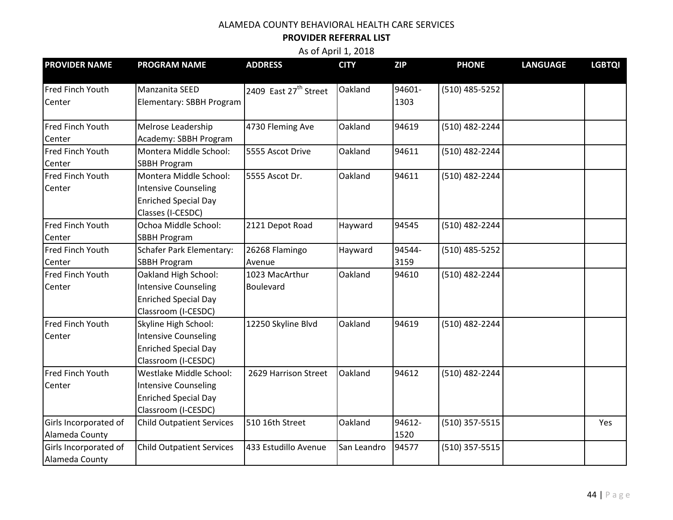#### **PROVIDER REFERRAL LIST**

| <b>PROVIDER NAME</b>    | <b>PROGRAM NAME</b>              | <b>ADDRESS</b>                    | <b>CITY</b> | <b>ZIP</b> | <b>PHONE</b>     | <b>LANGUAGE</b> | <b>LGBTQI</b> |
|-------------------------|----------------------------------|-----------------------------------|-------------|------------|------------------|-----------------|---------------|
| Fred Finch Youth        | Manzanita SEED                   | 2409 East 27 <sup>th</sup> Street | Oakland     | 94601-     | $(510)$ 485-5252 |                 |               |
| Center                  | Elementary: SBBH Program         |                                   |             | 1303       |                  |                 |               |
| Fred Finch Youth        | Melrose Leadership               | 4730 Fleming Ave                  | Oakland     | 94619      | (510) 482-2244   |                 |               |
| Center                  | Academy: SBBH Program            |                                   |             |            |                  |                 |               |
| Fred Finch Youth        | Montera Middle School:           | 5555 Ascot Drive                  | Oakland     | 94611      | (510) 482-2244   |                 |               |
| Center                  | <b>SBBH Program</b>              |                                   |             |            |                  |                 |               |
| Fred Finch Youth        | Montera Middle School:           | 5555 Ascot Dr.                    | Oakland     | 94611      | (510) 482-2244   |                 |               |
| Center                  | <b>Intensive Counseling</b>      |                                   |             |            |                  |                 |               |
|                         | <b>Enriched Special Day</b>      |                                   |             |            |                  |                 |               |
|                         | Classes (I-CESDC)                |                                   |             |            |                  |                 |               |
| <b>Fred Finch Youth</b> | Ochoa Middle School:             | 2121 Depot Road                   | Hayward     | 94545      | (510) 482-2244   |                 |               |
| Center                  | <b>SBBH Program</b>              |                                   |             |            |                  |                 |               |
| <b>Fred Finch Youth</b> | <b>Schafer Park Elementary:</b>  | 26268 Flamingo                    | Hayward     | 94544-     | (510) 485-5252   |                 |               |
| Center                  | <b>SBBH Program</b>              | Avenue                            |             | 3159       |                  |                 |               |
| <b>Fred Finch Youth</b> | Oakland High School:             | 1023 MacArthur                    | Oakland     | 94610      | (510) 482-2244   |                 |               |
| Center                  | <b>Intensive Counseling</b>      | Boulevard                         |             |            |                  |                 |               |
|                         | <b>Enriched Special Day</b>      |                                   |             |            |                  |                 |               |
|                         | Classroom (I-CESDC)              |                                   |             |            |                  |                 |               |
| Fred Finch Youth        | Skyline High School:             | 12250 Skyline Blvd                | Oakland     | 94619      | (510) 482-2244   |                 |               |
| Center                  | <b>Intensive Counseling</b>      |                                   |             |            |                  |                 |               |
|                         | <b>Enriched Special Day</b>      |                                   |             |            |                  |                 |               |
|                         | Classroom (I-CESDC)              |                                   |             |            |                  |                 |               |
| <b>Fred Finch Youth</b> | Westlake Middle School:          | 2629 Harrison Street              | Oakland     | 94612      | (510) 482-2244   |                 |               |
| Center                  | <b>Intensive Counseling</b>      |                                   |             |            |                  |                 |               |
|                         | <b>Enriched Special Day</b>      |                                   |             |            |                  |                 |               |
|                         | Classroom (I-CESDC)              |                                   |             |            |                  |                 |               |
| Girls Incorporated of   | <b>Child Outpatient Services</b> | 510 16th Street                   | Oakland     | 94612-     | $(510)$ 357-5515 |                 | Yes           |
| Alameda County          |                                  |                                   |             | 1520       |                  |                 |               |
| Girls Incorporated of   | <b>Child Outpatient Services</b> | 433 Estudillo Avenue              | San Leandro | 94577      | $(510)$ 357-5515 |                 |               |
| Alameda County          |                                  |                                   |             |            |                  |                 |               |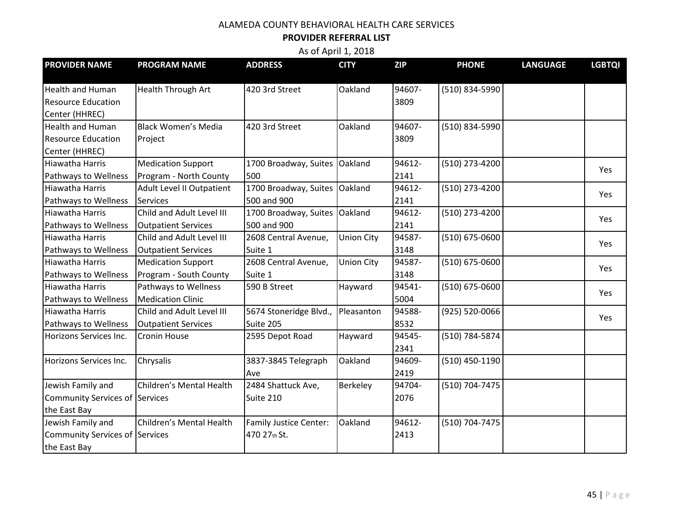#### **PROVIDER REFERRAL LIST**

| <b>PROVIDER NAME</b>           | <b>PROGRAM NAME</b>        | <b>ADDRESS</b>                | <b>CITY</b>       | <b>ZIP</b> | <b>PHONE</b>   | <b>LANGUAGE</b> | <b>LGBTQI</b> |
|--------------------------------|----------------------------|-------------------------------|-------------------|------------|----------------|-----------------|---------------|
| <b>Health and Human</b>        | <b>Health Through Art</b>  | 420 3rd Street                | Oakland           | 94607-     | (510) 834-5990 |                 |               |
| <b>Resource Education</b>      |                            |                               |                   | 3809       |                |                 |               |
| Center (HHREC)                 |                            |                               |                   |            |                |                 |               |
| <b>Health and Human</b>        | <b>Black Women's Media</b> | 420 3rd Street                | Oakland           | 94607-     | (510) 834-5990 |                 |               |
| <b>Resource Education</b>      | Project                    |                               |                   | 3809       |                |                 |               |
| Center (HHREC)                 |                            |                               |                   |            |                |                 |               |
| Hiawatha Harris                | <b>Medication Support</b>  | 1700 Broadway, Suites         | Oakland           | 94612-     | (510) 273-4200 |                 | Yes           |
| Pathways to Wellness           | Program - North County     | 500                           |                   | 2141       |                |                 |               |
| Hiawatha Harris                | Adult Level II Outpatient  | 1700 Broadway, Suites         | Oakland           | 94612-     | (510) 273-4200 |                 | Yes           |
| Pathways to Wellness           | <b>Services</b>            | 500 and 900                   |                   | 2141       |                |                 |               |
| Hiawatha Harris                | Child and Adult Level III  | 1700 Broadway, Suites         | Oakland           | 94612-     | (510) 273-4200 |                 | Yes           |
| Pathways to Wellness           | <b>Outpatient Services</b> | 500 and 900                   |                   | 2141       |                |                 |               |
| Hiawatha Harris                | Child and Adult Level III  | 2608 Central Avenue,          | <b>Union City</b> | 94587-     | (510) 675-0600 |                 | Yes           |
| Pathways to Wellness           | <b>Outpatient Services</b> | Suite 1                       |                   | 3148       |                |                 |               |
| Hiawatha Harris                | <b>Medication Support</b>  | 2608 Central Avenue,          | <b>Union City</b> | 94587-     | (510) 675-0600 |                 | Yes           |
| Pathways to Wellness           | Program - South County     | Suite 1                       |                   | 3148       |                |                 |               |
| Hiawatha Harris                | Pathways to Wellness       | 590 B Street                  | Hayward           | 94541-     | (510) 675-0600 |                 | Yes           |
| Pathways to Wellness           | <b>Medication Clinic</b>   |                               |                   | 5004       |                |                 |               |
| Hiawatha Harris                | Child and Adult Level III  | 5674 Stoneridge Blvd.,        | Pleasanton        | 94588-     | (925) 520-0066 |                 | Yes           |
| Pathways to Wellness           | <b>Outpatient Services</b> | Suite 205                     |                   | 8532       |                |                 |               |
| Horizons Services Inc.         | Cronin House               | 2595 Depot Road               | Hayward           | 94545-     | (510) 784-5874 |                 |               |
|                                |                            |                               |                   | 2341       |                |                 |               |
| Horizons Services Inc.         | Chrysalis                  | 3837-3845 Telegraph           | Oakland           | 94609-     | (510) 450-1190 |                 |               |
|                                |                            | Ave                           |                   | 2419       |                |                 |               |
| Jewish Family and              | Children's Mental Health   | 2484 Shattuck Ave,            | Berkeley          | 94704-     | (510) 704-7475 |                 |               |
| Community Services of Services |                            | Suite 210                     |                   | 2076       |                |                 |               |
| the East Bay                   |                            |                               |                   |            |                |                 |               |
| Jewish Family and              | Children's Mental Health   | <b>Family Justice Center:</b> | Oakland           | 94612-     | (510) 704-7475 |                 |               |
| Community Services of Services |                            | 470 27th St.                  |                   | 2413       |                |                 |               |
| the East Bay                   |                            |                               |                   |            |                |                 |               |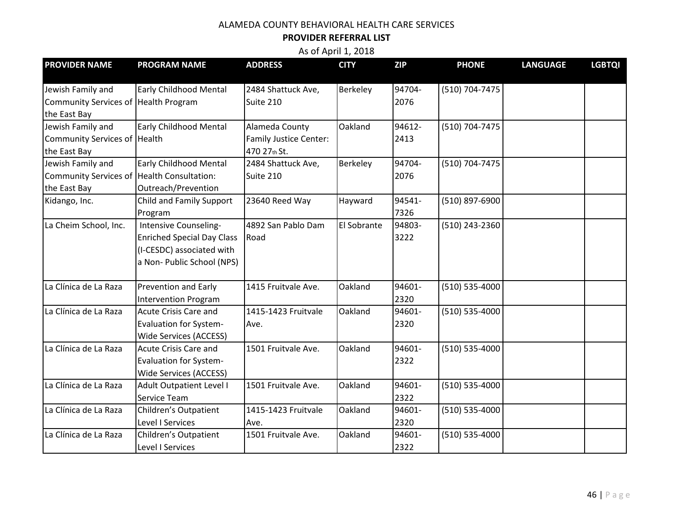#### **PROVIDER REFERRAL LIST**

| <b>PROVIDER NAME</b>                       | <b>PROGRAM NAME</b>               | <b>ADDRESS</b>                | <b>CITY</b> | <b>ZIP</b> | <b>PHONE</b>       | <b>LANGUAGE</b> | <b>LGBTQI</b> |
|--------------------------------------------|-----------------------------------|-------------------------------|-------------|------------|--------------------|-----------------|---------------|
|                                            |                                   |                               |             |            |                    |                 |               |
| Jewish Family and                          | <b>Early Childhood Mental</b>     | 2484 Shattuck Ave,            | Berkeley    | 94704-     | (510) 704-7475     |                 |               |
| Community Services of Health Program       |                                   | Suite 210                     |             | 2076       |                    |                 |               |
| the East Bay                               |                                   |                               |             |            |                    |                 |               |
| Jewish Family and                          | <b>Early Childhood Mental</b>     | Alameda County                | Oakland     | 94612-     | (510) 704-7475     |                 |               |
| Community Services of Health               |                                   | <b>Family Justice Center:</b> |             | 2413       |                    |                 |               |
| the East Bay                               |                                   | 470 27th St.                  |             |            |                    |                 |               |
| Jewish Family and                          | <b>Early Childhood Mental</b>     | 2484 Shattuck Ave,            | Berkeley    | 94704-     | (510) 704-7475     |                 |               |
| Community Services of Health Consultation: |                                   | Suite 210                     |             | 2076       |                    |                 |               |
| the East Bay                               | Outreach/Prevention               |                               |             |            |                    |                 |               |
| Kidango, Inc.                              | Child and Family Support          | 23640 Reed Way                | Hayward     | 94541-     | (510) 897-6900     |                 |               |
|                                            | Program                           |                               |             | 7326       |                    |                 |               |
| La Cheim School, Inc.                      | Intensive Counseling-             | 4892 San Pablo Dam            | El Sobrante | 94803-     | (510) 243-2360     |                 |               |
|                                            | <b>Enriched Special Day Class</b> | Road                          |             | 3222       |                    |                 |               |
|                                            | (I-CESDC) associated with         |                               |             |            |                    |                 |               |
|                                            | a Non- Public School (NPS)        |                               |             |            |                    |                 |               |
|                                            |                                   |                               |             |            |                    |                 |               |
| La Clínica de La Raza                      | Prevention and Early              | 1415 Fruitvale Ave.           | Oakland     | 94601-     | (510) 535-4000     |                 |               |
|                                            | <b>Intervention Program</b>       |                               |             | 2320       |                    |                 |               |
| La Clínica de La Raza                      | <b>Acute Crisis Care and</b>      | 1415-1423 Fruitvale           | Oakland     | 94601-     | (510) 535-4000     |                 |               |
|                                            | <b>Evaluation for System-</b>     | Ave.                          |             | 2320       |                    |                 |               |
|                                            | <b>Wide Services (ACCESS)</b>     |                               |             |            |                    |                 |               |
| La Clínica de La Raza                      | <b>Acute Crisis Care and</b>      | 1501 Fruitvale Ave.           | Oakland     | 94601-     | $(510) 535 - 4000$ |                 |               |
|                                            | <b>Evaluation for System-</b>     |                               |             | 2322       |                    |                 |               |
|                                            | Wide Services (ACCESS)            |                               |             |            |                    |                 |               |
| La Clínica de La Raza                      | <b>Adult Outpatient Level I</b>   | 1501 Fruitvale Ave.           | Oakland     | 94601-     | $(510) 535 - 4000$ |                 |               |
|                                            | Service Team                      |                               |             | 2322       |                    |                 |               |
| La Clínica de La Raza                      | Children's Outpatient             | 1415-1423 Fruitvale           | Oakland     | 94601-     | (510) 535-4000     |                 |               |
|                                            | Level I Services                  | Ave.                          |             | 2320       |                    |                 |               |
| La Clínica de La Raza                      | Children's Outpatient             | 1501 Fruitvale Ave.           | Oakland     | 94601-     | (510) 535-4000     |                 |               |
|                                            | Level I Services                  |                               |             | 2322       |                    |                 |               |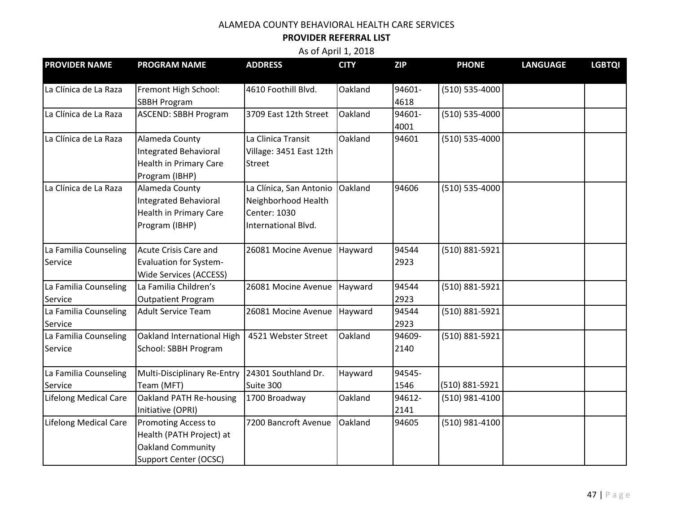#### **PROVIDER REFERRAL LIST**

| <b>PROVIDER NAME</b>         | <b>PROGRAM NAME</b>                | <b>ADDRESS</b>              | <b>CITY</b> | <b>ZIP</b> | <b>PHONE</b>       | <b>LANGUAGE</b> | <b>LGBTQI</b> |
|------------------------------|------------------------------------|-----------------------------|-------------|------------|--------------------|-----------------|---------------|
| La Clínica de La Raza        | Fremont High School:               | 4610 Foothill Blvd.         | Oakland     | 94601-     | $(510) 535 - 4000$ |                 |               |
|                              | <b>SBBH Program</b>                |                             |             | 4618       |                    |                 |               |
| La Clínica de La Raza        | <b>ASCEND: SBBH Program</b>        | 3709 East 12th Street       | Oakland     | 94601-     | (510) 535-4000     |                 |               |
|                              |                                    |                             |             | 4001       |                    |                 |               |
| La Clínica de La Raza        | Alameda County                     | La Clinica Transit          | Oakland     | 94601      | (510) 535-4000     |                 |               |
|                              | <b>Integrated Behavioral</b>       | Village: 3451 East 12th     |             |            |                    |                 |               |
|                              | <b>Health in Primary Care</b>      | <b>Street</b>               |             |            |                    |                 |               |
|                              | Program (IBHP)                     |                             |             |            |                    |                 |               |
| La Clínica de La Raza        | Alameda County                     | La Clínica, San Antonio     | Oakland     | 94606      | (510) 535-4000     |                 |               |
|                              | <b>Integrated Behavioral</b>       | Neighborhood Health         |             |            |                    |                 |               |
|                              | <b>Health in Primary Care</b>      | Center: 1030                |             |            |                    |                 |               |
|                              | Program (IBHP)                     | International Blvd.         |             |            |                    |                 |               |
| La Familia Counseling        | Acute Crisis Care and              | 26081 Mocine Avenue Hayward |             | 94544      | (510) 881-5921     |                 |               |
| Service                      | <b>Evaluation for System-</b>      |                             |             | 2923       |                    |                 |               |
|                              | <b>Wide Services (ACCESS)</b>      |                             |             |            |                    |                 |               |
| La Familia Counseling        | La Familia Children's              | 26081 Mocine Avenue         | Hayward     | 94544      | (510) 881-5921     |                 |               |
| Service                      | <b>Outpatient Program</b>          |                             |             | 2923       |                    |                 |               |
| La Familia Counseling        | Adult Service Team                 | 26081 Mocine Avenue         | Hayward     | 94544      | (510) 881-5921     |                 |               |
| Service                      |                                    |                             |             | 2923       |                    |                 |               |
| La Familia Counseling        | Oakland International High         | 4521 Webster Street         | Oakland     | 94609-     | (510) 881-5921     |                 |               |
| Service                      | School: SBBH Program               |                             |             | 2140       |                    |                 |               |
| La Familia Counseling        | <b>Multi-Disciplinary Re-Entry</b> | 24301 Southland Dr.         | Hayward     | 94545-     |                    |                 |               |
| Service                      | Team (MFT)                         | Suite 300                   |             | 1546       | (510) 881-5921     |                 |               |
| <b>Lifelong Medical Care</b> | Oakland PATH Re-housing            | 1700 Broadway               | Oakland     | 94612-     | (510) 981-4100     |                 |               |
|                              | Initiative (OPRI)                  |                             |             | 2141       |                    |                 |               |
| <b>Lifelong Medical Care</b> | Promoting Access to                | 7200 Bancroft Avenue        | Oakland     | 94605      | (510) 981-4100     |                 |               |
|                              | Health (PATH Project) at           |                             |             |            |                    |                 |               |
|                              | Oakland Community                  |                             |             |            |                    |                 |               |
|                              | <b>Support Center (OCSC)</b>       |                             |             |            |                    |                 |               |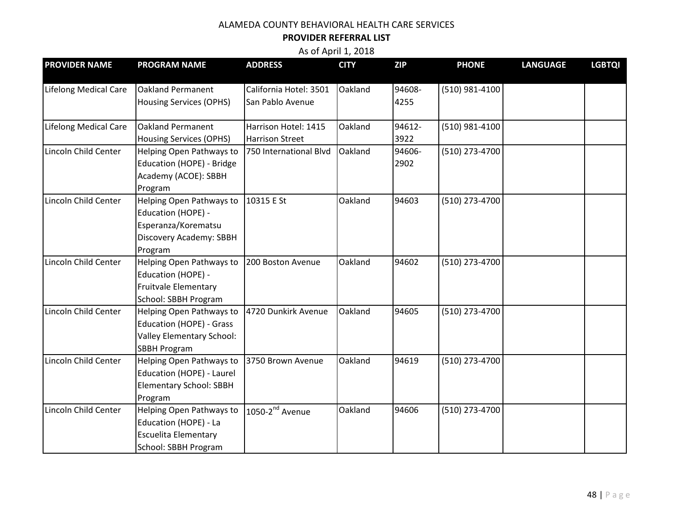#### **PROVIDER REFERRAL LIST**

| <b>PROVIDER NAME</b>         | <b>PROGRAM NAME</b>                                 | <b>ADDRESS</b>                             | <b>CITY</b> | <b>ZIP</b>     | <b>PHONE</b>   | <b>LANGUAGE</b> | <b>LGBTQI</b> |
|------------------------------|-----------------------------------------------------|--------------------------------------------|-------------|----------------|----------------|-----------------|---------------|
| <b>Lifelong Medical Care</b> | Oakland Permanent<br><b>Housing Services (OPHS)</b> | California Hotel: 3501<br>San Pablo Avenue | Oakland     | 94608-<br>4255 | (510) 981-4100 |                 |               |
|                              |                                                     |                                            |             |                |                |                 |               |
| <b>Lifelong Medical Care</b> | <b>Oakland Permanent</b>                            | Harrison Hotel: 1415                       | Oakland     | 94612-         | (510) 981-4100 |                 |               |
|                              | <b>Housing Services (OPHS)</b>                      | <b>Harrison Street</b>                     |             | 3922           |                |                 |               |
| Lincoln Child Center         | Helping Open Pathways to                            | 750 International Blvd                     | Oakland     | 94606-         | (510) 273-4700 |                 |               |
|                              | Education (HOPE) - Bridge                           |                                            |             | 2902           |                |                 |               |
|                              | Academy (ACOE): SBBH                                |                                            |             |                |                |                 |               |
|                              | Program                                             |                                            |             |                |                |                 |               |
| Lincoln Child Center         | Helping Open Pathways to                            | 10315 E St                                 | Oakland     | 94603          | (510) 273-4700 |                 |               |
|                              | Education (HOPE) -                                  |                                            |             |                |                |                 |               |
|                              | Esperanza/Korematsu                                 |                                            |             |                |                |                 |               |
|                              | Discovery Academy: SBBH                             |                                            |             |                |                |                 |               |
|                              | Program                                             |                                            |             |                |                |                 |               |
| Lincoln Child Center         | Helping Open Pathways to                            | 200 Boston Avenue                          | Oakland     | 94602          | (510) 273-4700 |                 |               |
|                              | Education (HOPE) -                                  |                                            |             |                |                |                 |               |
|                              | <b>Fruitvale Elementary</b>                         |                                            |             |                |                |                 |               |
|                              | School: SBBH Program                                |                                            |             |                |                |                 |               |
| Lincoln Child Center         | Helping Open Pathways to                            | 4720 Dunkirk Avenue                        | Oakland     | 94605          | (510) 273-4700 |                 |               |
|                              | Education (HOPE) - Grass                            |                                            |             |                |                |                 |               |
|                              | <b>Valley Elementary School:</b>                    |                                            |             |                |                |                 |               |
|                              | <b>SBBH Program</b>                                 |                                            |             |                |                |                 |               |
| Lincoln Child Center         | Helping Open Pathways to                            | 3750 Brown Avenue                          | Oakland     | 94619          | (510) 273-4700 |                 |               |
|                              | Education (HOPE) - Laurel                           |                                            |             |                |                |                 |               |
|                              | <b>Elementary School: SBBH</b>                      |                                            |             |                |                |                 |               |
|                              | Program                                             |                                            |             |                |                |                 |               |
| Lincoln Child Center         | Helping Open Pathways to                            | $1050-2^{nd}$ Avenue                       | Oakland     | 94606          | (510) 273-4700 |                 |               |
|                              | Education (HOPE) - La                               |                                            |             |                |                |                 |               |
|                              | <b>Escuelita Elementary</b>                         |                                            |             |                |                |                 |               |
|                              | School: SBBH Program                                |                                            |             |                |                |                 |               |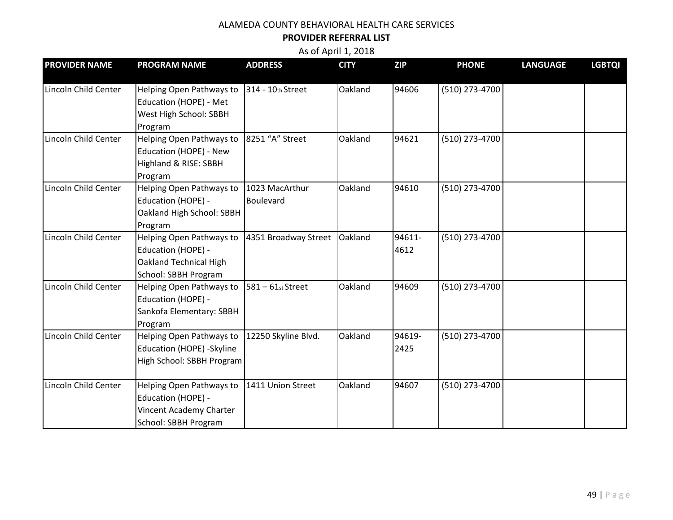#### **PROVIDER REFERRAL LIST**

| <b>PROVIDER NAME</b> | <b>PROGRAM NAME</b>                                                                               | <b>ADDRESS</b>              | <b>CITY</b> | <b>ZIP</b>     | <b>PHONE</b>   | <b>LANGUAGE</b> | <b>LGBTQI</b> |
|----------------------|---------------------------------------------------------------------------------------------------|-----------------------------|-------------|----------------|----------------|-----------------|---------------|
| Lincoln Child Center | Helping Open Pathways to<br>Education (HOPE) - Met<br>West High School: SBBH<br>Program           | 314 - 10th Street           | Oakland     | 94606          | (510) 273-4700 |                 |               |
| Lincoln Child Center | Helping Open Pathways to<br>Education (HOPE) - New<br>Highland & RISE: SBBH<br>Program            | 8251 "A" Street             | Oakland     | 94621          | (510) 273-4700 |                 |               |
| Lincoln Child Center | Helping Open Pathways to<br>Education (HOPE) -<br>Oakland High School: SBBH<br>Program            | 1023 MacArthur<br>Boulevard | Oakland     | 94610          | (510) 273-4700 |                 |               |
| Lincoln Child Center | Helping Open Pathways to<br>Education (HOPE) -<br>Oakland Technical High<br>School: SBBH Program  | 4351 Broadway Street        | Oakland     | 94611-<br>4612 | (510) 273-4700 |                 |               |
| Lincoln Child Center | Helping Open Pathways to<br>Education (HOPE) -<br>Sankofa Elementary: SBBH<br>Program             | $581 - 61$ st Street        | Oakland     | 94609          | (510) 273-4700 |                 |               |
| Lincoln Child Center | Helping Open Pathways to<br>Education (HOPE) -Skyline<br>High School: SBBH Program                | 12250 Skyline Blvd.         | Oakland     | 94619-<br>2425 | (510) 273-4700 |                 |               |
| Lincoln Child Center | Helping Open Pathways to<br>Education (HOPE) -<br>Vincent Academy Charter<br>School: SBBH Program | 1411 Union Street           | Oakland     | 94607          | (510) 273-4700 |                 |               |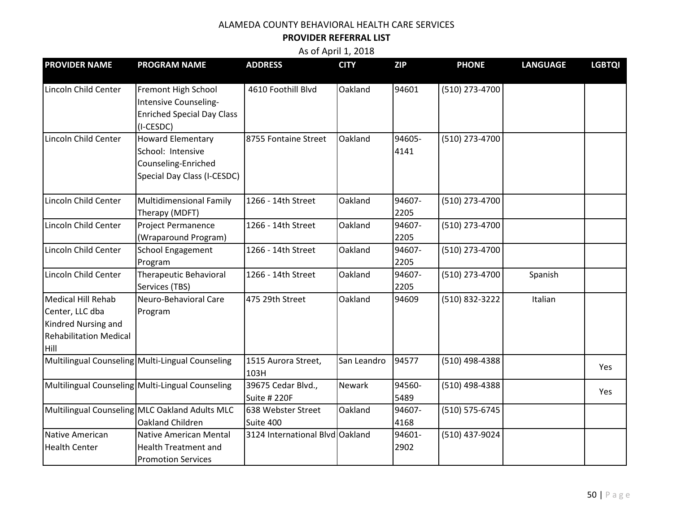#### **PROVIDER REFERRAL LIST**

| <b>PROVIDER NAME</b>                                                                                  | <b>PROGRAM NAME</b>                                                                                 | <b>ADDRESS</b>                     | <b>CITY</b> | <b>ZIP</b>     | <b>PHONE</b>   | <b>LANGUAGE</b> | <b>LGBTQI</b> |
|-------------------------------------------------------------------------------------------------------|-----------------------------------------------------------------------------------------------------|------------------------------------|-------------|----------------|----------------|-----------------|---------------|
| Lincoln Child Center                                                                                  | Fremont High School<br>Intensive Counseling-<br><b>Enriched Special Day Class</b><br>(I-CESDC)      | 4610 Foothill Blvd                 | Oakland     | 94601          | (510) 273-4700 |                 |               |
| Lincoln Child Center                                                                                  | <b>Howard Elementary</b><br>School: Intensive<br>Counseling-Enriched<br>Special Day Class (I-CESDC) | 8755 Fontaine Street               | Oakland     | 94605-<br>4141 | (510) 273-4700 |                 |               |
| Lincoln Child Center                                                                                  | <b>Multidimensional Family</b><br>Therapy (MDFT)                                                    | 1266 - 14th Street                 | Oakland     | 94607-<br>2205 | (510) 273-4700 |                 |               |
| Lincoln Child Center                                                                                  | <b>Project Permanence</b><br>(Wraparound Program)                                                   | 1266 - 14th Street                 | Oakland     | 94607-<br>2205 | (510) 273-4700 |                 |               |
| Lincoln Child Center                                                                                  | <b>School Engagement</b><br>Program                                                                 | 1266 - 14th Street                 | Oakland     | 94607-<br>2205 | (510) 273-4700 |                 |               |
| Lincoln Child Center                                                                                  | <b>Therapeutic Behavioral</b><br>Services (TBS)                                                     | 1266 - 14th Street                 | Oakland     | 94607-<br>2205 | (510) 273-4700 | Spanish         |               |
| Medical Hill Rehab<br>Center, LLC dba<br>Kindred Nursing and<br><b>Rehabilitation Medical</b><br>Hill | Neuro-Behavioral Care<br>Program                                                                    | 475 29th Street                    | Oakland     | 94609          | (510) 832-3222 | Italian         |               |
|                                                                                                       | Multilingual Counseling Multi-Lingual Counseling                                                    | 1515 Aurora Street,<br>103H        | San Leandro | 94577          | (510) 498-4388 |                 | Yes           |
|                                                                                                       | Multilingual Counseling   Multi-Lingual Counseling                                                  | 39675 Cedar Blvd.,<br>Suite # 220F | Newark      | 94560-<br>5489 | (510) 498-4388 |                 | Yes           |
|                                                                                                       | Multilingual Counseling MLC Oakland Adults MLC<br>Oakland Children                                  | 638 Webster Street<br>Suite 400    | Oakland     | 94607-<br>4168 | (510) 575-6745 |                 |               |
| Native American<br><b>Health Center</b>                                                               | Native American Mental<br><b>Health Treatment and</b><br><b>Promotion Services</b>                  | 3124 International Blvd Oakland    |             | 94601-<br>2902 | (510) 437-9024 |                 |               |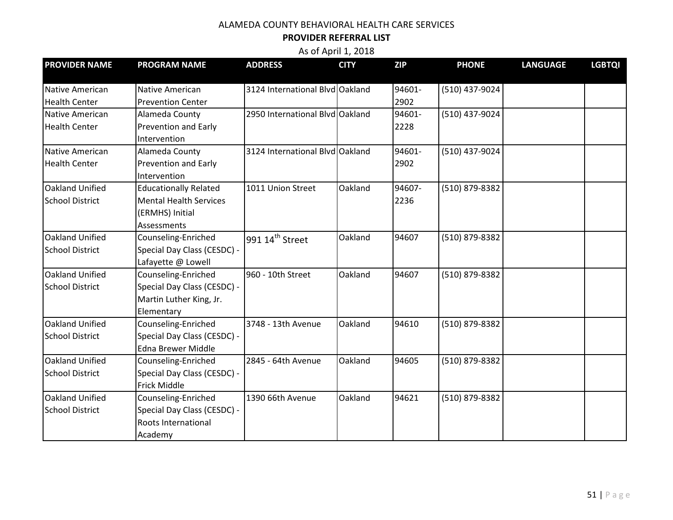#### **PROVIDER REFERRAL LIST**

| <b>PROVIDER NAME</b>   | <b>PROGRAM NAME</b>           | <b>ADDRESS</b>                  | <b>CITY</b> | <b>ZIP</b> | <b>PHONE</b>   | <b>LANGUAGE</b> | <b>LGBTQI</b> |
|------------------------|-------------------------------|---------------------------------|-------------|------------|----------------|-----------------|---------------|
| Native American        | <b>Native American</b>        | 3124 International Blvd Oakland |             | 94601-     | (510) 437-9024 |                 |               |
| <b>Health Center</b>   | <b>Prevention Center</b>      |                                 |             | 2902       |                |                 |               |
| Native American        | Alameda County                | 2950 International Blvd Oakland |             | 94601-     | (510) 437-9024 |                 |               |
| <b>Health Center</b>   | Prevention and Early          |                                 |             | 2228       |                |                 |               |
|                        | Intervention                  |                                 |             |            |                |                 |               |
| Native American        | Alameda County                | 3124 International Blvd Oakland |             | 94601-     | (510) 437-9024 |                 |               |
| <b>Health Center</b>   | Prevention and Early          |                                 |             | 2902       |                |                 |               |
|                        | Intervention                  |                                 |             |            |                |                 |               |
| Oakland Unified        | <b>Educationally Related</b>  | 1011 Union Street               | Oakland     | 94607-     | (510) 879-8382 |                 |               |
| <b>School District</b> | <b>Mental Health Services</b> |                                 |             | 2236       |                |                 |               |
|                        | (ERMHS) Initial               |                                 |             |            |                |                 |               |
|                        | Assessments                   |                                 |             |            |                |                 |               |
| Oakland Unified        | Counseling-Enriched           | 991 14 <sup>th</sup> Street     | Oakland     | 94607      | (510) 879-8382 |                 |               |
| <b>School District</b> | Special Day Class (CESDC) -   |                                 |             |            |                |                 |               |
|                        | Lafayette @ Lowell            |                                 |             |            |                |                 |               |
| Oakland Unified        | Counseling-Enriched           | 960 - 10th Street               | Oakland     | 94607      | (510) 879-8382 |                 |               |
| <b>School District</b> | Special Day Class (CESDC) -   |                                 |             |            |                |                 |               |
|                        | Martin Luther King, Jr.       |                                 |             |            |                |                 |               |
|                        | Elementary                    |                                 |             |            |                |                 |               |
| Oakland Unified        | Counseling-Enriched           | 3748 - 13th Avenue              | Oakland     | 94610      | (510) 879-8382 |                 |               |
| <b>School District</b> | Special Day Class (CESDC) -   |                                 |             |            |                |                 |               |
|                        | <b>Edna Brewer Middle</b>     |                                 |             |            |                |                 |               |
| Oakland Unified        | Counseling-Enriched           | 2845 - 64th Avenue              | Oakland     | 94605      | (510) 879-8382 |                 |               |
| <b>School District</b> | Special Day Class (CESDC) -   |                                 |             |            |                |                 |               |
|                        | <b>Frick Middle</b>           |                                 |             |            |                |                 |               |
| Oakland Unified        | Counseling-Enriched           | 1390 66th Avenue                | Oakland     | 94621      | (510) 879-8382 |                 |               |
| <b>School District</b> | Special Day Class (CESDC) -   |                                 |             |            |                |                 |               |
|                        | Roots International           |                                 |             |            |                |                 |               |
|                        | Academy                       |                                 |             |            |                |                 |               |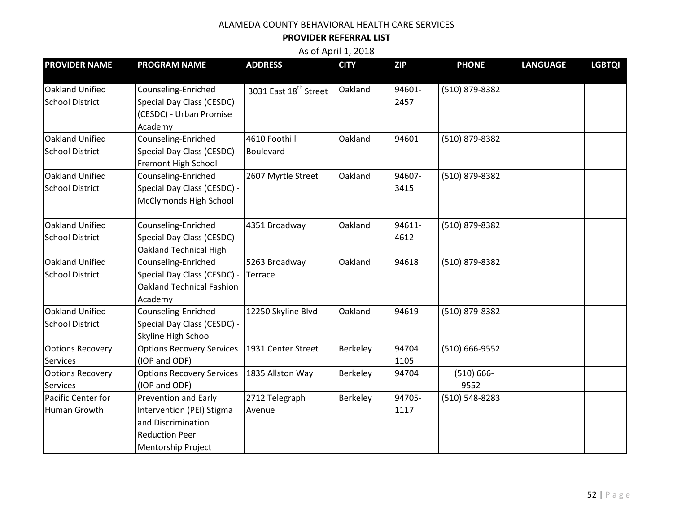#### **PROVIDER REFERRAL LIST**

| <b>PROVIDER NAME</b>                       | <b>PROGRAM NAME</b>                                                                                                    | <b>ADDRESS</b>                    | <b>CITY</b> | <b>ZIP</b>     | <b>PHONE</b>          | <b>LANGUAGE</b> | <b>LGBTQI</b> |
|--------------------------------------------|------------------------------------------------------------------------------------------------------------------------|-----------------------------------|-------------|----------------|-----------------------|-----------------|---------------|
| Oakland Unified<br><b>School District</b>  | Counseling-Enriched<br>Special Day Class (CESDC)<br>(CESDC) - Urban Promise<br>Academy                                 | 3031 East 18 <sup>th</sup> Street | Oakland     | 94601-<br>2457 | (510) 879-8382        |                 |               |
| Oakland Unified<br><b>School District</b>  | Counseling-Enriched<br>Special Day Class (CESDC) -<br>Fremont High School                                              | 4610 Foothill<br>Boulevard        | Oakland     | 94601          | (510) 879-8382        |                 |               |
| Oakland Unified<br><b>School District</b>  | Counseling-Enriched<br>Special Day Class (CESDC) -<br>McClymonds High School                                           | 2607 Myrtle Street                | Oakland     | 94607-<br>3415 | (510) 879-8382        |                 |               |
| Oakland Unified<br><b>School District</b>  | Counseling-Enriched<br>Special Day Class (CESDC) -<br><b>Oakland Technical High</b>                                    | 4351 Broadway                     | Oakland     | 94611-<br>4612 | (510) 879-8382        |                 |               |
| Oakland Unified<br><b>School District</b>  | Counseling-Enriched<br>Special Day Class (CESDC) -<br><b>Oakland Technical Fashion</b><br>Academy                      | 5263 Broadway<br>Terrace          | Oakland     | 94618          | (510) 879-8382        |                 |               |
| Oakland Unified<br><b>School District</b>  | Counseling-Enriched<br>Special Day Class (CESDC) -<br>Skyline High School                                              | 12250 Skyline Blvd                | Oakland     | 94619          | (510) 879-8382        |                 |               |
| <b>Options Recovery</b><br>Services        | <b>Options Recovery Services</b><br>(IOP and ODF)                                                                      | 1931 Center Street                | Berkeley    | 94704<br>1105  | (510) 666-9552        |                 |               |
| <b>Options Recovery</b><br><b>Services</b> | <b>Options Recovery Services</b><br>(IOP and ODF)                                                                      | 1835 Allston Way                  | Berkeley    | 94704          | $(510) 666 -$<br>9552 |                 |               |
| Pacific Center for<br>Human Growth         | Prevention and Early<br>Intervention (PEI) Stigma<br>and Discrimination<br><b>Reduction Peer</b><br>Mentorship Project | 2712 Telegraph<br>Avenue          | Berkeley    | 94705-<br>1117 | (510) 548-8283        |                 |               |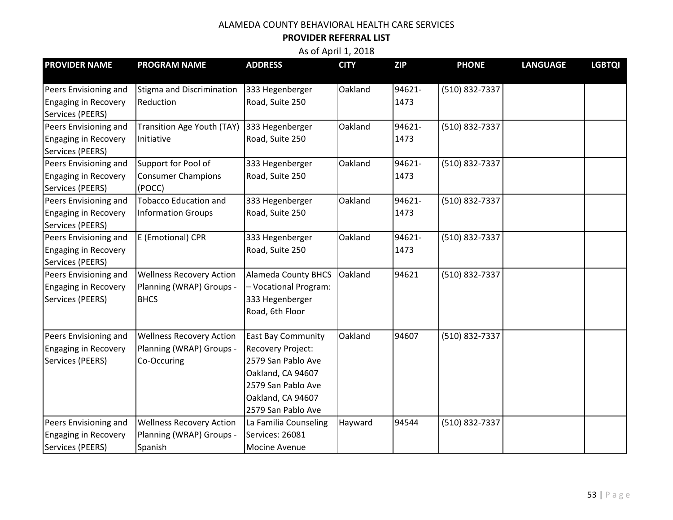#### **PROVIDER REFERRAL LIST**

| <b>PROVIDER NAME</b>        | <b>PROGRAM NAME</b>                        | <b>ADDRESS</b>             | <b>CITY</b> | <b>ZIP</b> | <b>PHONE</b>   | <b>LANGUAGE</b> | <b>LGBTQI</b> |
|-----------------------------|--------------------------------------------|----------------------------|-------------|------------|----------------|-----------------|---------------|
|                             |                                            |                            | Oakland     | 94621-     | (510) 832-7337 |                 |               |
| Peers Envisioning and       | Stigma and Discrimination                  | 333 Hegenberger            |             |            |                |                 |               |
| <b>Engaging in Recovery</b> | Reduction                                  | Road, Suite 250            |             | 1473       |                |                 |               |
| Services (PEERS)            |                                            |                            |             |            |                |                 |               |
| Peers Envisioning and       | Transition Age Youth (TAY) 333 Hegenberger |                            | Oakland     | 94621-     | (510) 832-7337 |                 |               |
| <b>Engaging in Recovery</b> | Initiative                                 | Road, Suite 250            |             | 1473       |                |                 |               |
| Services (PEERS)            |                                            |                            |             |            |                |                 |               |
| Peers Envisioning and       | Support for Pool of                        | 333 Hegenberger            | Oakland     | 94621-     | (510) 832-7337 |                 |               |
| <b>Engaging in Recovery</b> | <b>Consumer Champions</b>                  | Road, Suite 250            |             | 1473       |                |                 |               |
| Services (PEERS)            | (POCC)                                     |                            |             |            |                |                 |               |
| Peers Envisioning and       | <b>Tobacco Education and</b>               | 333 Hegenberger            | Oakland     | 94621-     | (510) 832-7337 |                 |               |
| <b>Engaging in Recovery</b> | <b>Information Groups</b>                  | Road, Suite 250            |             | 1473       |                |                 |               |
| Services (PEERS)            |                                            |                            |             |            |                |                 |               |
| Peers Envisioning and       | E (Emotional) CPR                          | 333 Hegenberger            | Oakland     | 94621-     | (510) 832-7337 |                 |               |
| <b>Engaging in Recovery</b> |                                            | Road, Suite 250            |             | 1473       |                |                 |               |
| Services (PEERS)            |                                            |                            |             |            |                |                 |               |
| Peers Envisioning and       | <b>Wellness Recovery Action</b>            | <b>Alameda County BHCS</b> | Oakland     | 94621      | (510) 832-7337 |                 |               |
| <b>Engaging in Recovery</b> | Planning (WRAP) Groups -                   | - Vocational Program:      |             |            |                |                 |               |
| Services (PEERS)            | <b>BHCS</b>                                | 333 Hegenberger            |             |            |                |                 |               |
|                             |                                            | Road, 6th Floor            |             |            |                |                 |               |
|                             |                                            |                            |             |            |                |                 |               |
| Peers Envisioning and       | <b>Wellness Recovery Action</b>            | <b>East Bay Community</b>  | Oakland     | 94607      | (510) 832-7337 |                 |               |
| <b>Engaging in Recovery</b> | Planning (WRAP) Groups -                   | Recovery Project:          |             |            |                |                 |               |
| Services (PEERS)            | Co-Occuring                                | 2579 San Pablo Ave         |             |            |                |                 |               |
|                             |                                            | Oakland, CA 94607          |             |            |                |                 |               |
|                             |                                            | 2579 San Pablo Ave         |             |            |                |                 |               |
|                             |                                            | Oakland, CA 94607          |             |            |                |                 |               |
|                             |                                            | 2579 San Pablo Ave         |             |            |                |                 |               |
| Peers Envisioning and       | <b>Wellness Recovery Action</b>            | La Familia Counseling      | Hayward     | 94544      | (510) 832-7337 |                 |               |
| <b>Engaging in Recovery</b> | Planning (WRAP) Groups -                   | Services: 26081            |             |            |                |                 |               |
| Services (PEERS)            | Spanish                                    | Mocine Avenue              |             |            |                |                 |               |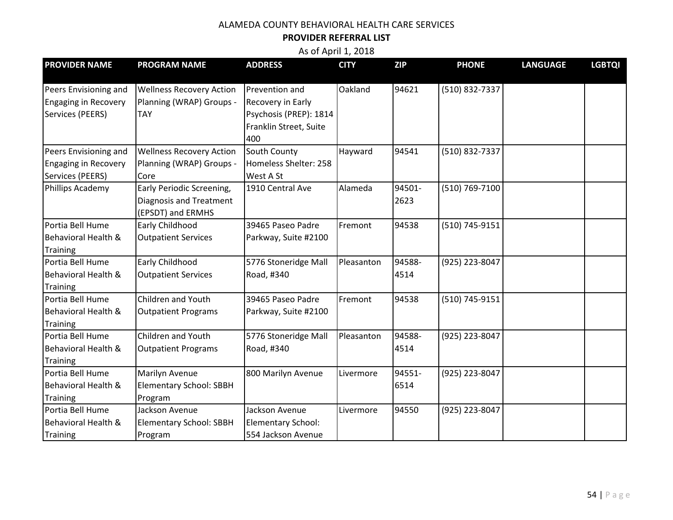#### **PROVIDER REFERRAL LIST**

| <b>PROVIDER NAME</b>        | <b>PROGRAM NAME</b>             | <b>ADDRESS</b>            | <b>CITY</b> | <b>ZIP</b> | <b>PHONE</b>   | <b>LANGUAGE</b> | <b>LGBTQI</b> |
|-----------------------------|---------------------------------|---------------------------|-------------|------------|----------------|-----------------|---------------|
|                             |                                 |                           |             |            |                |                 |               |
| Peers Envisioning and       | <b>Wellness Recovery Action</b> | Prevention and            | Oakland     | 94621      | (510) 832-7337 |                 |               |
| <b>Engaging in Recovery</b> | Planning (WRAP) Groups -        | <b>Recovery in Early</b>  |             |            |                |                 |               |
| Services (PEERS)            | <b>TAY</b>                      | Psychosis (PREP): 1814    |             |            |                |                 |               |
|                             |                                 | Franklin Street, Suite    |             |            |                |                 |               |
|                             |                                 | 400                       |             |            |                |                 |               |
| Peers Envisioning and       | <b>Wellness Recovery Action</b> | South County              | Hayward     | 94541      | (510) 832-7337 |                 |               |
| <b>Engaging in Recovery</b> | Planning (WRAP) Groups -        | Homeless Shelter: 258     |             |            |                |                 |               |
| Services (PEERS)            | Core                            | West A St                 |             |            |                |                 |               |
| Phillips Academy            | Early Periodic Screening,       | 1910 Central Ave          | Alameda     | 94501-     | (510) 769-7100 |                 |               |
|                             | Diagnosis and Treatment         |                           |             | 2623       |                |                 |               |
|                             | (EPSDT) and ERMHS               |                           |             |            |                |                 |               |
| Portia Bell Hume            | Early Childhood                 | 39465 Paseo Padre         | Fremont     | 94538      | (510) 745-9151 |                 |               |
| Behavioral Health &         | <b>Outpatient Services</b>      | Parkway, Suite #2100      |             |            |                |                 |               |
| <b>Training</b>             |                                 |                           |             |            |                |                 |               |
| Portia Bell Hume            | Early Childhood                 | 5776 Stoneridge Mall      | Pleasanton  | 94588-     | (925) 223-8047 |                 |               |
| Behavioral Health &         | <b>Outpatient Services</b>      | Road, #340                |             | 4514       |                |                 |               |
| <b>Training</b>             |                                 |                           |             |            |                |                 |               |
| Portia Bell Hume            | Children and Youth              | 39465 Paseo Padre         | Fremont     | 94538      | (510) 745-9151 |                 |               |
| Behavioral Health &         | <b>Outpatient Programs</b>      | Parkway, Suite #2100      |             |            |                |                 |               |
| Training                    |                                 |                           |             |            |                |                 |               |
| Portia Bell Hume            | Children and Youth              | 5776 Stoneridge Mall      | Pleasanton  | 94588-     | (925) 223-8047 |                 |               |
| Behavioral Health &         | <b>Outpatient Programs</b>      | Road, #340                |             | 4514       |                |                 |               |
| <b>Training</b>             |                                 |                           |             |            |                |                 |               |
| Portia Bell Hume            | Marilyn Avenue                  | 800 Marilyn Avenue        | Livermore   | 94551-     | (925) 223-8047 |                 |               |
| Behavioral Health &         | Elementary School: SBBH         |                           |             | 6514       |                |                 |               |
| <b>Training</b>             | Program                         |                           |             |            |                |                 |               |
| Portia Bell Hume            | Jackson Avenue                  | Jackson Avenue            | Livermore   | 94550      | (925) 223-8047 |                 |               |
| Behavioral Health &         | <b>Elementary School: SBBH</b>  | <b>Elementary School:</b> |             |            |                |                 |               |
| Training                    | Program                         | 554 Jackson Avenue        |             |            |                |                 |               |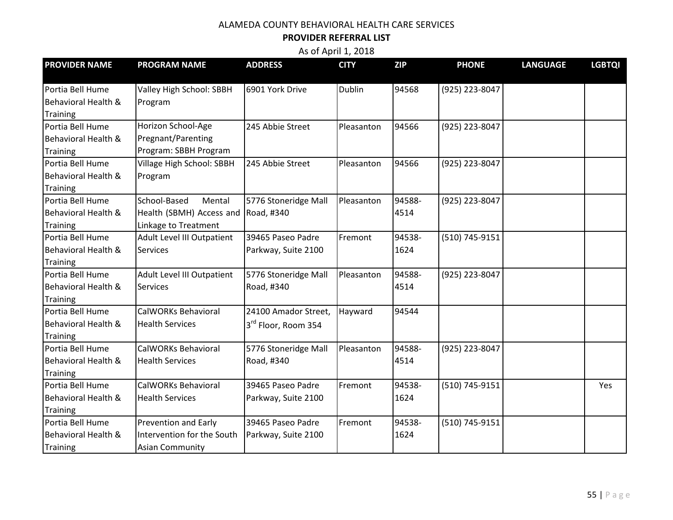#### **PROVIDER REFERRAL LIST**

| <b>PROVIDER NAME</b> | <b>PROGRAM NAME</b>         | <b>ADDRESS</b>                  | <b>CITY</b>   | <b>ZIP</b> | <b>PHONE</b>   | <b>LANGUAGE</b> | <b>LGBTQI</b> |
|----------------------|-----------------------------|---------------------------------|---------------|------------|----------------|-----------------|---------------|
|                      |                             |                                 |               |            |                |                 |               |
| Portia Bell Hume     | Valley High School: SBBH    | 6901 York Drive                 | <b>Dublin</b> | 94568      | (925) 223-8047 |                 |               |
| Behavioral Health &  | Program                     |                                 |               |            |                |                 |               |
| Training             |                             |                                 |               |            |                |                 |               |
| Portia Bell Hume     | Horizon School-Age          | 245 Abbie Street                | Pleasanton    | 94566      | (925) 223-8047 |                 |               |
| Behavioral Health &  | Pregnant/Parenting          |                                 |               |            |                |                 |               |
| Training             | Program: SBBH Program       |                                 |               |            |                |                 |               |
| Portia Bell Hume     | Village High School: SBBH   | 245 Abbie Street                | Pleasanton    | 94566      | (925) 223-8047 |                 |               |
| Behavioral Health &  | Program                     |                                 |               |            |                |                 |               |
| <b>Training</b>      |                             |                                 |               |            |                |                 |               |
| Portia Bell Hume     | School-Based<br>Mental      | 5776 Stoneridge Mall            | Pleasanton    | 94588-     | (925) 223-8047 |                 |               |
| Behavioral Health &  | Health (SBMH) Access and    | Road, #340                      |               | 4514       |                |                 |               |
| Training             | Linkage to Treatment        |                                 |               |            |                |                 |               |
| Portia Bell Hume     | Adult Level III Outpatient  | 39465 Paseo Padre               | Fremont       | 94538-     | (510) 745-9151 |                 |               |
| Behavioral Health &  | <b>Services</b>             | Parkway, Suite 2100             |               | 1624       |                |                 |               |
| <b>Training</b>      |                             |                                 |               |            |                |                 |               |
| Portia Bell Hume     | Adult Level III Outpatient  | 5776 Stoneridge Mall            | Pleasanton    | 94588-     | (925) 223-8047 |                 |               |
| Behavioral Health &  | Services                    | Road, #340                      |               | 4514       |                |                 |               |
| <b>Training</b>      |                             |                                 |               |            |                |                 |               |
| Portia Bell Hume     | CalWORKs Behavioral         | 24100 Amador Street,            | Hayward       | 94544      |                |                 |               |
| Behavioral Health &  | <b>Health Services</b>      | 3 <sup>rd</sup> Floor, Room 354 |               |            |                |                 |               |
| <b>Training</b>      |                             |                                 |               |            |                |                 |               |
| Portia Bell Hume     | CalWORKs Behavioral         | 5776 Stoneridge Mall            | Pleasanton    | 94588-     | (925) 223-8047 |                 |               |
| Behavioral Health &  | <b>Health Services</b>      | Road, #340                      |               | 4514       |                |                 |               |
| <b>Training</b>      |                             |                                 |               |            |                |                 |               |
| Portia Bell Hume     | <b>CalWORKs Behavioral</b>  | 39465 Paseo Padre               | Fremont       | 94538-     | (510) 745-9151 |                 | Yes           |
| Behavioral Health &  | <b>Health Services</b>      | Parkway, Suite 2100             |               | 1624       |                |                 |               |
| <b>Training</b>      |                             |                                 |               |            |                |                 |               |
| Portia Bell Hume     | <b>Prevention and Early</b> | 39465 Paseo Padre               | Fremont       | 94538-     | (510) 745-9151 |                 |               |
| Behavioral Health &  | Intervention for the South  | Parkway, Suite 2100             |               | 1624       |                |                 |               |
| <b>Training</b>      | <b>Asian Community</b>      |                                 |               |            |                |                 |               |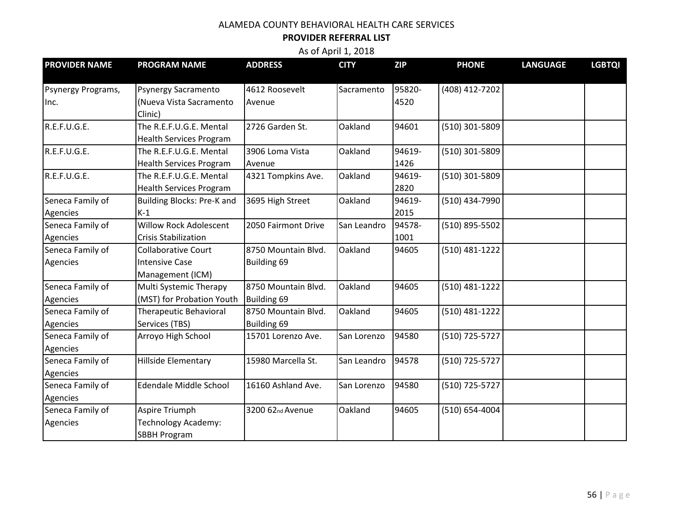#### **PROVIDER REFERRAL LIST**

| <b>PROVIDER NAME</b> | <b>PROGRAM NAME</b>               | <b>ADDRESS</b>      | <b>CITY</b> | <b>ZIP</b> | <b>PHONE</b>   | <b>LANGUAGE</b> | <b>LGBTQI</b> |
|----------------------|-----------------------------------|---------------------|-------------|------------|----------------|-----------------|---------------|
| Psynergy Programs,   | <b>Psynergy Sacramento</b>        | 4612 Roosevelt      | Sacramento  | 95820-     | (408) 412-7202 |                 |               |
| Inc.                 | (Nueva Vista Sacramento           | Avenue              |             | 4520       |                |                 |               |
|                      | Clinic)                           |                     |             |            |                |                 |               |
| R.E.F.U.G.E.         | The R.E.F.U.G.E. Mental           | 2726 Garden St.     | Oakland     | 94601      | (510) 301-5809 |                 |               |
|                      | <b>Health Services Program</b>    |                     |             |            |                |                 |               |
| R.E.F.U.G.E.         | The R.E.F.U.G.E. Mental           | 3906 Loma Vista     | Oakland     | 94619-     | (510) 301-5809 |                 |               |
|                      | <b>Health Services Program</b>    | Avenue              |             | 1426       |                |                 |               |
| R.E.F.U.G.E.         | The R.E.F.U.G.E. Mental           | 4321 Tompkins Ave.  | Oakland     | 94619-     | (510) 301-5809 |                 |               |
|                      | <b>Health Services Program</b>    |                     |             | 2820       |                |                 |               |
| Seneca Family of     | <b>Building Blocks: Pre-K and</b> | 3695 High Street    | Oakland     | 94619-     | (510) 434-7990 |                 |               |
| Agencies             | $K-1$                             |                     |             | 2015       |                |                 |               |
| Seneca Family of     | <b>Willow Rock Adolescent</b>     | 2050 Fairmont Drive | San Leandro | 94578-     | (510) 895-5502 |                 |               |
| Agencies             | <b>Crisis Stabilization</b>       |                     |             | 1001       |                |                 |               |
| Seneca Family of     | <b>Collaborative Court</b>        | 8750 Mountain Blvd. | Oakland     | 94605      | (510) 481-1222 |                 |               |
| Agencies             | <b>Intensive Case</b>             | Building 69         |             |            |                |                 |               |
|                      | Management (ICM)                  |                     |             |            |                |                 |               |
| Seneca Family of     | Multi Systemic Therapy            | 8750 Mountain Blvd. | Oakland     | 94605      | (510) 481-1222 |                 |               |
| Agencies             | (MST) for Probation Youth         | Building 69         |             |            |                |                 |               |
| Seneca Family of     | <b>Therapeutic Behavioral</b>     | 8750 Mountain Blvd. | Oakland     | 94605      | (510) 481-1222 |                 |               |
| Agencies             | Services (TBS)                    | <b>Building 69</b>  |             |            |                |                 |               |
| Seneca Family of     | Arroyo High School                | 15701 Lorenzo Ave.  | San Lorenzo | 94580      | (510) 725-5727 |                 |               |
| Agencies             |                                   |                     |             |            |                |                 |               |
| Seneca Family of     | Hillside Elementary               | 15980 Marcella St.  | San Leandro | 94578      | (510) 725-5727 |                 |               |
| Agencies             |                                   |                     |             |            |                |                 |               |
| Seneca Family of     | <b>Edendale Middle School</b>     | 16160 Ashland Ave.  | San Lorenzo | 94580      | (510) 725-5727 |                 |               |
| Agencies             |                                   |                     |             |            |                |                 |               |
| Seneca Family of     | Aspire Triumph                    | 3200 62nd Avenue    | Oakland     | 94605      | (510) 654-4004 |                 |               |
| Agencies             | Technology Academy:               |                     |             |            |                |                 |               |
|                      | <b>SBBH Program</b>               |                     |             |            |                |                 |               |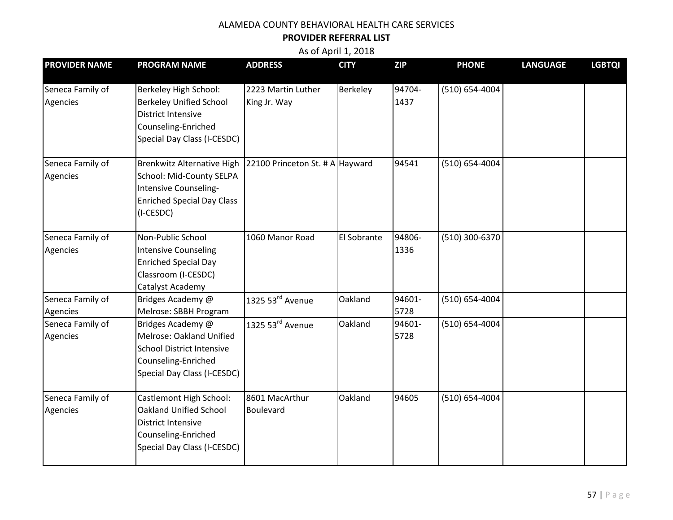#### **PROVIDER REFERRAL LIST**

| <b>PROVIDER NAME</b>         | <b>PROGRAM NAME</b>                                                                                                                         | <b>ADDRESS</b>                     | <b>CITY</b> | <b>ZIP</b>     | <b>PHONE</b>       | <b>LANGUAGE</b> | <b>LGBTQI</b> |
|------------------------------|---------------------------------------------------------------------------------------------------------------------------------------------|------------------------------------|-------------|----------------|--------------------|-----------------|---------------|
| Seneca Family of<br>Agencies | Berkeley High School:<br><b>Berkeley Unified School</b><br><b>District Intensive</b><br>Counseling-Enriched<br>Special Day Class (I-CESDC)  | 2223 Martin Luther<br>King Jr. Way | Berkeley    | 94704-<br>1437 | $(510) 654 - 4004$ |                 |               |
| Seneca Family of<br>Agencies | Brenkwitz Alternative High<br>School: Mid-County SELPA<br>Intensive Counseling-<br><b>Enriched Special Day Class</b><br>(I-CESDC)           | 22100 Princeton St. # A Hayward    |             | 94541          | $(510) 654 - 4004$ |                 |               |
| Seneca Family of<br>Agencies | Non-Public School<br><b>Intensive Counseling</b><br><b>Enriched Special Day</b><br>Classroom (I-CESDC)<br>Catalyst Academy                  | 1060 Manor Road                    | El Sobrante | 94806-<br>1336 | (510) 300-6370     |                 |               |
| Seneca Family of<br>Agencies | Bridges Academy @<br>Melrose: SBBH Program                                                                                                  | 1325 53rd Avenue                   | Oakland     | 94601-<br>5728 | $(510) 654 - 4004$ |                 |               |
| Seneca Family of<br>Agencies | Bridges Academy @<br>Melrose: Oakland Unified<br><b>School District Intensive</b><br>Counseling-Enriched<br>Special Day Class (I-CESDC)     | 1325 53rd Avenue                   | Oakland     | 94601-<br>5728 | $(510) 654 - 4004$ |                 |               |
| Seneca Family of<br>Agencies | Castlemont High School:<br><b>Oakland Unified School</b><br><b>District Intensive</b><br>Counseling-Enriched<br>Special Day Class (I-CESDC) | 8601 MacArthur<br>Boulevard        | Oakland     | 94605          | $(510) 654 - 4004$ |                 |               |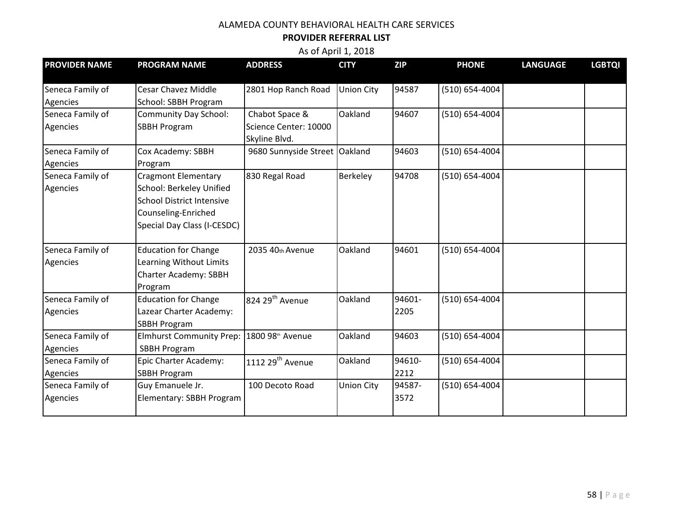#### **PROVIDER REFERRAL LIST**

| <b>PROVIDER NAME</b> | <b>PROGRAM NAME</b>              | <b>ADDRESS</b>                  | <b>CITY</b>       | <b>ZIP</b> | <b>PHONE</b>       | <b>LANGUAGE</b> | <b>LGBTQI</b> |
|----------------------|----------------------------------|---------------------------------|-------------------|------------|--------------------|-----------------|---------------|
| Seneca Family of     | Cesar Chavez Middle              | 2801 Hop Ranch Road             | <b>Union City</b> | 94587      | $(510) 654 - 4004$ |                 |               |
| Agencies             | School: SBBH Program             |                                 |                   |            |                    |                 |               |
| Seneca Family of     | Community Day School:            | Chabot Space &                  | Oakland           | 94607      | $(510) 654 - 4004$ |                 |               |
| Agencies             | <b>SBBH Program</b>              | Science Center: 10000           |                   |            |                    |                 |               |
|                      |                                  | Skyline Blvd.                   |                   |            |                    |                 |               |
| Seneca Family of     | Cox Academy: SBBH                | 9680 Sunnyside Street   Oakland |                   | 94603      | (510) 654-4004     |                 |               |
| Agencies             | Program                          |                                 |                   |            |                    |                 |               |
| Seneca Family of     | <b>Cragmont Elementary</b>       | 830 Regal Road                  | Berkeley          | 94708      | (510) 654-4004     |                 |               |
| Agencies             | School: Berkeley Unified         |                                 |                   |            |                    |                 |               |
|                      | <b>School District Intensive</b> |                                 |                   |            |                    |                 |               |
|                      | Counseling-Enriched              |                                 |                   |            |                    |                 |               |
|                      | Special Day Class (I-CESDC)      |                                 |                   |            |                    |                 |               |
| Seneca Family of     | <b>Education for Change</b>      | 2035 40th Avenue                | Oakland           | 94601      | (510) 654-4004     |                 |               |
| Agencies             | Learning Without Limits          |                                 |                   |            |                    |                 |               |
|                      | <b>Charter Academy: SBBH</b>     |                                 |                   |            |                    |                 |               |
|                      | Program                          |                                 |                   |            |                    |                 |               |
| Seneca Family of     | <b>Education for Change</b>      | 824 29 <sup>th</sup> Avenue     | Oakland           | 94601-     | (510) 654-4004     |                 |               |
| Agencies             | Lazear Charter Academy:          |                                 |                   | 2205       |                    |                 |               |
|                      | <b>SBBH Program</b>              |                                 |                   |            |                    |                 |               |
| Seneca Family of     | <b>Elmhurst Community Prep:</b>  | 1800 98th Avenue                | Oakland           | 94603      | $(510) 654 - 4004$ |                 |               |
| Agencies             | <b>SBBH Program</b>              |                                 |                   |            |                    |                 |               |
| Seneca Family of     | Epic Charter Academy:            | 1112 $29th$ Avenue              | Oakland           | 94610-     | (510) 654-4004     |                 |               |
| Agencies             | <b>SBBH Program</b>              |                                 |                   | 2212       |                    |                 |               |
| Seneca Family of     | Guy Emanuele Jr.                 | 100 Decoto Road                 | <b>Union City</b> | 94587-     | (510) 654-4004     |                 |               |
| Agencies             | Elementary: SBBH Program         |                                 |                   | 3572       |                    |                 |               |
|                      |                                  |                                 |                   |            |                    |                 |               |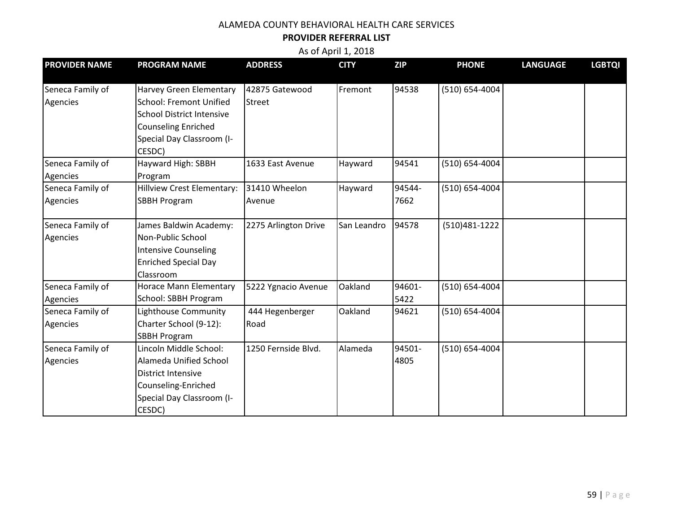#### **PROVIDER REFERRAL LIST**

| <b>PROVIDER NAME</b> | <b>PROGRAM NAME</b>              | <b>ADDRESS</b>       | <b>CITY</b> | <b>ZIP</b> | <b>PHONE</b>       | <b>LANGUAGE</b> | <b>LGBTQI</b> |
|----------------------|----------------------------------|----------------------|-------------|------------|--------------------|-----------------|---------------|
| Seneca Family of     | <b>Harvey Green Elementary</b>   | 42875 Gatewood       | Fremont     | 94538      | $(510) 654 - 4004$ |                 |               |
| Agencies             | <b>School: Fremont Unified</b>   | <b>Street</b>        |             |            |                    |                 |               |
|                      | <b>School District Intensive</b> |                      |             |            |                    |                 |               |
|                      | <b>Counseling Enriched</b>       |                      |             |            |                    |                 |               |
|                      | Special Day Classroom (I-        |                      |             |            |                    |                 |               |
|                      | CESDC)                           |                      |             |            |                    |                 |               |
| Seneca Family of     | Hayward High: SBBH               | 1633 East Avenue     | Hayward     | 94541      | (510) 654-4004     |                 |               |
| Agencies             | Program                          |                      |             |            |                    |                 |               |
| Seneca Family of     | Hillview Crest Elementary:       | 31410 Wheelon        | Hayward     | 94544-     | (510) 654-4004     |                 |               |
| Agencies             | <b>SBBH Program</b>              | Avenue               |             | 7662       |                    |                 |               |
| Seneca Family of     | James Baldwin Academy:           | 2275 Arlington Drive | San Leandro | 94578      | (510)481-1222      |                 |               |
| Agencies             | Non-Public School                |                      |             |            |                    |                 |               |
|                      | <b>Intensive Counseling</b>      |                      |             |            |                    |                 |               |
|                      | <b>Enriched Special Day</b>      |                      |             |            |                    |                 |               |
|                      | Classroom                        |                      |             |            |                    |                 |               |
| Seneca Family of     | Horace Mann Elementary           | 5222 Ygnacio Avenue  | Oakland     | 94601-     | (510) 654-4004     |                 |               |
| Agencies             | School: SBBH Program             |                      |             | 5422       |                    |                 |               |
| Seneca Family of     | Lighthouse Community             | 444 Hegenberger      | Oakland     | 94621      | (510) 654-4004     |                 |               |
| Agencies             | Charter School (9-12):           | Road                 |             |            |                    |                 |               |
|                      | <b>SBBH Program</b>              |                      |             |            |                    |                 |               |
| Seneca Family of     | Lincoln Middle School:           | 1250 Fernside Blvd.  | Alameda     | 94501-     | (510) 654-4004     |                 |               |
| Agencies             | Alameda Unified School           |                      |             | 4805       |                    |                 |               |
|                      | <b>District Intensive</b>        |                      |             |            |                    |                 |               |
|                      | Counseling-Enriched              |                      |             |            |                    |                 |               |
|                      | Special Day Classroom (I-        |                      |             |            |                    |                 |               |
|                      | CESDC)                           |                      |             |            |                    |                 |               |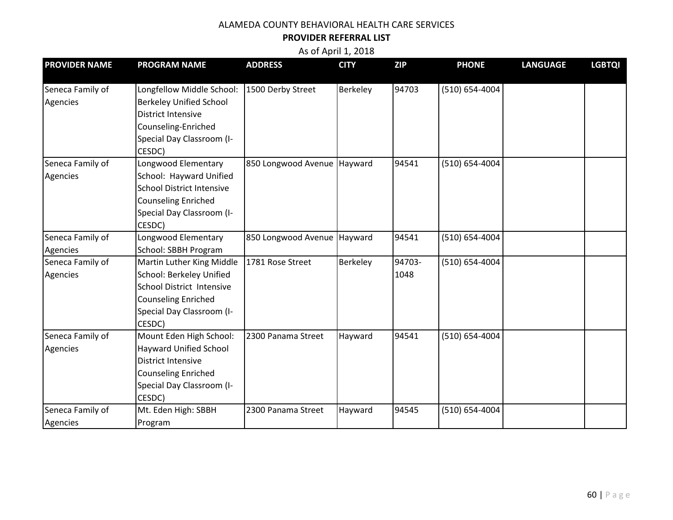#### **PROVIDER REFERRAL LIST**

| <b>PROVIDER NAME</b>         | <b>PROGRAM NAME</b>                                                                                                                                            | <b>ADDRESS</b>                | <b>CITY</b> | <b>ZIP</b>     | <b>PHONE</b>       | <b>LANGUAGE</b> | <b>LGBTQI</b> |
|------------------------------|----------------------------------------------------------------------------------------------------------------------------------------------------------------|-------------------------------|-------------|----------------|--------------------|-----------------|---------------|
| Seneca Family of<br>Agencies | Longfellow Middle School:<br><b>Berkeley Unified School</b><br><b>District Intensive</b><br>Counseling-Enriched<br>Special Day Classroom (I-<br>CESDC)         | 1500 Derby Street             | Berkeley    | 94703          | $(510) 654 - 4004$ |                 |               |
| Seneca Family of<br>Agencies | Longwood Elementary<br>School: Hayward Unified<br><b>School District Intensive</b><br><b>Counseling Enriched</b><br>Special Day Classroom (I-<br>CESDC)        | 850 Longwood Avenue Hayward   |             | 94541          | (510) 654-4004     |                 |               |
| Seneca Family of<br>Agencies | Longwood Elementary<br>School: SBBH Program                                                                                                                    | 850 Longwood Avenue   Hayward |             | 94541          | (510) 654-4004     |                 |               |
| Seneca Family of<br>Agencies | Martin Luther King Middle<br><b>School: Berkeley Unified</b><br>School District Intensive<br><b>Counseling Enriched</b><br>Special Day Classroom (I-<br>CESDC) | 1781 Rose Street              | Berkeley    | 94703-<br>1048 | (510) 654-4004     |                 |               |
| Seneca Family of<br>Agencies | Mount Eden High School:<br>Hayward Unified School<br><b>District Intensive</b><br><b>Counseling Enriched</b><br>Special Day Classroom (I-<br>CESDC)            | 2300 Panama Street            | Hayward     | 94541          | (510) 654-4004     |                 |               |
| Seneca Family of<br>Agencies | Mt. Eden High: SBBH<br>Program                                                                                                                                 | 2300 Panama Street            | Hayward     | 94545          | $(510) 654 - 4004$ |                 |               |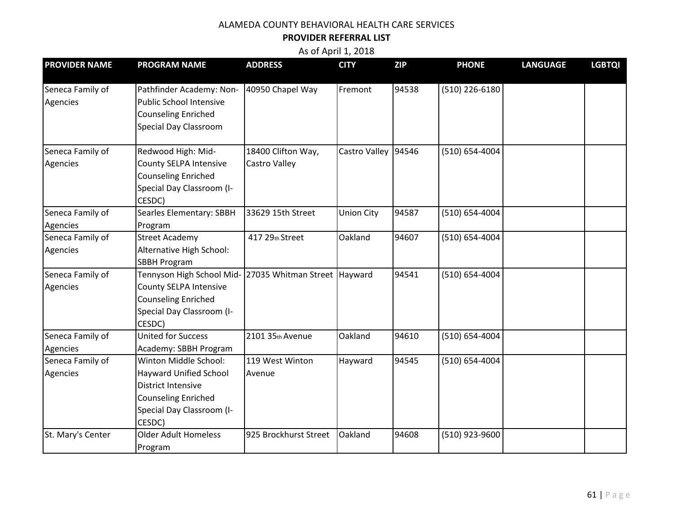#### **PROVIDER REFERRAL LIST**

| <b>PROVIDER NAME</b>         | <b>PROGRAM NAME</b>                                                                                                                                          | <b>ADDRESS</b>                      | <b>CITY</b>         | <b>ZIP</b> | <b>PHONE</b>       | <b>LANGUAGE</b> | <b>LGBTQI</b> |
|------------------------------|--------------------------------------------------------------------------------------------------------------------------------------------------------------|-------------------------------------|---------------------|------------|--------------------|-----------------|---------------|
| Seneca Family of<br>Agencies | Pathfinder Academy: Non-<br><b>Public School Intensive</b><br><b>Counseling Enriched</b><br><b>Special Day Classroom</b>                                     | 40950 Chapel Way                    | Fremont             | 94538      | $(510)$ 226-6180   |                 |               |
| Seneca Family of<br>Agencies | Redwood High: Mid-<br>County SELPA Intensive<br><b>Counseling Enriched</b><br>Special Day Classroom (I-<br>CESDC)                                            | 18400 Clifton Way,<br>Castro Valley | Castro Valley 94546 |            | (510) 654-4004     |                 |               |
| Seneca Family of<br>Agencies | Searles Elementary: SBBH<br>Program                                                                                                                          | 33629 15th Street                   | Union City          | 94587      | (510) 654-4004     |                 |               |
| Seneca Family of<br>Agencies | <b>Street Academy</b><br>Alternative High School:<br><b>SBBH Program</b>                                                                                     | 417 29th Street                     | Oakland             | 94607      | $(510) 654 - 4004$ |                 |               |
| Seneca Family of<br>Agencies | Tennyson High School Mid- 27035 Whitman Street Hayward<br><b>County SELPA Intensive</b><br><b>Counseling Enriched</b><br>Special Day Classroom (I-<br>CESDC) |                                     |                     | 94541      | $(510) 654 - 4004$ |                 |               |
| Seneca Family of<br>Agencies | <b>United for Success</b><br>Academy: SBBH Program                                                                                                           | 2101 35th Avenue                    | Oakland             | 94610      | (510) 654-4004     |                 |               |
| Seneca Family of<br>Agencies | Winton Middle School:<br>Hayward Unified School<br><b>District Intensive</b><br><b>Counseling Enriched</b><br>Special Day Classroom (I-<br>CESDC)            | 119 West Winton<br>Avenue           | Hayward             | 94545      | $(510) 654 - 4004$ |                 |               |
| St. Mary's Center            | <b>Older Adult Homeless</b><br>Program                                                                                                                       | 925 Brockhurst Street               | Oakland             | 94608      | (510) 923-9600     |                 |               |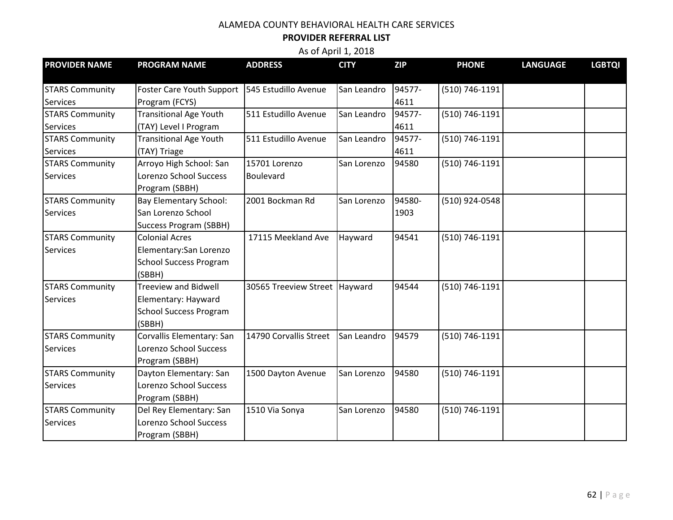#### **PROVIDER REFERRAL LIST**

| <b>PROVIDER NAME</b>   | <b>PROGRAM NAME</b>              | <b>ADDRESS</b>                  | <b>CITY</b> | <b>ZIP</b> | <b>PHONE</b>     | <b>LANGUAGE</b> | <b>LGBTQI</b> |
|------------------------|----------------------------------|---------------------------------|-------------|------------|------------------|-----------------|---------------|
| <b>STARS Community</b> | <b>Foster Care Youth Support</b> | 545 Estudillo Avenue            | San Leandro | 94577-     | $(510)$ 746-1191 |                 |               |
| <b>Services</b>        | Program (FCYS)                   |                                 |             | 4611       |                  |                 |               |
| <b>STARS Community</b> | <b>Transitional Age Youth</b>    | 511 Estudillo Avenue            | San Leandro | 94577-     | (510) 746-1191   |                 |               |
| <b>Services</b>        | (TAY) Level I Program            |                                 |             | 4611       |                  |                 |               |
| <b>STARS Community</b> | <b>Transitional Age Youth</b>    | 511 Estudillo Avenue            | San Leandro | 94577-     | (510) 746-1191   |                 |               |
| <b>Services</b>        | (TAY) Triage                     |                                 |             | 4611       |                  |                 |               |
| <b>STARS Community</b> | Arroyo High School: San          | 15701 Lorenzo                   | San Lorenzo | 94580      | (510) 746-1191   |                 |               |
| <b>Services</b>        | Lorenzo School Success           | Boulevard                       |             |            |                  |                 |               |
|                        | Program (SBBH)                   |                                 |             |            |                  |                 |               |
| <b>STARS Community</b> | <b>Bay Elementary School:</b>    | 2001 Bockman Rd                 | San Lorenzo | 94580-     | (510) 924-0548   |                 |               |
| <b>Services</b>        | San Lorenzo School               |                                 |             | 1903       |                  |                 |               |
|                        | <b>Success Program (SBBH)</b>    |                                 |             |            |                  |                 |               |
| <b>STARS Community</b> | <b>Colonial Acres</b>            | 17115 Meekland Ave              | Hayward     | 94541      | (510) 746-1191   |                 |               |
| <b>Services</b>        | Elementary: San Lorenzo          |                                 |             |            |                  |                 |               |
|                        | <b>School Success Program</b>    |                                 |             |            |                  |                 |               |
|                        | (SBBH)                           |                                 |             |            |                  |                 |               |
| <b>STARS Community</b> | <b>Treeview and Bidwell</b>      | 30565 Treeview Street   Hayward |             | 94544      | (510) 746-1191   |                 |               |
| <b>Services</b>        | Elementary: Hayward              |                                 |             |            |                  |                 |               |
|                        | <b>School Success Program</b>    |                                 |             |            |                  |                 |               |
|                        | (SBBH)                           |                                 |             |            |                  |                 |               |
| <b>STARS Community</b> | Corvallis Elementary: San        | 14790 Corvallis Street          | San Leandro | 94579      | (510) 746-1191   |                 |               |
| <b>Services</b>        | Lorenzo School Success           |                                 |             |            |                  |                 |               |
|                        | Program (SBBH)                   |                                 |             |            |                  |                 |               |
| <b>STARS Community</b> | Dayton Elementary: San           | 1500 Dayton Avenue              | San Lorenzo | 94580      | (510) 746-1191   |                 |               |
| <b>Services</b>        | Lorenzo School Success           |                                 |             |            |                  |                 |               |
|                        | Program (SBBH)                   |                                 |             |            |                  |                 |               |
| <b>STARS Community</b> | Del Rey Elementary: San          | 1510 Via Sonya                  | San Lorenzo | 94580      | (510) 746-1191   |                 |               |
| <b>Services</b>        | <b>Lorenzo School Success</b>    |                                 |             |            |                  |                 |               |
|                        | Program (SBBH)                   |                                 |             |            |                  |                 |               |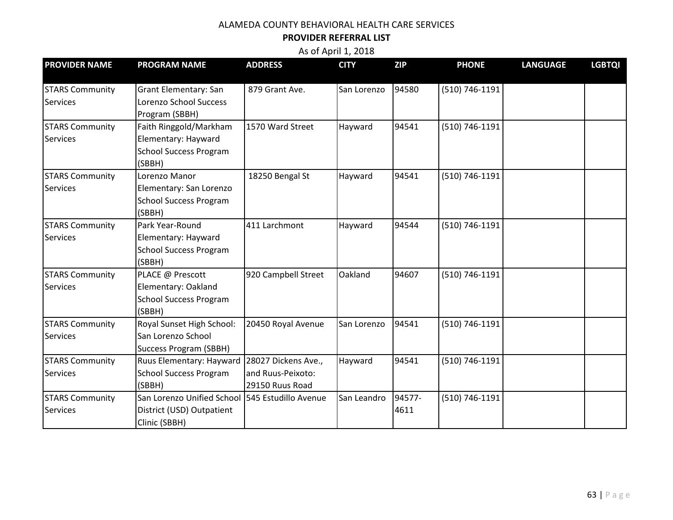#### **PROVIDER REFERRAL LIST**

| <b>PROVIDER NAME</b>                      | <b>PROGRAM NAME</b>                                                                           | <b>ADDRESS</b>                                              | <b>CITY</b> | <b>ZIP</b>     | <b>PHONE</b>   | <b>LANGUAGE</b> | <b>LGBTQI</b> |
|-------------------------------------------|-----------------------------------------------------------------------------------------------|-------------------------------------------------------------|-------------|----------------|----------------|-----------------|---------------|
| <b>STARS Community</b><br><b>Services</b> | <b>Grant Elementary: San</b><br>Lorenzo School Success<br>Program (SBBH)                      | 879 Grant Ave.                                              | San Lorenzo | 94580          | (510) 746-1191 |                 |               |
| <b>STARS Community</b><br><b>Services</b> | Faith Ringgold/Markham<br>Elementary: Hayward<br><b>School Success Program</b><br>(SBBH)      | 1570 Ward Street                                            | Hayward     | 94541          | (510) 746-1191 |                 |               |
| <b>STARS Community</b><br><b>Services</b> | Lorenzo Manor<br>Elementary: San Lorenzo<br><b>School Success Program</b><br>(SBBH)           | 18250 Bengal St                                             | Hayward     | 94541          | (510) 746-1191 |                 |               |
| <b>STARS Community</b><br><b>Services</b> | Park Year-Round<br>Elementary: Hayward<br><b>School Success Program</b><br>(SBBH)             | 411 Larchmont                                               | Hayward     | 94544          | (510) 746-1191 |                 |               |
| <b>STARS Community</b><br><b>Services</b> | PLACE @ Prescott<br>Elementary: Oakland<br><b>School Success Program</b><br>(SBBH)            | 920 Campbell Street                                         | Oakland     | 94607          | (510) 746-1191 |                 |               |
| <b>STARS Community</b><br><b>Services</b> | Royal Sunset High School:<br>San Lorenzo School<br><b>Success Program (SBBH)</b>              | 20450 Royal Avenue                                          | San Lorenzo | 94541          | (510) 746-1191 |                 |               |
| <b>STARS Community</b><br><b>Services</b> | Ruus Elementary: Hayward<br><b>School Success Program</b><br>(SBBH)                           | 28027 Dickens Ave.,<br>and Ruus-Peixoto:<br>29150 Ruus Road | Hayward     | 94541          | (510) 746-1191 |                 |               |
| <b>STARS Community</b><br><b>Services</b> | San Lorenzo Unified School 545 Estudillo Avenue<br>District (USD) Outpatient<br>Clinic (SBBH) |                                                             | San Leandro | 94577-<br>4611 | (510) 746-1191 |                 |               |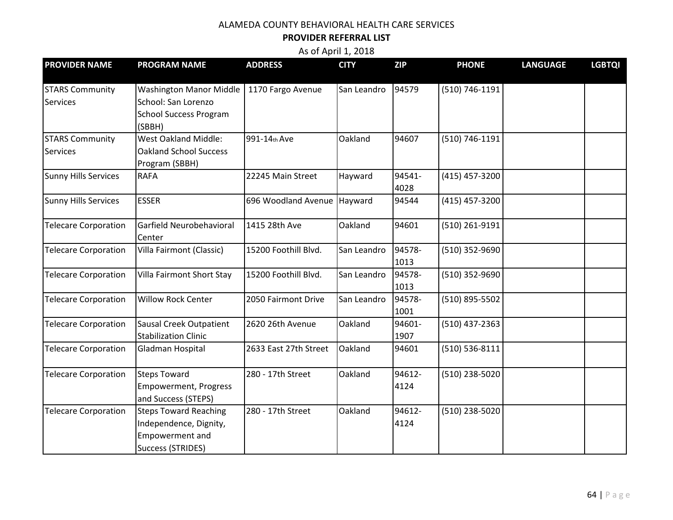#### **PROVIDER REFERRAL LIST**

| <b>PROVIDER NAME</b>        | <b>PROGRAM NAME</b>                | <b>ADDRESS</b>              | <b>CITY</b> | <b>ZIP</b> | <b>PHONE</b>       | <b>LANGUAGE</b> | <b>LGBTQI</b> |
|-----------------------------|------------------------------------|-----------------------------|-------------|------------|--------------------|-----------------|---------------|
| <b>STARS Community</b>      | <b>Washington Manor Middle</b>     | 1170 Fargo Avenue           | San Leandro | 94579      | (510) 746-1191     |                 |               |
| <b>Services</b>             | School: San Lorenzo                |                             |             |            |                    |                 |               |
|                             | <b>School Success Program</b>      |                             |             |            |                    |                 |               |
|                             | (SBBH)                             |                             |             |            |                    |                 |               |
| <b>STARS Community</b>      | <b>West Oakland Middle:</b>        | 991-14th Ave                | Oakland     | 94607      | (510) 746-1191     |                 |               |
| Services                    | <b>Oakland School Success</b>      |                             |             |            |                    |                 |               |
|                             | Program (SBBH)                     |                             |             |            |                    |                 |               |
| <b>Sunny Hills Services</b> | <b>RAFA</b>                        | 22245 Main Street           | Hayward     | 94541-     | (415) 457-3200     |                 |               |
|                             |                                    |                             |             | 4028       |                    |                 |               |
| <b>Sunny Hills Services</b> | <b>ESSER</b>                       | 696 Woodland Avenue Hayward |             | 94544      | (415) 457-3200     |                 |               |
|                             |                                    |                             |             |            |                    |                 |               |
| <b>Telecare Corporation</b> | Garfield Neurobehavioral<br>Center | 1415 28th Ave               | Oakland     | 94601      | (510) 261-9191     |                 |               |
| <b>Telecare Corporation</b> | Villa Fairmont (Classic)           | 15200 Foothill Blvd.        | San Leandro | 94578-     | (510) 352-9690     |                 |               |
|                             |                                    |                             |             | 1013       |                    |                 |               |
| <b>Telecare Corporation</b> | Villa Fairmont Short Stay          | 15200 Foothill Blvd.        | San Leandro | 94578-     | (510) 352-9690     |                 |               |
|                             |                                    |                             |             | 1013       |                    |                 |               |
| <b>Telecare Corporation</b> | <b>Willow Rock Center</b>          | 2050 Fairmont Drive         | San Leandro | 94578-     | (510) 895-5502     |                 |               |
|                             |                                    |                             |             | 1001       |                    |                 |               |
| <b>Telecare Corporation</b> | <b>Sausal Creek Outpatient</b>     | 2620 26th Avenue            | Oakland     | 94601-     | $(510)$ 437-2363   |                 |               |
|                             | <b>Stabilization Clinic</b>        |                             |             | 1907       |                    |                 |               |
| <b>Telecare Corporation</b> | Gladman Hospital                   | 2633 East 27th Street       | Oakland     | 94601      | $(510) 536 - 8111$ |                 |               |
| <b>Telecare Corporation</b> | <b>Steps Toward</b>                | 280 - 17th Street           | Oakland     | 94612-     | (510) 238-5020     |                 |               |
|                             | <b>Empowerment, Progress</b>       |                             |             | 4124       |                    |                 |               |
|                             | and Success (STEPS)                |                             |             |            |                    |                 |               |
| <b>Telecare Corporation</b> | <b>Steps Toward Reaching</b>       | 280 - 17th Street           | Oakland     | 94612-     | (510) 238-5020     |                 |               |
|                             | Independence, Dignity,             |                             |             | 4124       |                    |                 |               |
|                             | <b>Empowerment and</b>             |                             |             |            |                    |                 |               |
|                             | <b>Success (STRIDES)</b>           |                             |             |            |                    |                 |               |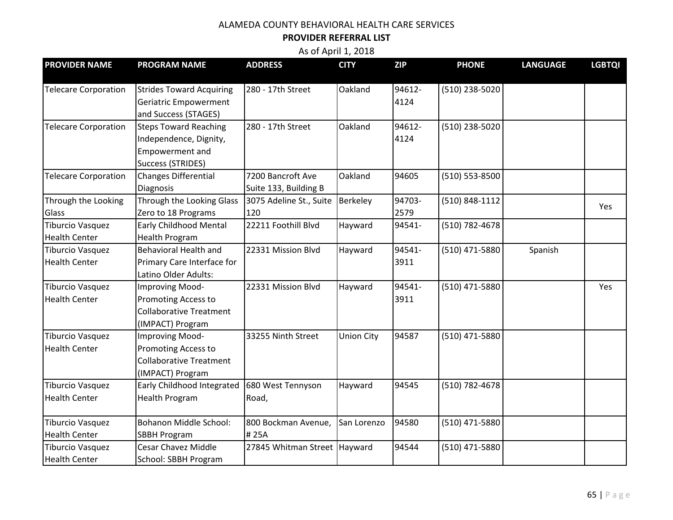#### **PROVIDER REFERRAL LIST**

| <b>PROVIDER NAME</b>        | <b>PROGRAM NAME</b>             | <b>ADDRESS</b>                 | <b>CITY</b>       | <b>ZIP</b> | <b>PHONE</b>   | <b>LANGUAGE</b> | <b>LGBTQI</b> |
|-----------------------------|---------------------------------|--------------------------------|-------------------|------------|----------------|-----------------|---------------|
| <b>Telecare Corporation</b> | <b>Strides Toward Acquiring</b> | 280 - 17th Street              | Oakland           | 94612-     | (510) 238-5020 |                 |               |
|                             | Geriatric Empowerment           |                                |                   | 4124       |                |                 |               |
|                             | and Success (STAGES)            |                                |                   |            |                |                 |               |
| <b>Telecare Corporation</b> | <b>Steps Toward Reaching</b>    | 280 - 17th Street              | Oakland           | 94612-     | (510) 238-5020 |                 |               |
|                             | Independence, Dignity,          |                                |                   | 4124       |                |                 |               |
|                             | <b>Empowerment and</b>          |                                |                   |            |                |                 |               |
|                             | <b>Success (STRIDES)</b>        |                                |                   |            |                |                 |               |
| <b>Telecare Corporation</b> | Changes Differential            | 7200 Bancroft Ave              | Oakland           | 94605      | (510) 553-8500 |                 |               |
|                             |                                 |                                |                   |            |                |                 |               |
|                             | <b>Diagnosis</b>                | Suite 133, Building B          |                   |            |                |                 |               |
| Through the Looking         | Through the Looking Glass       | 3075 Adeline St., Suite        | Berkeley          | 94703-     | (510) 848-1112 |                 | Yes           |
| Glass                       | Zero to 18 Programs             | 120                            |                   | 2579       |                |                 |               |
| <b>Tiburcio Vasquez</b>     | <b>Early Childhood Mental</b>   | 22211 Foothill Blvd            | Hayward           | 94541-     | (510) 782-4678 |                 |               |
| <b>Health Center</b>        | <b>Health Program</b>           |                                |                   |            |                |                 |               |
| Tiburcio Vasquez            | <b>Behavioral Health and</b>    | 22331 Mission Blvd             | Hayward           | 94541-     | (510) 471-5880 | Spanish         |               |
| <b>Health Center</b>        | Primary Care Interface for      |                                |                   | 3911       |                |                 |               |
|                             | Latino Older Adults:            |                                |                   |            |                |                 |               |
| <b>Tiburcio Vasquez</b>     | <b>Improving Mood-</b>          | 22331 Mission Blvd             | Hayward           | 94541-     | (510) 471-5880 |                 | Yes           |
| <b>Health Center</b>        | <b>Promoting Access to</b>      |                                |                   | 3911       |                |                 |               |
|                             | <b>Collaborative Treatment</b>  |                                |                   |            |                |                 |               |
|                             | (IMPACT) Program                |                                |                   |            |                |                 |               |
| <b>Tiburcio Vasquez</b>     | Improving Mood-                 | 33255 Ninth Street             | <b>Union City</b> | 94587      | (510) 471-5880 |                 |               |
| <b>Health Center</b>        | <b>Promoting Access to</b>      |                                |                   |            |                |                 |               |
|                             | <b>Collaborative Treatment</b>  |                                |                   |            |                |                 |               |
|                             | (IMPACT) Program                |                                |                   |            |                |                 |               |
| <b>Tiburcio Vasquez</b>     | Early Childhood Integrated      | 680 West Tennyson              | Hayward           | 94545      | (510) 782-4678 |                 |               |
| <b>Health Center</b>        | <b>Health Program</b>           | Road,                          |                   |            |                |                 |               |
|                             |                                 |                                |                   |            |                |                 |               |
| <b>Tiburcio Vasquez</b>     | <b>Bohanon Middle School:</b>   | 800 Bockman Avenue,            | San Lorenzo       | 94580      | (510) 471-5880 |                 |               |
| <b>Health Center</b>        | <b>SBBH Program</b>             | #25A                           |                   |            |                |                 |               |
| <b>Tiburcio Vasquez</b>     | <b>Cesar Chavez Middle</b>      | 27845 Whitman Street   Hayward |                   | 94544      | (510) 471-5880 |                 |               |
| <b>Health Center</b>        | School: SBBH Program            |                                |                   |            |                |                 |               |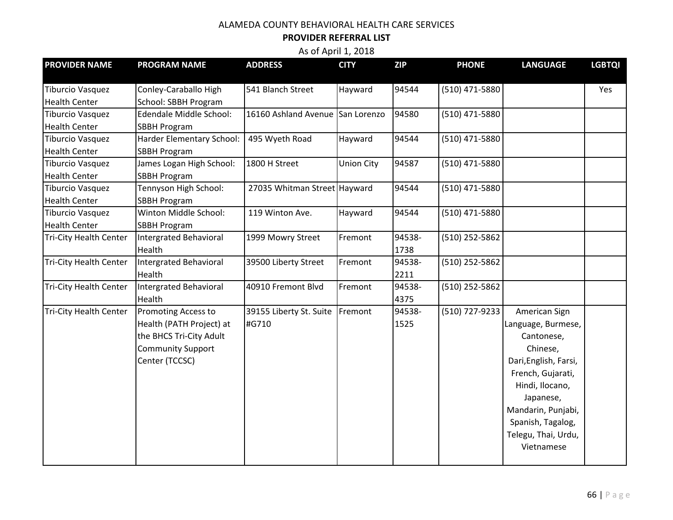#### **PROVIDER REFERRAL LIST**

| <b>PROVIDER NAME</b>          | <b>PROGRAM NAME</b>        | <b>ADDRESS</b>                   | <b>CITY</b>       | <b>ZIP</b> | <b>PHONE</b>     | <b>LANGUAGE</b>       | <b>LGBTQI</b> |
|-------------------------------|----------------------------|----------------------------------|-------------------|------------|------------------|-----------------------|---------------|
|                               |                            |                                  |                   |            |                  |                       |               |
| <b>Tiburcio Vasquez</b>       | Conley-Caraballo High      | 541 Blanch Street                | Hayward           | 94544      | (510) 471-5880   |                       | Yes           |
| <b>Health Center</b>          | School: SBBH Program       |                                  |                   |            |                  |                       |               |
| <b>Tiburcio Vasquez</b>       | Edendale Middle School:    | 16160 Ashland Avenue San Lorenzo |                   | 94580      | (510) 471-5880   |                       |               |
| <b>Health Center</b>          | <b>SBBH Program</b>        |                                  |                   |            |                  |                       |               |
| <b>Tiburcio Vasquez</b>       | Harder Elementary School:  | 495 Wyeth Road                   | Hayward           | 94544      | (510) 471-5880   |                       |               |
| <b>Health Center</b>          | <b>SBBH Program</b>        |                                  |                   |            |                  |                       |               |
| <b>Tiburcio Vasquez</b>       | James Logan High School:   | 1800 H Street                    | <b>Union City</b> | 94587      | (510) 471-5880   |                       |               |
| <b>Health Center</b>          | <b>SBBH Program</b>        |                                  |                   |            |                  |                       |               |
| <b>Tiburcio Vasquez</b>       | Tennyson High School:      | 27035 Whitman Street Hayward     |                   | 94544      | (510) 471-5880   |                       |               |
| <b>Health Center</b>          | <b>SBBH Program</b>        |                                  |                   |            |                  |                       |               |
| <b>Tiburcio Vasquez</b>       | Winton Middle School:      | 119 Winton Ave.                  | Hayward           | 94544      | $(510)$ 471-5880 |                       |               |
| <b>Health Center</b>          | <b>SBBH Program</b>        |                                  |                   |            |                  |                       |               |
| <b>Tri-City Health Center</b> | Intergrated Behavioral     | 1999 Mowry Street                | Fremont           | 94538-     | (510) 252-5862   |                       |               |
|                               | Health                     |                                  |                   | 1738       |                  |                       |               |
| <b>Tri-City Health Center</b> | Intergrated Behavioral     | 39500 Liberty Street             | Fremont           | 94538-     | (510) 252-5862   |                       |               |
|                               | Health                     |                                  |                   | 2211       |                  |                       |               |
| <b>Tri-City Health Center</b> | Intergrated Behavioral     | 40910 Fremont Blvd               | Fremont           | 94538-     | (510) 252-5862   |                       |               |
|                               | Health                     |                                  |                   | 4375       |                  |                       |               |
| <b>Tri-City Health Center</b> | <b>Promoting Access to</b> | 39155 Liberty St. Suite          | Fremont           | 94538-     | (510) 727-9233   | American Sign         |               |
|                               | Health (PATH Project) at   | #G710                            |                   | 1525       |                  | Language, Burmese,    |               |
|                               | the BHCS Tri-City Adult    |                                  |                   |            |                  | Cantonese,            |               |
|                               | <b>Community Support</b>   |                                  |                   |            |                  | Chinese,              |               |
|                               | Center (TCCSC)             |                                  |                   |            |                  | Dari, English, Farsi, |               |
|                               |                            |                                  |                   |            |                  | French, Gujarati,     |               |
|                               |                            |                                  |                   |            |                  | Hindi, Ilocano,       |               |
|                               |                            |                                  |                   |            |                  | Japanese,             |               |
|                               |                            |                                  |                   |            |                  | Mandarin, Punjabi,    |               |
|                               |                            |                                  |                   |            |                  | Spanish, Tagalog,     |               |
|                               |                            |                                  |                   |            |                  | Telegu, Thai, Urdu,   |               |
|                               |                            |                                  |                   |            |                  | Vietnamese            |               |
|                               |                            |                                  |                   |            |                  |                       |               |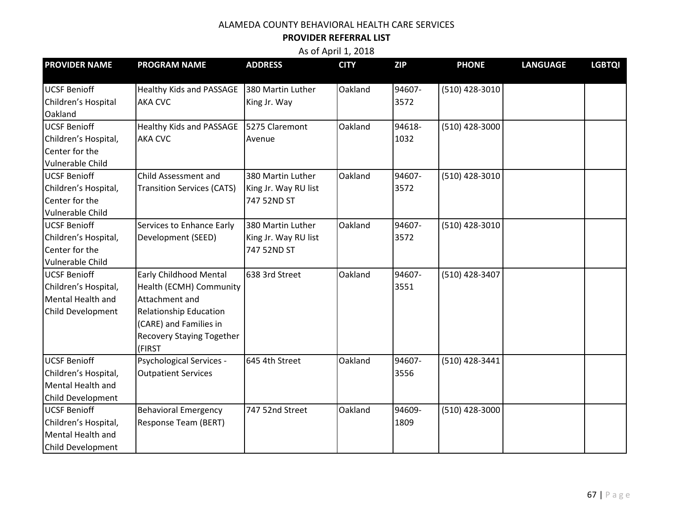#### **PROVIDER REFERRAL LIST**

| <b>PROVIDER NAME</b>                                                                  | <b>PROGRAM NAME</b>                                                                                                                                                                 | <b>ADDRESS</b>                                           | <b>CITY</b> | <b>ZIP</b>     | <b>PHONE</b>     | <b>LANGUAGE</b> | <b>LGBTQI</b> |
|---------------------------------------------------------------------------------------|-------------------------------------------------------------------------------------------------------------------------------------------------------------------------------------|----------------------------------------------------------|-------------|----------------|------------------|-----------------|---------------|
| <b>UCSF Benioff</b><br>Children's Hospital<br>Oakland                                 | <b>Healthy Kids and PASSAGE</b><br><b>AKA CVC</b>                                                                                                                                   | 380 Martin Luther<br>King Jr. Way                        | Oakland     | 94607-<br>3572 | (510) 428-3010   |                 |               |
| <b>UCSF Benioff</b><br>Children's Hospital,<br>Center for the<br>Vulnerable Child     | Healthy Kids and PASSAGE<br><b>AKA CVC</b>                                                                                                                                          | 5275 Claremont<br>Avenue                                 | Oakland     | 94618-<br>1032 | (510) 428-3000   |                 |               |
| <b>UCSF Benioff</b><br>Children's Hospital,<br>Center for the<br>Vulnerable Child     | Child Assessment and<br><b>Transition Services (CATS)</b>                                                                                                                           | 380 Martin Luther<br>King Jr. Way RU list<br>747 52ND ST | Oakland     | 94607-<br>3572 | (510) 428-3010   |                 |               |
| <b>UCSF Benioff</b><br>Children's Hospital,<br>Center for the<br>Vulnerable Child     | Services to Enhance Early<br>Development (SEED)                                                                                                                                     | 380 Martin Luther<br>King Jr. Way RU list<br>747 52ND ST | Oakland     | 94607-<br>3572 | $(510)$ 428-3010 |                 |               |
| <b>UCSF Benioff</b><br>Children's Hospital,<br>Mental Health and<br>Child Development | <b>Early Childhood Mental</b><br>Health (ECMH) Community<br>Attachment and<br><b>Relationship Education</b><br>(CARE) and Families in<br><b>Recovery Staying Together</b><br>(FIRST | 638 3rd Street                                           | Oakland     | 94607-<br>3551 | (510) 428-3407   |                 |               |
| <b>UCSF Benioff</b><br>Children's Hospital,<br>Mental Health and<br>Child Development | Psychological Services -<br><b>Outpatient Services</b>                                                                                                                              | 645 4th Street                                           | Oakland     | 94607-<br>3556 | (510) 428-3441   |                 |               |
| <b>UCSF Benioff</b><br>Children's Hospital,<br>Mental Health and<br>Child Development | <b>Behavioral Emergency</b><br>Response Team (BERT)                                                                                                                                 | 747 52nd Street                                          | Oakland     | 94609-<br>1809 | (510) 428-3000   |                 |               |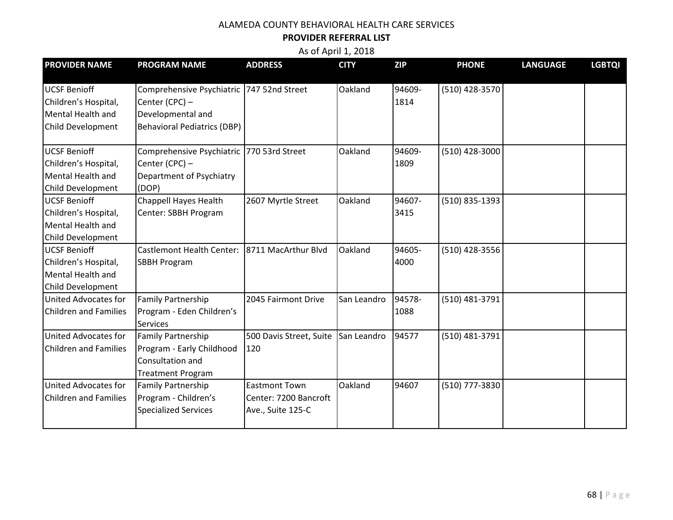#### **PROVIDER REFERRAL LIST**

| <b>PROVIDER NAME</b>                                                                  | <b>PROGRAM NAME</b>                                                                                                      | <b>ADDRESS</b>                                                     | <b>CITY</b> | <b>ZIP</b>     | <b>PHONE</b>     | <b>LANGUAGE</b> | <b>LGBTQI</b> |
|---------------------------------------------------------------------------------------|--------------------------------------------------------------------------------------------------------------------------|--------------------------------------------------------------------|-------------|----------------|------------------|-----------------|---------------|
| <b>UCSF Benioff</b><br>Children's Hospital,<br>Mental Health and<br>Child Development | Comprehensive Psychiatric   747 52nd Street<br>Center (CPC) -<br>Developmental and<br><b>Behavioral Pediatrics (DBP)</b> |                                                                    | Oakland     | 94609-<br>1814 | (510) 428-3570   |                 |               |
| <b>UCSF Benioff</b><br>Children's Hospital,<br>Mental Health and<br>Child Development | Comprehensive Psychiatric 770 53rd Street<br>Center (CPC) -<br>Department of Psychiatry<br>(DOP)                         |                                                                    | Oakland     | 94609-<br>1809 | (510) 428-3000   |                 |               |
| <b>UCSF Benioff</b><br>Children's Hospital,<br>Mental Health and<br>Child Development | <b>Chappell Hayes Health</b><br>Center: SBBH Program                                                                     | 2607 Myrtle Street                                                 | Oakland     | 94607-<br>3415 | (510) 835-1393   |                 |               |
| <b>UCSF Benioff</b><br>Children's Hospital,<br>Mental Health and<br>Child Development | <b>Castlemont Health Center:</b><br><b>SBBH Program</b>                                                                  | 8711 MacArthur Blvd                                                | Oakland     | 94605-<br>4000 | $(510)$ 428-3556 |                 |               |
| United Advocates for<br><b>Children and Families</b>                                  | <b>Family Partnership</b><br>Program - Eden Children's<br><b>Services</b>                                                | 2045 Fairmont Drive                                                | San Leandro | 94578-<br>1088 | (510) 481-3791   |                 |               |
| United Advocates for<br><b>Children and Families</b>                                  | Family Partnership<br>Program - Early Childhood<br>Consultation and<br><b>Treatment Program</b>                          | 500 Davis Street, Suite<br>120                                     | San Leandro | 94577          | (510) 481-3791   |                 |               |
| United Advocates for<br><b>Children and Families</b>                                  | <b>Family Partnership</b><br>Program - Children's<br><b>Specialized Services</b>                                         | <b>Eastmont Town</b><br>Center: 7200 Bancroft<br>Ave., Suite 125-C | Oakland     | 94607          | (510) 777-3830   |                 |               |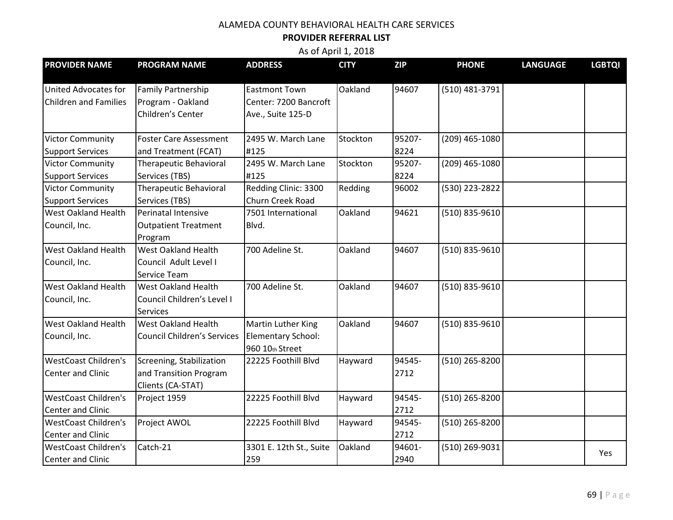#### **PROVIDER REFERRAL LIST**

| <b>PROVIDER NAME</b>                                    | <b>PROGRAM NAME</b>                                                     | <b>ADDRESS</b>                                                     | <b>CITY</b> | <b>ZIP</b>     | <b>PHONE</b>   | <b>LANGUAGE</b> | <b>LGBTQI</b> |
|---------------------------------------------------------|-------------------------------------------------------------------------|--------------------------------------------------------------------|-------------|----------------|----------------|-----------------|---------------|
| United Advocates for<br><b>Children and Families</b>    | <b>Family Partnership</b><br>Program - Oakland<br>Children's Center     | <b>Eastmont Town</b><br>Center: 7200 Bancroft<br>Ave., Suite 125-D | Oakland     | 94607          | (510) 481-3791 |                 |               |
| <b>Victor Community</b><br><b>Support Services</b>      | <b>Foster Care Assessment</b><br>and Treatment (FCAT)                   | 2495 W. March Lane<br>#125                                         | Stockton    | 95207-<br>8224 | (209) 465-1080 |                 |               |
| <b>Victor Community</b><br><b>Support Services</b>      | <b>Therapeutic Behavioral</b><br>Services (TBS)                         | 2495 W. March Lane<br>#125                                         | Stockton    | 95207-<br>8224 | (209) 465-1080 |                 |               |
| <b>Victor Community</b><br><b>Support Services</b>      | <b>Therapeutic Behavioral</b><br>Services (TBS)                         | Redding Clinic: 3300<br>Churn Creek Road                           | Redding     | 96002          | (530) 223-2822 |                 |               |
| <b>West Oakland Health</b><br>Council, Inc.             | Perinatal Intensive<br><b>Outpatient Treatment</b><br>Program           | 7501 International<br>Blvd.                                        | Oakland     | 94621          | (510) 835-9610 |                 |               |
| <b>West Oakland Health</b><br>Council, Inc.             | <b>West Oakland Health</b><br>Council Adult Level I<br>Service Team     | 700 Adeline St.                                                    | Oakland     | 94607          | (510) 835-9610 |                 |               |
| <b>West Oakland Health</b><br>Council, Inc.             | West Oakland Health<br>Council Children's Level I<br><b>Services</b>    | 700 Adeline St.                                                    | Oakland     | 94607          | (510) 835-9610 |                 |               |
| <b>West Oakland Health</b><br>Council, Inc.             | <b>West Oakland Health</b><br><b>Council Children's Services</b>        | Martin Luther King<br>Elementary School:<br>960 10th Street        | Oakland     | 94607          | (510) 835-9610 |                 |               |
| <b>WestCoast Children's</b><br>Center and Clinic        | Screening, Stabilization<br>and Transition Program<br>Clients (CA-STAT) | 22225 Foothill Blvd                                                | Hayward     | 94545-<br>2712 | (510) 265-8200 |                 |               |
| <b>WestCoast Children's</b><br><b>Center and Clinic</b> | Project 1959                                                            | 22225 Foothill Blvd                                                | Hayward     | 94545-<br>2712 | (510) 265-8200 |                 |               |
| <b>WestCoast Children's</b><br>Center and Clinic        | Project AWOL                                                            | 22225 Foothill Blvd                                                | Hayward     | 94545-<br>2712 | (510) 265-8200 |                 |               |
| <b>WestCoast Children's</b><br><b>Center and Clinic</b> | Catch-21                                                                | 3301 E. 12th St., Suite<br>259                                     | Oakland     | 94601-<br>2940 | (510) 269-9031 |                 | Yes           |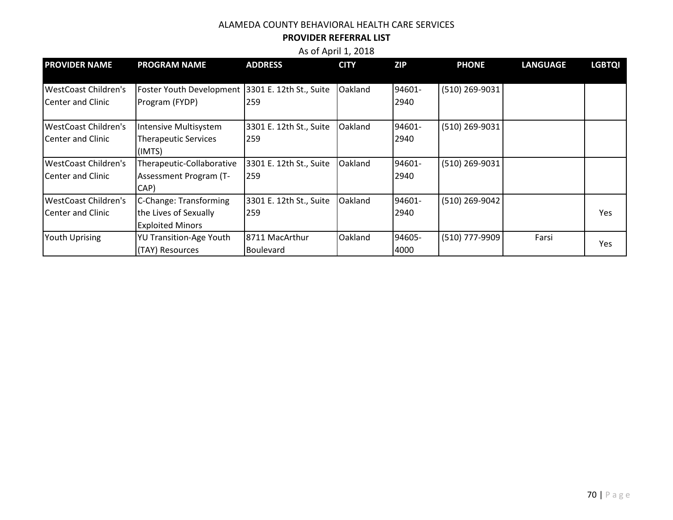#### **PROVIDER REFERRAL LIST**

| <b>PROVIDER NAME</b>        | <b>PROGRAM NAME</b>                              | <b>ADDRESS</b>          | <b>CITY</b> | <b>ZIP</b> | <b>PHONE</b>   | <b>LANGUAGE</b> | <b>LGBTQI</b> |
|-----------------------------|--------------------------------------------------|-------------------------|-------------|------------|----------------|-----------------|---------------|
|                             |                                                  |                         |             |            |                |                 |               |
| <b>WestCoast Children's</b> | Foster Youth Development 3301 E. 12th St., Suite |                         | Oakland     | 94601-     | (510) 269-9031 |                 |               |
| lCenter and Clinic          | Program (FYDP)                                   | 259                     |             | 2940       |                |                 |               |
| <b>WestCoast Children's</b> | Intensive Multisystem                            | 3301 E. 12th St., Suite | Oakland     | 94601-     | (510) 269-9031 |                 |               |
| Center and Clinic           | <b>Therapeutic Services</b>                      | 259                     |             | 2940       |                |                 |               |
|                             | (IMTS)                                           |                         |             |            |                |                 |               |
| <b>WestCoast Children's</b> | Therapeutic-Collaborative                        | 3301 E. 12th St., Suite | Oakland     | 94601-     | (510) 269-9031 |                 |               |
| Center and Clinic           | Assessment Program (T-                           | 259                     |             | 2940       |                |                 |               |
|                             | CAP)                                             |                         |             |            |                |                 |               |
| <b>WestCoast Children's</b> | C-Change: Transforming                           | 3301 E. 12th St., Suite | Oakland     | 94601-     | (510) 269-9042 |                 |               |
| lCenter and Clinic          | the Lives of Sexually                            | 259                     |             | 2940       |                |                 | <b>Yes</b>    |
|                             | <b>Exploited Minors</b>                          |                         |             |            |                |                 |               |
| <b>Youth Uprising</b>       | <b>YU Transition-Age Youth</b>                   | 8711 MacArthur          | Oakland     | 94605-     | (510) 777-9909 | Farsi           |               |
|                             | (TAY) Resources                                  | <b>Boulevard</b>        |             | 4000       |                |                 | Yes           |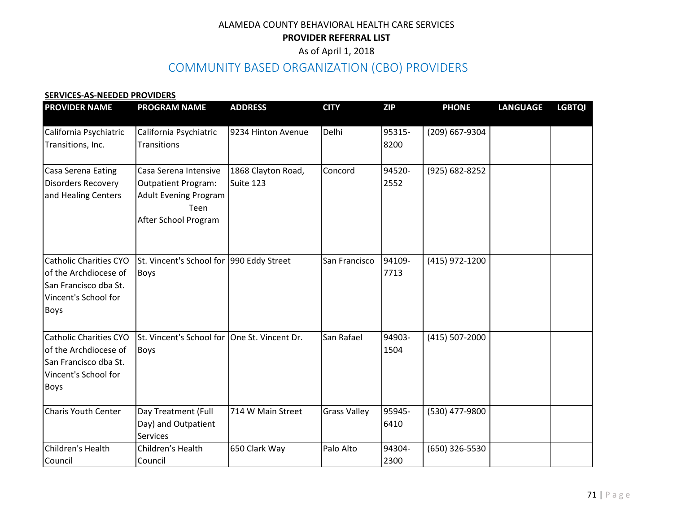## ALAMEDA COUNTY BEHAVIORAL HEALTH CARE SERVICES **PROVIDER REFERRAL LIST**

## As of April 1, 2018

# COMMUNITY BASED ORGANIZATION (CBO) PROVIDERS

#### **SERVICES-AS-NEEDED PROVIDERS**

| <b>PROVIDER NAME</b>                                                                                                   | <b>PROGRAM NAME</b>                                                                                                 | <b>ADDRESS</b>                  | <b>CITY</b>         | <b>ZIP</b>     | <b>PHONE</b>   | <b>LANGUAGE</b> | <b>LGBTQI</b> |
|------------------------------------------------------------------------------------------------------------------------|---------------------------------------------------------------------------------------------------------------------|---------------------------------|---------------------|----------------|----------------|-----------------|---------------|
| California Psychiatric<br>Transitions, Inc.                                                                            | California Psychiatric<br>Transitions                                                                               | 9234 Hinton Avenue              | Delhi               | 95315-<br>8200 | (209) 667-9304 |                 |               |
| Casa Serena Eating<br><b>Disorders Recovery</b><br>and Healing Centers                                                 | Casa Serena Intensive<br><b>Outpatient Program:</b><br><b>Adult Evening Program</b><br>Teen<br>After School Program | 1868 Clayton Road,<br>Suite 123 | Concord             | 94520-<br>2552 | (925) 682-8252 |                 |               |
| <b>Catholic Charities CYO</b><br>of the Archdiocese of<br>San Francisco dba St.<br>Vincent's School for<br><b>Boys</b> | St. Vincent's School for 990 Eddy Street<br><b>Boys</b>                                                             |                                 | San Francisco       | 94109-<br>7713 | (415) 972-1200 |                 |               |
| <b>Catholic Charities CYO</b><br>of the Archdiocese of<br>San Francisco dba St.<br>Vincent's School for<br><b>Boys</b> | St. Vincent's School for<br><b>Boys</b>                                                                             | One St. Vincent Dr.             | San Rafael          | 94903-<br>1504 | (415) 507-2000 |                 |               |
| <b>Charis Youth Center</b>                                                                                             | Day Treatment (Full<br>Day) and Outpatient<br><b>Services</b>                                                       | 714 W Main Street               | <b>Grass Valley</b> | 95945-<br>6410 | (530) 477-9800 |                 |               |
| Children's Health<br>Council                                                                                           | Children's Health<br>Council                                                                                        | 650 Clark Way                   | Palo Alto           | 94304-<br>2300 | (650) 326-5530 |                 |               |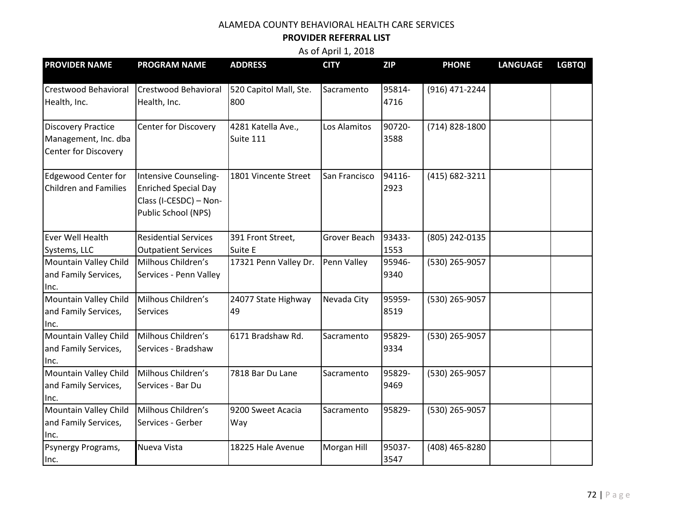#### **PROVIDER REFERRAL LIST**

| <b>PROVIDER NAME</b>                                                      | <b>PROGRAM NAME</b>                                                                                   | <b>ADDRESS</b>                  | <b>CITY</b>   | <b>ZIP</b>     | <b>PHONE</b>   | <b>LANGUAGE</b> | <b>LGBTQI</b> |
|---------------------------------------------------------------------------|-------------------------------------------------------------------------------------------------------|---------------------------------|---------------|----------------|----------------|-----------------|---------------|
| Crestwood Behavioral<br>Health, Inc.                                      | <b>Crestwood Behavioral</b><br>Health, Inc.                                                           | 520 Capitol Mall, Ste.<br>800   | Sacramento    | 95814-<br>4716 | (916) 471-2244 |                 |               |
| <b>Discovery Practice</b><br>Management, Inc. dba<br>Center for Discovery | <b>Center for Discovery</b>                                                                           | 4281 Katella Ave.,<br>Suite 111 | Los Alamitos  | 90720-<br>3588 | (714) 828-1800 |                 |               |
| <b>Edgewood Center for</b><br><b>Children and Families</b>                | Intensive Counseling-<br><b>Enriched Special Day</b><br>Class (I-CESDC) - Non-<br>Public School (NPS) | 1801 Vincente Street            | San Francisco | 94116-<br>2923 | (415) 682-3211 |                 |               |
| Ever Well Health<br>Systems, LLC                                          | <b>Residential Services</b><br><b>Outpatient Services</b>                                             | 391 Front Street,<br>Suite E    | Grover Beach  | 93433-<br>1553 | (805) 242-0135 |                 |               |
| Mountain Valley Child<br>and Family Services,<br>Inc.                     | Milhous Children's<br>Services - Penn Valley                                                          | 17321 Penn Valley Dr.           | Penn Valley   | 95946-<br>9340 | (530) 265-9057 |                 |               |
| Mountain Valley Child<br>and Family Services,<br>Inc.                     | Milhous Children's<br>Services                                                                        | 24077 State Highway<br>49       | Nevada City   | 95959-<br>8519 | (530) 265-9057 |                 |               |
| Mountain Valley Child<br>and Family Services,<br>Inc.                     | Milhous Children's<br>Services - Bradshaw                                                             | 6171 Bradshaw Rd.               | Sacramento    | 95829-<br>9334 | (530) 265-9057 |                 |               |
| Mountain Valley Child<br>and Family Services,<br>Inc.                     | Milhous Children's<br>Services - Bar Du                                                               | 7818 Bar Du Lane                | Sacramento    | 95829-<br>9469 | (530) 265-9057 |                 |               |
| Mountain Valley Child<br>and Family Services,<br>Inc.                     | Milhous Children's<br>Services - Gerber                                                               | 9200 Sweet Acacia<br>Way        | Sacramento    | 95829-         | (530) 265-9057 |                 |               |
| Psynergy Programs,<br>lnc.                                                | Nueva Vista                                                                                           | 18225 Hale Avenue               | Morgan Hill   | 95037-<br>3547 | (408) 465-8280 |                 |               |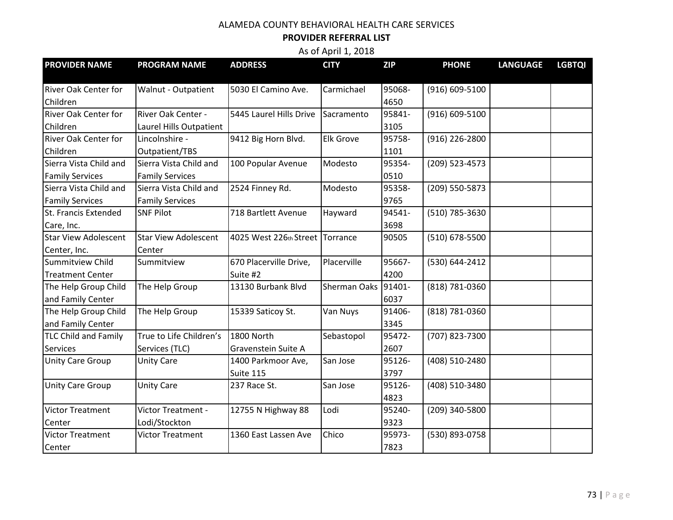## ALAMEDA COUNTY BEHAVIORAL HEALTH CARE SERVICES

## **PROVIDER REFERRAL LIST**

As of April 1, 2018

| <b>PROVIDER NAME</b>        | <b>PROGRAM NAME</b>         | <b>ADDRESS</b>                  | <b>CITY</b>         | <b>ZIP</b> | <b>PHONE</b>   | <b>LANGUAGE</b> | <b>LGBTQI</b> |
|-----------------------------|-----------------------------|---------------------------------|---------------------|------------|----------------|-----------------|---------------|
| <b>River Oak Center for</b> | Walnut - Outpatient         | 5030 El Camino Ave.             | Carmichael          | 95068-     | (916) 609-5100 |                 |               |
| Children                    |                             |                                 |                     | 4650       |                |                 |               |
| <b>River Oak Center for</b> | River Oak Center -          | 5445 Laurel Hills Drive         | Sacramento          | 95841-     | (916) 609-5100 |                 |               |
| Children                    | Laurel Hills Outpatient     |                                 |                     | 3105       |                |                 |               |
| <b>River Oak Center for</b> | Lincolnshire -              | 9412 Big Horn Blvd.             | <b>Elk Grove</b>    | 95758-     | (916) 226-2800 |                 |               |
| Children                    | Outpatient/TBS              |                                 |                     | 1101       |                |                 |               |
| Sierra Vista Child and      | Sierra Vista Child and      | 100 Popular Avenue              | Modesto             | 95354-     | (209) 523-4573 |                 |               |
| <b>Family Services</b>      | <b>Family Services</b>      |                                 |                     | 0510       |                |                 |               |
| Sierra Vista Child and      | Sierra Vista Child and      | 2524 Finney Rd.                 | Modesto             | 95358-     | (209) 550-5873 |                 |               |
| <b>Family Services</b>      | <b>Family Services</b>      |                                 |                     | 9765       |                |                 |               |
| St. Francis Extended        | <b>SNF Pilot</b>            | 718 Bartlett Avenue             | Hayward             | 94541-     | (510) 785-3630 |                 |               |
| Care, Inc.                  |                             |                                 |                     | 3698       |                |                 |               |
| <b>Star View Adolescent</b> | <b>Star View Adolescent</b> | 4025 West 226th Street Torrance |                     | 90505      | (510) 678-5500 |                 |               |
| Center, Inc.                | Center                      |                                 |                     |            |                |                 |               |
| <b>Summitview Child</b>     | Summitview                  | 670 Placerville Drive,          | Placerville         | 95667-     | (530) 644-2412 |                 |               |
| <b>Treatment Center</b>     |                             | Suite #2                        |                     | 4200       |                |                 |               |
| The Help Group Child        | The Help Group              | 13130 Burbank Blvd              | <b>Sherman Oaks</b> | 91401-     | (818) 781-0360 |                 |               |
| and Family Center           |                             |                                 |                     | 6037       |                |                 |               |
| The Help Group Child        | The Help Group              | 15339 Saticoy St.               | Van Nuys            | 91406-     | (818) 781-0360 |                 |               |
| and Family Center           |                             |                                 |                     | 3345       |                |                 |               |
| <b>TLC Child and Family</b> | True to Life Children's     | 1800 North                      | Sebastopol          | 95472-     | (707) 823-7300 |                 |               |
| Services                    | Services (TLC)              | Gravenstein Suite A             |                     | 2607       |                |                 |               |
| Unity Care Group            | <b>Unity Care</b>           | 1400 Parkmoor Ave,              | San Jose            | 95126-     | (408) 510-2480 |                 |               |
|                             |                             | Suite 115                       |                     | 3797       |                |                 |               |
| Unity Care Group            | <b>Unity Care</b>           | 237 Race St.                    | San Jose            | 95126-     | (408) 510-3480 |                 |               |
|                             |                             |                                 |                     | 4823       |                |                 |               |
| <b>Victor Treatment</b>     | Victor Treatment -          | 12755 N Highway 88              | Lodi                | 95240-     | (209) 340-5800 |                 |               |
| Center                      | Lodi/Stockton               |                                 |                     | 9323       |                |                 |               |
| <b>Victor Treatment</b>     | Victor Treatment            | 1360 East Lassen Ave            | Chico               | 95973-     | (530) 893-0758 |                 |               |
| Center                      |                             |                                 |                     | 7823       |                |                 |               |